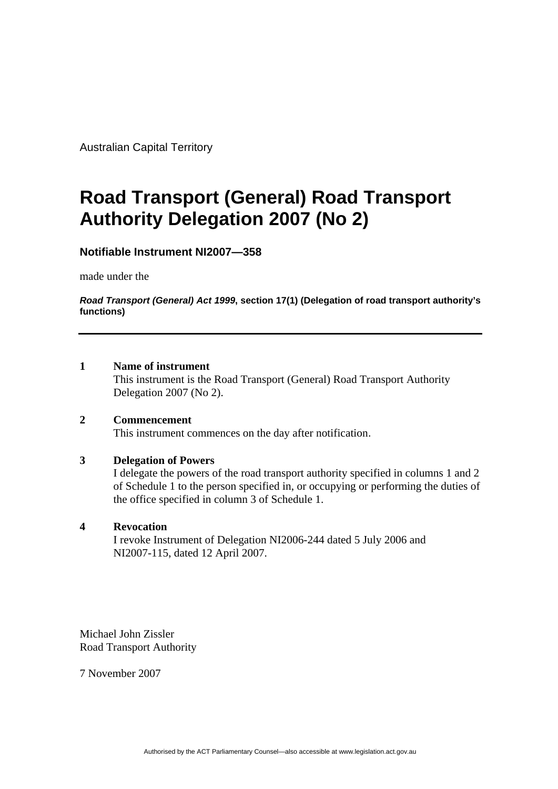Australian Capital Territory

# **Road Transport (General) Road Transport Authority Delegation 2007 (No 2)**

## **Notifiable Instrument NI2007—358**

made under the

*Road Transport (General) Act 1999***, section 17(1) (Delegation of road transport authority's functions)**

#### **1 Name of instrument**

This instrument is the Road Transport (General) Road Transport Authority Delegation 2007 (No 2).

#### **2 Commencement**

This instrument commences on the day after notification.

#### **3 Delegation of Powers**

I delegate the powers of the road transport authority specified in columns 1 and 2 of Schedule 1 to the person specified in, or occupying or performing the duties of the office specified in column 3 of Schedule 1.

#### **4 Revocation**

I revoke Instrument of Delegation NI2006-244 dated 5 July 2006 and NI2007-115, dated 12 April 2007.

Michael John Zissler Road Transport Authority

7 November 2007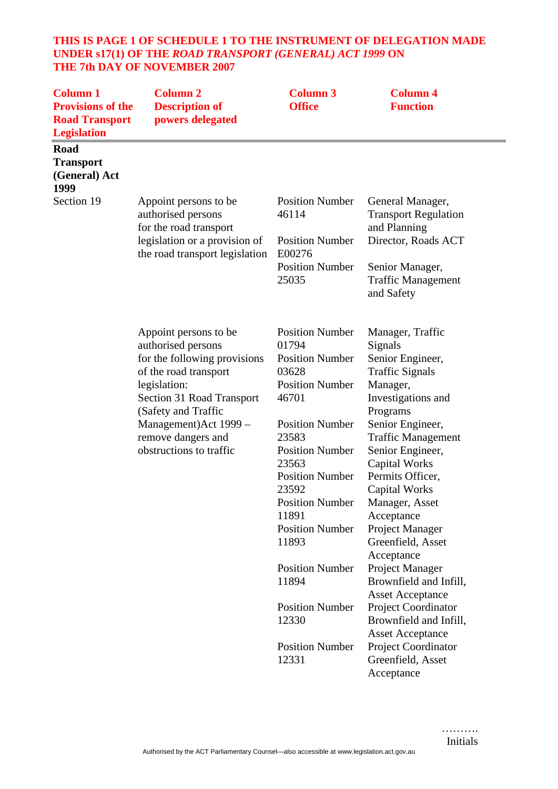## **THIS IS PAGE 1 OF SCHEDULE 1 TO THE INSTRUMENT OF DELEGATION MADE UNDER s17(1) OF THE** *ROAD TRANSPORT (GENERAL) ACT 1999* **ON THE 7th DAY OF NOVEMBER 2007**

| <b>Column 1</b><br><b>Provisions of the</b><br><b>Road Transport</b><br><b>Legislation</b> | <b>Column 2</b><br><b>Description of</b><br>powers delegated                                                                                                                                                                                        | <b>Column 3</b><br><b>Office</b>                                                                                                                                                                                                                                                     | <b>Column 4</b><br><b>Function</b>                                                                                                                                                                                                                                                                                                       |
|--------------------------------------------------------------------------------------------|-----------------------------------------------------------------------------------------------------------------------------------------------------------------------------------------------------------------------------------------------------|--------------------------------------------------------------------------------------------------------------------------------------------------------------------------------------------------------------------------------------------------------------------------------------|------------------------------------------------------------------------------------------------------------------------------------------------------------------------------------------------------------------------------------------------------------------------------------------------------------------------------------------|
| Road<br><b>Transport</b><br>(General) Act<br>1999                                          |                                                                                                                                                                                                                                                     |                                                                                                                                                                                                                                                                                      |                                                                                                                                                                                                                                                                                                                                          |
| Section 19                                                                                 | Appoint persons to be<br>authorised persons<br>for the road transport                                                                                                                                                                               | <b>Position Number</b><br>46114                                                                                                                                                                                                                                                      | General Manager,<br><b>Transport Regulation</b><br>and Planning                                                                                                                                                                                                                                                                          |
|                                                                                            | legislation or a provision of<br>the road transport legislation                                                                                                                                                                                     | <b>Position Number</b><br>E00276                                                                                                                                                                                                                                                     | Director, Roads ACT                                                                                                                                                                                                                                                                                                                      |
|                                                                                            |                                                                                                                                                                                                                                                     | <b>Position Number</b><br>25035                                                                                                                                                                                                                                                      | Senior Manager,<br><b>Traffic Management</b><br>and Safety                                                                                                                                                                                                                                                                               |
|                                                                                            | Appoint persons to be<br>authorised persons<br>for the following provisions<br>of the road transport<br>legislation:<br>Section 31 Road Transport<br>(Safety and Traffic<br>Management) Act 1999 -<br>remove dangers and<br>obstructions to traffic | <b>Position Number</b><br>01794<br><b>Position Number</b><br>03628<br><b>Position Number</b><br>46701<br><b>Position Number</b><br>23583<br><b>Position Number</b><br>23563<br><b>Position Number</b><br>23592<br><b>Position Number</b><br>11891<br><b>Position Number</b><br>11893 | Manager, Traffic<br>Signals<br>Senior Engineer,<br><b>Traffic Signals</b><br>Manager,<br>Investigations and<br>Programs<br>Senior Engineer,<br><b>Traffic Management</b><br>Senior Engineer,<br><b>Capital Works</b><br>Permits Officer,<br><b>Capital Works</b><br>Manager, Asset<br>Acceptance<br>Project Manager<br>Greenfield, Asset |
|                                                                                            |                                                                                                                                                                                                                                                     | <b>Position Number</b><br>11894                                                                                                                                                                                                                                                      | Acceptance<br>Project Manager<br>Brownfield and Infill,<br><b>Asset Acceptance</b>                                                                                                                                                                                                                                                       |
|                                                                                            |                                                                                                                                                                                                                                                     | <b>Position Number</b><br>12330                                                                                                                                                                                                                                                      | <b>Project Coordinator</b><br>Brownfield and Infill,<br><b>Asset Acceptance</b>                                                                                                                                                                                                                                                          |
|                                                                                            |                                                                                                                                                                                                                                                     | <b>Position Number</b><br>12331                                                                                                                                                                                                                                                      | Project Coordinator<br>Greenfield, Asset<br>Acceptance                                                                                                                                                                                                                                                                                   |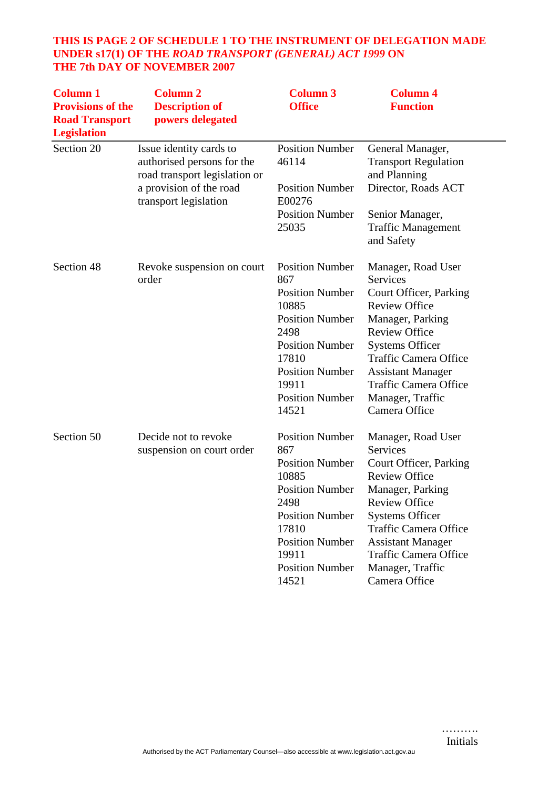## **THIS IS PAGE 2 OF SCHEDULE 1 TO THE INSTRUMENT OF DELEGATION MADE UNDER s17(1) OF THE** *ROAD TRANSPORT (GENERAL) ACT 1999* **ON THE 7th DAY OF NOVEMBER 2007**

| <b>Column 1</b><br><b>Provisions of the</b><br><b>Road Transport</b><br><b>Legislation</b> | <b>Column 2</b><br><b>Description of</b><br>powers delegated                                                                               | <b>Column 3</b><br><b>Office</b>                                                                                                                                                                            | <b>Column 4</b><br><b>Function</b>                                                                                                                                                                                                                                                      |
|--------------------------------------------------------------------------------------------|--------------------------------------------------------------------------------------------------------------------------------------------|-------------------------------------------------------------------------------------------------------------------------------------------------------------------------------------------------------------|-----------------------------------------------------------------------------------------------------------------------------------------------------------------------------------------------------------------------------------------------------------------------------------------|
| Section 20                                                                                 | Issue identity cards to<br>authorised persons for the<br>road transport legislation or<br>a provision of the road<br>transport legislation | <b>Position Number</b><br>46114<br><b>Position Number</b><br>E00276                                                                                                                                         | General Manager,<br><b>Transport Regulation</b><br>and Planning<br>Director, Roads ACT                                                                                                                                                                                                  |
|                                                                                            |                                                                                                                                            | <b>Position Number</b><br>25035                                                                                                                                                                             | Senior Manager,<br><b>Traffic Management</b><br>and Safety                                                                                                                                                                                                                              |
| Section 48                                                                                 | Revoke suspension on court<br>order                                                                                                        | <b>Position Number</b><br>867<br><b>Position Number</b><br>10885<br><b>Position Number</b><br>2498<br><b>Position Number</b><br>17810<br><b>Position Number</b><br>19911<br><b>Position Number</b><br>14521 | Manager, Road User<br>Services<br>Court Officer, Parking<br><b>Review Office</b><br>Manager, Parking<br><b>Review Office</b><br><b>Systems Officer</b><br><b>Traffic Camera Office</b><br><b>Assistant Manager</b><br><b>Traffic Camera Office</b><br>Manager, Traffic<br>Camera Office |
| Section 50                                                                                 | Decide not to revoke<br>suspension on court order                                                                                          | <b>Position Number</b><br>867<br><b>Position Number</b><br>10885<br><b>Position Number</b><br>2498<br><b>Position Number</b><br>17810<br><b>Position Number</b><br>19911<br><b>Position Number</b><br>14521 | Manager, Road User<br>Services<br>Court Officer, Parking<br><b>Review Office</b><br>Manager, Parking<br><b>Review Office</b><br><b>Systems Officer</b><br><b>Traffic Camera Office</b><br><b>Assistant Manager</b><br><b>Traffic Camera Office</b><br>Manager, Traffic<br>Camera Office |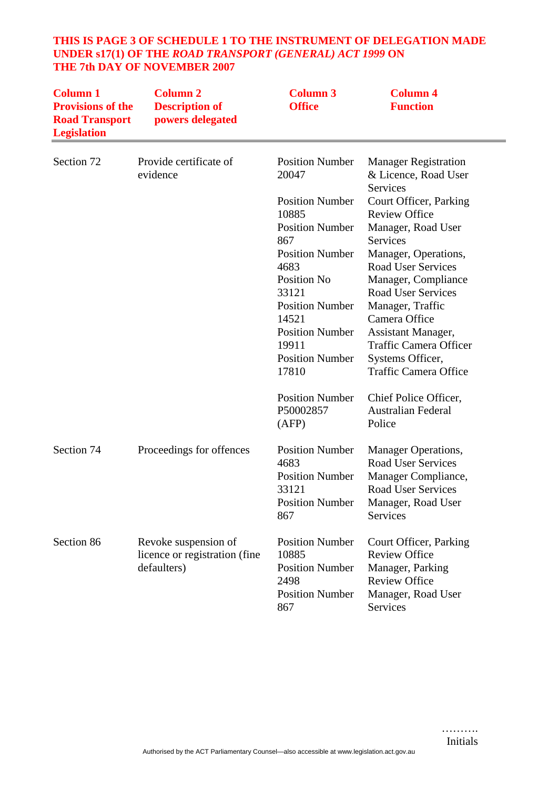| <b>Column 1</b><br><b>Provisions of the</b><br><b>Road Transport</b><br><b>Legislation</b> | <b>Column 2</b><br><b>Description of</b><br>powers delegated | <b>Column 3</b><br><b>Office</b> | <b>Column 4</b><br><b>Function</b>                              |
|--------------------------------------------------------------------------------------------|--------------------------------------------------------------|----------------------------------|-----------------------------------------------------------------|
| Section 72                                                                                 | Provide certificate of<br>evidence                           | <b>Position Number</b><br>20047  | <b>Manager Registration</b><br>& Licence, Road User<br>Services |
|                                                                                            |                                                              | <b>Position Number</b>           | Court Officer, Parking                                          |
|                                                                                            |                                                              | 10885                            | <b>Review Office</b>                                            |
|                                                                                            |                                                              | <b>Position Number</b>           | Manager, Road User                                              |
|                                                                                            |                                                              | 867                              | <b>Services</b>                                                 |
|                                                                                            |                                                              | <b>Position Number</b>           | Manager, Operations,                                            |
|                                                                                            |                                                              | 4683                             | <b>Road User Services</b>                                       |
|                                                                                            |                                                              | Position No                      | Manager, Compliance                                             |
|                                                                                            |                                                              | 33121                            | <b>Road User Services</b>                                       |
|                                                                                            |                                                              | <b>Position Number</b>           | Manager, Traffic                                                |
|                                                                                            |                                                              | 14521                            | Camera Office                                                   |
|                                                                                            |                                                              | <b>Position Number</b>           | Assistant Manager,                                              |
|                                                                                            |                                                              | 19911                            | <b>Traffic Camera Officer</b>                                   |
|                                                                                            |                                                              | <b>Position Number</b>           | Systems Officer,                                                |
|                                                                                            |                                                              | 17810                            | <b>Traffic Camera Office</b>                                    |
|                                                                                            |                                                              | <b>Position Number</b>           | Chief Police Officer,                                           |
|                                                                                            |                                                              | P50002857                        | <b>Australian Federal</b>                                       |
|                                                                                            |                                                              | (AFP)                            | Police                                                          |
| Section 74                                                                                 | Proceedings for offences                                     | <b>Position Number</b>           | <b>Manager Operations,</b>                                      |
|                                                                                            |                                                              | 4683                             | <b>Road User Services</b>                                       |
|                                                                                            |                                                              | <b>Position Number</b>           | Manager Compliance,                                             |
|                                                                                            |                                                              | 33121                            | <b>Road User Services</b>                                       |
|                                                                                            |                                                              | <b>Position Number</b>           | Manager, Road User                                              |
|                                                                                            |                                                              | 867                              | Services                                                        |

#### **THIS IS PAGE 3 OF SCHEDULE 1 TO THE INSTRUMENT OF DELEGATION MADE UNDER s17(1) OF THE** *ROAD TRANSPORT (GENERAL) ACT 1999* **ON THE 7th DAY OF NOVEMBER 2007**

Court Officer, Parking

Manager, Road User

Review Office Manager, Parking Review Office

Services

Position Number

Position Number

Position Number

10885

2498

867

Section 86 Revoke suspension of

defaulters)

licence or registration (fine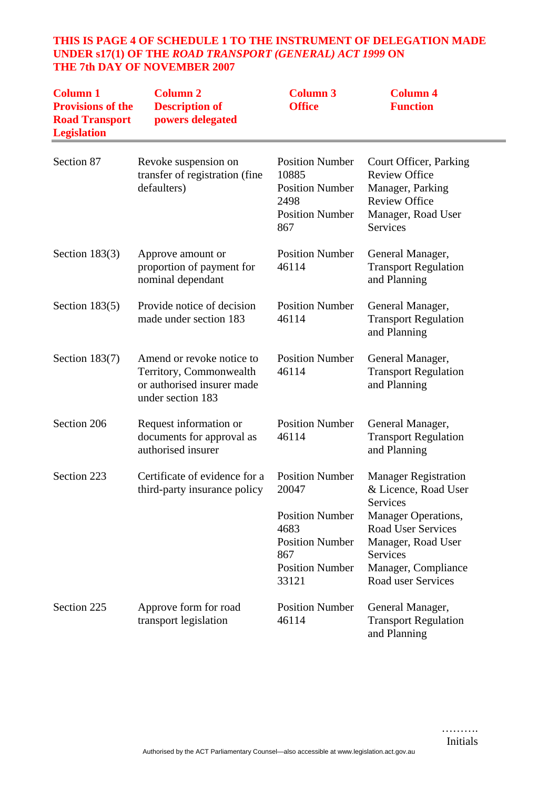## **THIS IS PAGE 4 OF SCHEDULE 1 TO THE INSTRUMENT OF DELEGATION MADE UNDER s17(1) OF THE** *ROAD TRANSPORT (GENERAL) ACT 1999* **ON THE 7th DAY OF NOVEMBER 2007**

| <b>Column 1</b><br><b>Provisions of the</b><br><b>Road Transport</b><br><b>Legislation</b> | <b>Column 2</b><br><b>Description of</b><br>powers delegated                                            | <b>Column 3</b><br><b>Office</b>                                                                                                      | <b>Column 4</b><br><b>Function</b>                                                                                                                                                                               |
|--------------------------------------------------------------------------------------------|---------------------------------------------------------------------------------------------------------|---------------------------------------------------------------------------------------------------------------------------------------|------------------------------------------------------------------------------------------------------------------------------------------------------------------------------------------------------------------|
| Section 87                                                                                 | Revoke suspension on<br>transfer of registration (fine<br>defaulters)                                   | <b>Position Number</b><br>10885<br><b>Position Number</b><br>2498<br><b>Position Number</b><br>867                                    | Court Officer, Parking<br><b>Review Office</b><br>Manager, Parking<br><b>Review Office</b><br>Manager, Road User<br>Services                                                                                     |
| Section $183(3)$                                                                           | Approve amount or<br>proportion of payment for<br>nominal dependant                                     | <b>Position Number</b><br>46114                                                                                                       | General Manager,<br><b>Transport Regulation</b><br>and Planning                                                                                                                                                  |
| Section $183(5)$                                                                           | Provide notice of decision<br>made under section 183                                                    | <b>Position Number</b><br>46114                                                                                                       | General Manager,<br><b>Transport Regulation</b><br>and Planning                                                                                                                                                  |
| Section $183(7)$                                                                           | Amend or revoke notice to<br>Territory, Commonwealth<br>or authorised insurer made<br>under section 183 | <b>Position Number</b><br>46114                                                                                                       | General Manager,<br><b>Transport Regulation</b><br>and Planning                                                                                                                                                  |
| Section 206                                                                                | Request information or<br>documents for approval as<br>authorised insurer                               | <b>Position Number</b><br>46114                                                                                                       | General Manager,<br><b>Transport Regulation</b><br>and Planning                                                                                                                                                  |
| Section 223                                                                                | Certificate of evidence for a<br>third-party insurance policy                                           | <b>Position Number</b><br>20047<br><b>Position Number</b><br>4683<br><b>Position Number</b><br>867<br><b>Position Number</b><br>33121 | <b>Manager Registration</b><br>& Licence, Road User<br><b>Services</b><br><b>Manager Operations,</b><br><b>Road User Services</b><br>Manager, Road User<br>Services<br>Manager, Compliance<br>Road user Services |
| Section 225                                                                                | Approve form for road<br>transport legislation                                                          | <b>Position Number</b><br>46114                                                                                                       | General Manager,<br><b>Transport Regulation</b><br>and Planning                                                                                                                                                  |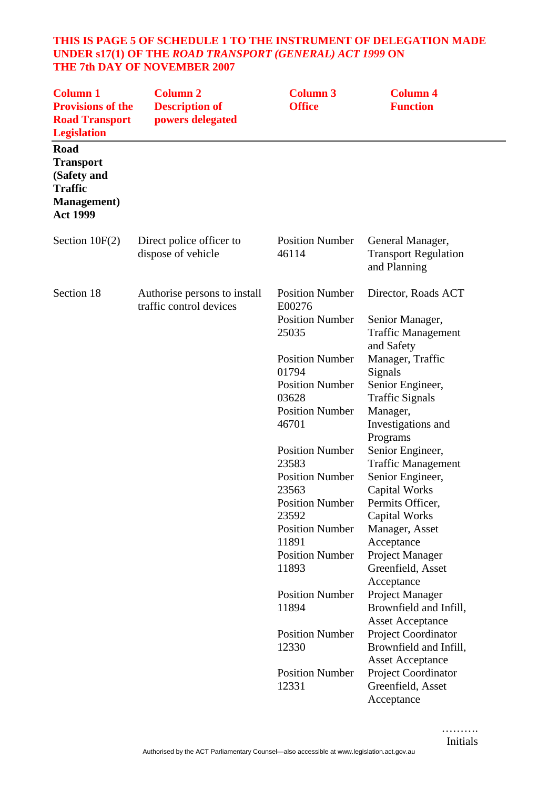#### **THIS IS PAGE 5 OF SCHEDULE 1 TO THE INSTRUMENT OF DELEGATION MADE UNDER s17(1) OF THE** *ROAD TRANSPORT (GENERAL) ACT 1999* **ON THE 7th DAY OF NOVEMBER 2007**

| <b>Column 1</b><br><b>Provisions of the</b><br><b>Road Transport</b><br><b>Legislation</b>                 | <b>Column 2</b><br><b>Description of</b><br>powers delegated | <b>Column 3</b><br><b>Office</b>                                                                      | <b>Column 4</b><br><b>Function</b>                                                                                        |
|------------------------------------------------------------------------------------------------------------|--------------------------------------------------------------|-------------------------------------------------------------------------------------------------------|---------------------------------------------------------------------------------------------------------------------------|
| <b>Road</b><br><b>Transport</b><br>(Safety and<br><b>Traffic</b><br><b>Management</b> )<br><b>Act 1999</b> |                                                              |                                                                                                       |                                                                                                                           |
| Section $10F(2)$                                                                                           | Direct police officer to<br>dispose of vehicle               | <b>Position Number</b><br>46114                                                                       | General Manager,<br><b>Transport Regulation</b><br>and Planning                                                           |
| Section 18                                                                                                 | Authorise persons to install<br>traffic control devices      | <b>Position Number</b><br>E00276<br><b>Position Number</b><br>25035                                   | Director, Roads ACT<br>Senior Manager,<br><b>Traffic Management</b>                                                       |
|                                                                                                            |                                                              | <b>Position Number</b><br>01794<br><b>Position Number</b><br>03628<br><b>Position Number</b><br>46701 | and Safety<br>Manager, Traffic<br>Signals<br>Senior Engineer,<br><b>Traffic Signals</b><br>Manager,<br>Investigations and |
|                                                                                                            |                                                              | <b>Position Number</b><br>23583<br><b>Position Number</b><br>23563<br><b>Position Number</b>          | Programs<br>Senior Engineer,<br><b>Traffic Management</b><br>Senior Engineer,<br><b>Capital Works</b><br>Permits Officer, |
|                                                                                                            |                                                              | 23592<br><b>Position Number</b><br>11891<br><b>Position Number</b><br>11893                           | Capital Works<br>Manager, Asset<br>Acceptance<br>Project Manager<br>Greenfield, Asset<br>Acceptance                       |
|                                                                                                            |                                                              | <b>Position Number</b><br>11894                                                                       | Project Manager<br>Brownfield and Infill,<br><b>Asset Acceptance</b>                                                      |
|                                                                                                            |                                                              | <b>Position Number</b><br>12330                                                                       | Project Coordinator<br>Brownfield and Infill,<br><b>Asset Acceptance</b>                                                  |
|                                                                                                            |                                                              | <b>Position Number</b><br>12331                                                                       | Project Coordinator<br>Greenfield, Asset<br>Acceptance                                                                    |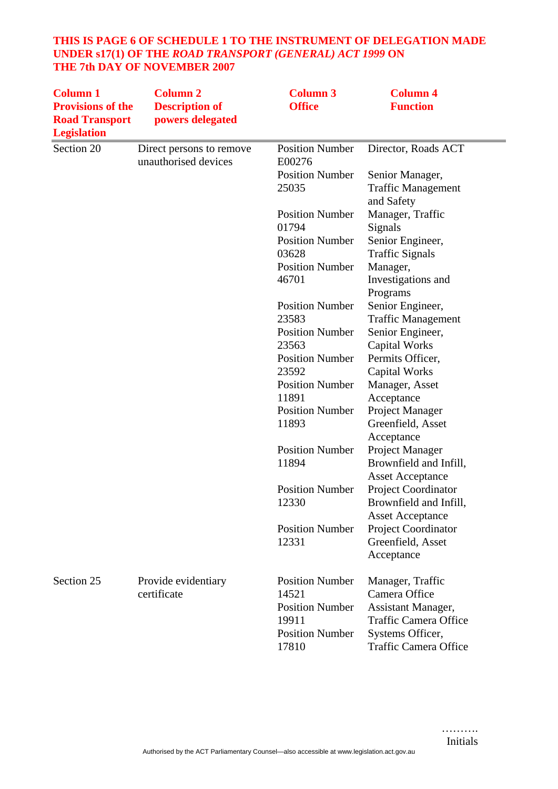## **THIS IS PAGE 6 OF SCHEDULE 1 TO THE INSTRUMENT OF DELEGATION MADE UNDER s17(1) OF THE** *ROAD TRANSPORT (GENERAL) ACT 1999* **ON THE 7th DAY OF NOVEMBER 2007**

| <b>Column 1</b><br><b>Provisions of the</b><br><b>Road Transport</b><br><b>Legislation</b> | <b>Column 2</b><br><b>Description of</b><br>powers delegated | <b>Column 3</b><br><b>Office</b>                                                                      | <b>Column 4</b><br><b>Function</b>                                                                                                          |
|--------------------------------------------------------------------------------------------|--------------------------------------------------------------|-------------------------------------------------------------------------------------------------------|---------------------------------------------------------------------------------------------------------------------------------------------|
| Section 20                                                                                 | Direct persons to remove<br>unauthorised devices             | <b>Position Number</b><br>E00276                                                                      | Director, Roads ACT                                                                                                                         |
|                                                                                            |                                                              | <b>Position Number</b><br>25035                                                                       | Senior Manager,<br><b>Traffic Management</b>                                                                                                |
|                                                                                            |                                                              | <b>Position Number</b><br>01794                                                                       | and Safety<br>Manager, Traffic                                                                                                              |
|                                                                                            |                                                              | <b>Position Number</b><br>03628                                                                       | Signals<br>Senior Engineer,<br><b>Traffic Signals</b>                                                                                       |
|                                                                                            |                                                              | <b>Position Number</b><br>46701                                                                       | Manager,<br>Investigations and<br>Programs                                                                                                  |
|                                                                                            |                                                              | <b>Position Number</b><br>23583                                                                       | Senior Engineer,<br><b>Traffic Management</b>                                                                                               |
|                                                                                            |                                                              | <b>Position Number</b><br>23563                                                                       | Senior Engineer,<br><b>Capital Works</b>                                                                                                    |
|                                                                                            |                                                              | <b>Position Number</b><br>23592                                                                       | Permits Officer,<br><b>Capital Works</b>                                                                                                    |
|                                                                                            |                                                              | <b>Position Number</b><br>11891<br><b>Position Number</b>                                             | Manager, Asset<br>Acceptance                                                                                                                |
|                                                                                            |                                                              | 11893                                                                                                 | Project Manager<br>Greenfield, Asset<br>Acceptance                                                                                          |
|                                                                                            |                                                              | <b>Position Number</b><br>11894                                                                       | Project Manager<br>Brownfield and Infill,<br><b>Asset Acceptance</b>                                                                        |
|                                                                                            |                                                              | <b>Position Number</b><br>12330                                                                       | <b>Project Coordinator</b><br>Brownfield and Infill,<br><b>Asset Acceptance</b>                                                             |
|                                                                                            |                                                              | <b>Position Number</b><br>12331                                                                       | Project Coordinator<br>Greenfield, Asset<br>Acceptance                                                                                      |
| Section 25                                                                                 | Provide evidentiary<br>certificate                           | <b>Position Number</b><br>14521<br><b>Position Number</b><br>19911<br><b>Position Number</b><br>17810 | Manager, Traffic<br>Camera Office<br>Assistant Manager,<br><b>Traffic Camera Office</b><br>Systems Officer,<br><b>Traffic Camera Office</b> |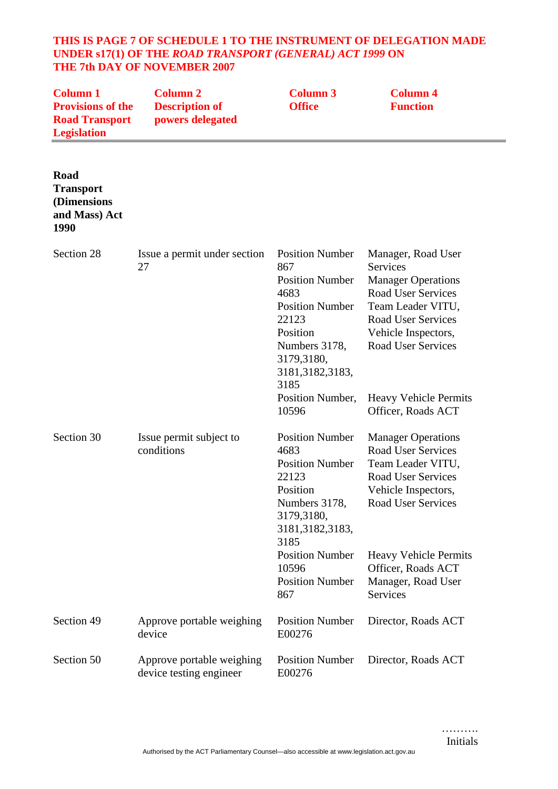#### **THIS IS PAGE 7 OF SCHEDULE 1 TO THE INSTRUMENT OF DELEGATION MADE UNDER s17(1) OF THE** *ROAD TRANSPORT (GENERAL) ACT 1999* **ON THE 7th DAY OF NOVEMBER 2007**

| <b>Column 1</b><br><b>Provisions of the</b><br><b>Road Transport</b><br><b>Legislation</b> | <b>Column 2</b><br><b>Description of</b><br>powers delegated | <b>Column 3</b><br><b>Office</b>                                                                                                                                           | <b>Column 4</b><br><b>Function</b>                                                                                                                                                             |
|--------------------------------------------------------------------------------------------|--------------------------------------------------------------|----------------------------------------------------------------------------------------------------------------------------------------------------------------------------|------------------------------------------------------------------------------------------------------------------------------------------------------------------------------------------------|
| Road<br><b>Transport</b><br>(Dimensions<br>and Mass) Act<br>1990                           |                                                              |                                                                                                                                                                            |                                                                                                                                                                                                |
| Section 28                                                                                 | Issue a permit under section<br>27                           | <b>Position Number</b><br>867<br><b>Position Number</b><br>4683<br><b>Position Number</b><br>22123<br>Position<br>Numbers 3178,<br>3179,3180,<br>3181, 3182, 3183,<br>3185 | Manager, Road User<br>Services<br><b>Manager Operations</b><br><b>Road User Services</b><br>Team Leader VITU,<br><b>Road User Services</b><br>Vehicle Inspectors,<br><b>Road User Services</b> |
|                                                                                            |                                                              | Position Number,<br>10596                                                                                                                                                  | <b>Heavy Vehicle Permits</b><br>Officer, Roads ACT                                                                                                                                             |
| Section 30                                                                                 | Issue permit subject to<br>conditions                        | <b>Position Number</b><br>4683<br><b>Position Number</b><br>22123<br>Position<br>Numbers 3178,<br>3179,3180,<br>3181, 3182, 3183,<br>3185                                  | <b>Manager Operations</b><br><b>Road User Services</b><br>Team Leader VITU,<br><b>Road User Services</b><br>Vehicle Inspectors,<br><b>Road User Services</b>                                   |
|                                                                                            |                                                              | <b>Position Number</b><br>10596<br><b>Position Number</b><br>867                                                                                                           | <b>Heavy Vehicle Permits</b><br>Officer, Roads ACT<br>Manager, Road User<br>Services                                                                                                           |
| Section 49                                                                                 | Approve portable weighing<br>device                          | <b>Position Number</b><br>E00276                                                                                                                                           | Director, Roads ACT                                                                                                                                                                            |
| Section 50                                                                                 | Approve portable weighing<br>device testing engineer         | <b>Position Number</b><br>E00276                                                                                                                                           | Director, Roads ACT                                                                                                                                                                            |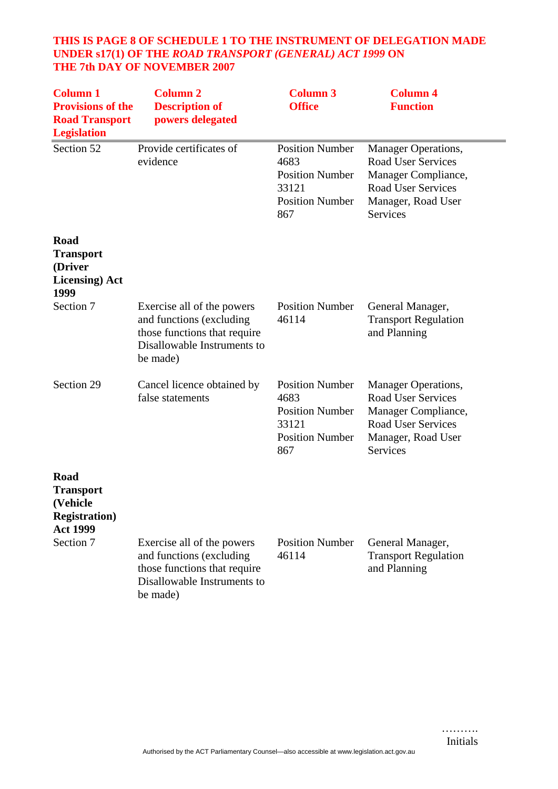## **THIS IS PAGE 8 OF SCHEDULE 1 TO THE INSTRUMENT OF DELEGATION MADE UNDER s17(1) OF THE** *ROAD TRANSPORT (GENERAL) ACT 1999* **ON THE 7th DAY OF NOVEMBER 2007**

| <b>Column 1</b><br><b>Provisions of the</b><br><b>Road Transport</b><br><b>Legislation</b> | <b>Column 2</b><br><b>Description of</b><br>powers delegated                                                                      | <b>Column 3</b><br><b>Office</b>                                                                   | <b>Column 4</b><br><b>Function</b>                                                                                                                   |
|--------------------------------------------------------------------------------------------|-----------------------------------------------------------------------------------------------------------------------------------|----------------------------------------------------------------------------------------------------|------------------------------------------------------------------------------------------------------------------------------------------------------|
| Section 52                                                                                 | Provide certificates of<br>evidence                                                                                               | <b>Position Number</b><br>4683<br><b>Position Number</b><br>33121<br><b>Position Number</b><br>867 | Manager Operations,<br><b>Road User Services</b><br>Manager Compliance,<br><b>Road User Services</b><br>Manager, Road User<br><b>Services</b>        |
| Road<br><b>Transport</b><br>(Driver<br><b>Licensing</b> ) Act<br>1999                      |                                                                                                                                   |                                                                                                    |                                                                                                                                                      |
| Section 7                                                                                  | Exercise all of the powers<br>and functions (excluding<br>those functions that require<br>Disallowable Instruments to<br>be made) | <b>Position Number</b><br>46114                                                                    | General Manager,<br><b>Transport Regulation</b><br>and Planning                                                                                      |
| Section 29                                                                                 | Cancel licence obtained by<br>false statements                                                                                    | <b>Position Number</b><br>4683<br><b>Position Number</b><br>33121<br><b>Position Number</b><br>867 | <b>Manager Operations,</b><br><b>Road User Services</b><br>Manager Compliance,<br><b>Road User Services</b><br>Manager, Road User<br><b>Services</b> |
| Road<br><b>Transport</b><br>(Vehicle<br><b>Registration</b> )<br><b>Act 1999</b>           |                                                                                                                                   |                                                                                                    |                                                                                                                                                      |
| Section 7                                                                                  | Exercise all of the powers<br>and functions (excluding<br>those functions that require<br>Disallowable Instruments to<br>be made) | <b>Position Number</b><br>46114                                                                    | General Manager,<br><b>Transport Regulation</b><br>and Planning                                                                                      |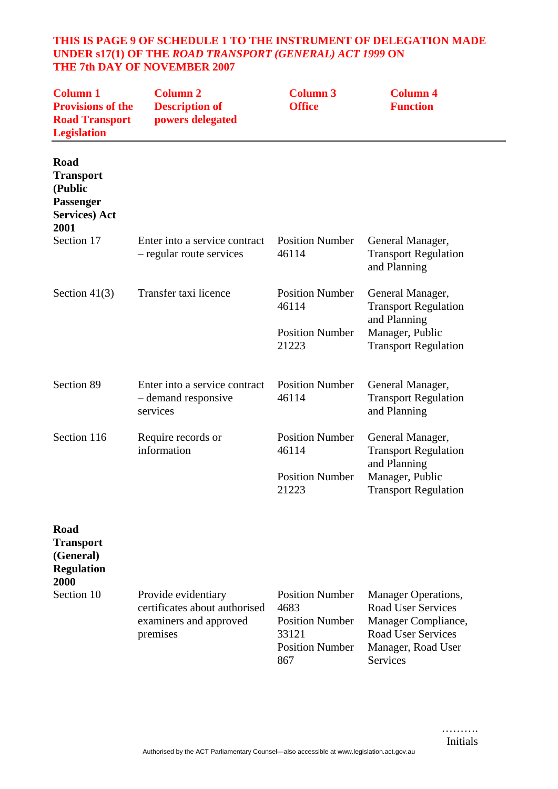#### **THIS IS PAGE 9 OF SCHEDULE 1 TO THE INSTRUMENT OF DELEGATION MADE UNDER s17(1) OF THE** *ROAD TRANSPORT (GENERAL) ACT 1999* **ON THE 7th DAY OF NOVEMBER 2007**

| <b>Column 1</b><br><b>Provisions of the</b><br><b>Road Transport</b><br><b>Legislation</b> | <b>Column 2</b><br><b>Description of</b><br>powers delegated                               | <b>Column 3</b><br><b>Office</b>                                                                   | <b>Column 4</b><br><b>Function</b>                                                                                                                   |
|--------------------------------------------------------------------------------------------|--------------------------------------------------------------------------------------------|----------------------------------------------------------------------------------------------------|------------------------------------------------------------------------------------------------------------------------------------------------------|
| Road<br><b>Transport</b><br>(Public<br>Passenger<br><b>Services</b> ) Act<br>2001          |                                                                                            |                                                                                                    |                                                                                                                                                      |
| Section 17                                                                                 | Enter into a service contract<br>- regular route services                                  | <b>Position Number</b><br>46114                                                                    | General Manager,<br><b>Transport Regulation</b><br>and Planning                                                                                      |
| Section $41(3)$                                                                            | Transfer taxi licence                                                                      | <b>Position Number</b><br>46114<br><b>Position Number</b><br>21223                                 | General Manager,<br><b>Transport Regulation</b><br>and Planning<br>Manager, Public<br><b>Transport Regulation</b>                                    |
| Section 89                                                                                 | Enter into a service contract<br>- demand responsive<br>services                           | <b>Position Number</b><br>46114                                                                    | General Manager,<br><b>Transport Regulation</b><br>and Planning                                                                                      |
| Section 116                                                                                | Require records or<br>information                                                          | <b>Position Number</b><br>46114<br><b>Position Number</b><br>21223                                 | General Manager,<br><b>Transport Regulation</b><br>and Planning<br>Manager, Public<br><b>Transport Regulation</b>                                    |
| Road<br><b>Transport</b><br>(General)<br><b>Regulation</b><br>2000                         |                                                                                            |                                                                                                    |                                                                                                                                                      |
| Section 10                                                                                 | Provide evidentiary<br>certificates about authorised<br>examiners and approved<br>premises | <b>Position Number</b><br>4683<br><b>Position Number</b><br>33121<br><b>Position Number</b><br>867 | <b>Manager Operations,</b><br><b>Road User Services</b><br>Manager Compliance,<br><b>Road User Services</b><br>Manager, Road User<br><b>Services</b> |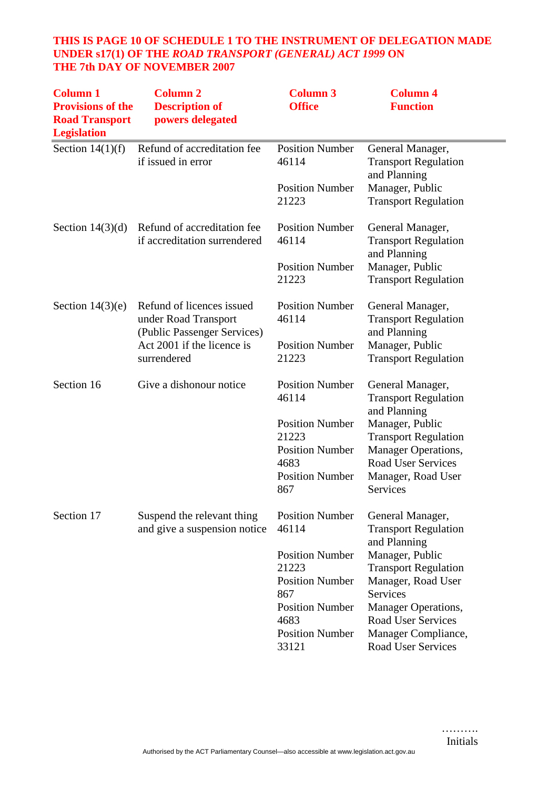## **THIS IS PAGE 10 OF SCHEDULE 1 TO THE INSTRUMENT OF DELEGATION MADE UNDER s17(1) OF THE** *ROAD TRANSPORT (GENERAL) ACT 1999* **ON THE 7th DAY OF NOVEMBER 2007**

| <b>Column 1</b><br><b>Provisions of the</b><br><b>Road Transport</b><br><b>Legislation</b> | <b>Column 2</b><br><b>Description of</b><br>powers delegated                     | <b>Column 3</b><br><b>Office</b>        | <b>Column 4</b><br><b>Function</b>                                   |
|--------------------------------------------------------------------------------------------|----------------------------------------------------------------------------------|-----------------------------------------|----------------------------------------------------------------------|
| Section $14(1)(f)$                                                                         | Refund of accreditation fee<br>if issued in error                                | <b>Position Number</b><br>46114         | General Manager,<br><b>Transport Regulation</b><br>and Planning      |
|                                                                                            |                                                                                  | <b>Position Number</b><br>21223         | Manager, Public<br><b>Transport Regulation</b>                       |
| Section $14(3)(d)$                                                                         | Refund of accreditation fee<br>if accreditation surrendered                      | <b>Position Number</b><br>46114         | General Manager,<br><b>Transport Regulation</b><br>and Planning      |
|                                                                                            |                                                                                  | <b>Position Number</b><br>21223         | Manager, Public<br><b>Transport Regulation</b>                       |
| Section $14(3)(e)$                                                                         | Refund of licences issued<br>under Road Transport<br>(Public Passenger Services) | <b>Position Number</b><br>46114         | General Manager,<br><b>Transport Regulation</b><br>and Planning      |
|                                                                                            | Act 2001 if the licence is<br>surrendered                                        | <b>Position Number</b><br>21223         | Manager, Public<br><b>Transport Regulation</b>                       |
| Section 16                                                                                 | Give a dishonour notice                                                          | <b>Position Number</b><br>46114         | General Manager,<br><b>Transport Regulation</b><br>and Planning      |
|                                                                                            |                                                                                  | <b>Position Number</b><br>21223         | Manager, Public<br><b>Transport Regulation</b>                       |
|                                                                                            |                                                                                  | <b>Position Number</b><br>4683          | Manager Operations,<br><b>Road User Services</b>                     |
|                                                                                            |                                                                                  | <b>Position Number</b><br>867           | Manager, Road User<br>Services                                       |
| Section 17                                                                                 | Suspend the relevant thing<br>and give a suspension notice                       | <b>Position Number</b><br>46114         | General Manager,<br><b>Transport Regulation</b><br>and Planning      |
|                                                                                            |                                                                                  | <b>Position Number</b><br>21223         | Manager, Public                                                      |
|                                                                                            |                                                                                  | <b>Position Number</b><br>867           | <b>Transport Regulation</b><br>Manager, Road User<br><b>Services</b> |
|                                                                                            |                                                                                  | <b>Position Number</b>                  | Manager Operations,<br><b>Road User Services</b>                     |
|                                                                                            |                                                                                  | 4683<br><b>Position Number</b><br>33121 | Manager Compliance,<br>Road User Services                            |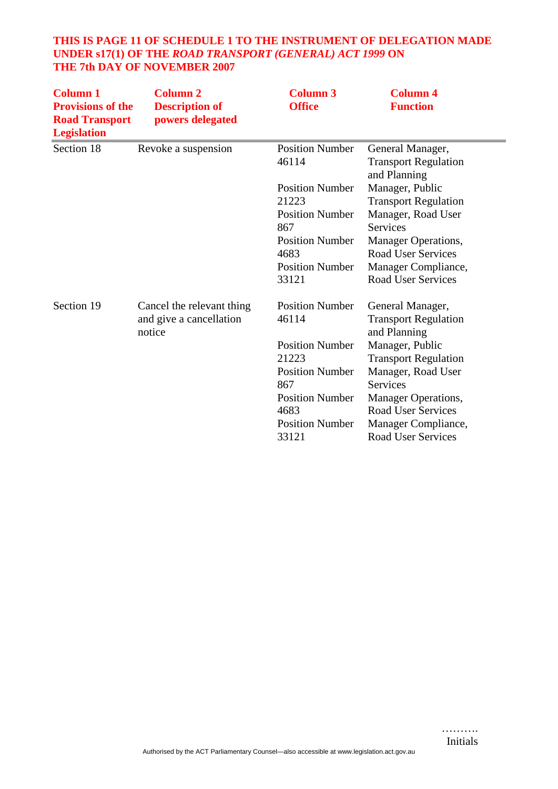## **THIS IS PAGE 11 OF SCHEDULE 1 TO THE INSTRUMENT OF DELEGATION MADE UNDER s17(1) OF THE** *ROAD TRANSPORT (GENERAL) ACT 1999* **ON THE 7th DAY OF NOVEMBER 2007**

| <b>Column 1</b><br><b>Provisions of the</b><br><b>Road Transport</b><br><b>Legislation</b> | <b>Column 2</b><br><b>Description of</b><br>powers delegated | <b>Column 3</b><br><b>Office</b>                                                                                                               | <b>Column 4</b><br><b>Function</b>                                                                                                                                                                                                      |
|--------------------------------------------------------------------------------------------|--------------------------------------------------------------|------------------------------------------------------------------------------------------------------------------------------------------------|-----------------------------------------------------------------------------------------------------------------------------------------------------------------------------------------------------------------------------------------|
| Section 18                                                                                 | Revoke a suspension                                          | <b>Position Number</b><br>46114                                                                                                                | General Manager,<br><b>Transport Regulation</b><br>and Planning                                                                                                                                                                         |
|                                                                                            |                                                              | <b>Position Number</b><br>21223<br><b>Position Number</b><br>867<br><b>Position Number</b><br>4683<br><b>Position Number</b>                   | Manager, Public<br><b>Transport Regulation</b><br>Manager, Road User<br><b>Services</b><br>Manager Operations,<br><b>Road User Services</b><br>Manager Compliance,                                                                      |
| Section 19                                                                                 | Cancel the relevant thing                                    | 33121<br><b>Position Number</b>                                                                                                                | <b>Road User Services</b><br>General Manager,                                                                                                                                                                                           |
|                                                                                            | and give a cancellation<br>notice                            | 46114<br><b>Position Number</b><br>21223<br><b>Position Number</b><br>867<br><b>Position Number</b><br>4683<br><b>Position Number</b><br>33121 | <b>Transport Regulation</b><br>and Planning<br>Manager, Public<br><b>Transport Regulation</b><br>Manager, Road User<br>Services<br>Manager Operations,<br><b>Road User Services</b><br>Manager Compliance,<br><b>Road User Services</b> |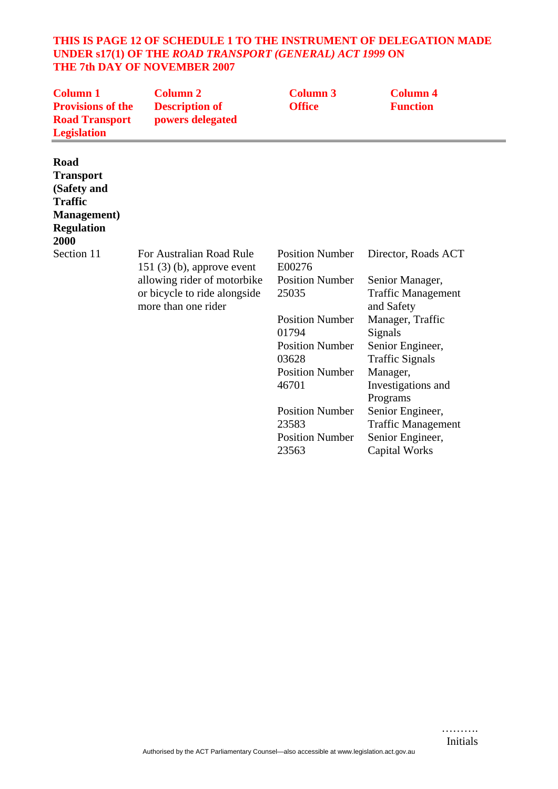#### **THIS IS PAGE 12 OF SCHEDULE 1 TO THE INSTRUMENT OF DELEGATION MADE UNDER s17(1) OF THE** *ROAD TRANSPORT (GENERAL) ACT 1999* **ON THE 7th DAY OF NOVEMBER 2007**

| <b>Column 1</b><br><b>Provisions of the</b><br><b>Road Transport</b><br><b>Legislation</b>                    | <b>Column 2</b><br><b>Description of</b><br>powers delegated                                                                                   | <b>Column 3</b><br><b>Office</b>                                                                                                                                                                                                                   | <b>Column 4</b><br><b>Function</b>                                                                                                                                                                                                                                                                        |
|---------------------------------------------------------------------------------------------------------------|------------------------------------------------------------------------------------------------------------------------------------------------|----------------------------------------------------------------------------------------------------------------------------------------------------------------------------------------------------------------------------------------------------|-----------------------------------------------------------------------------------------------------------------------------------------------------------------------------------------------------------------------------------------------------------------------------------------------------------|
| Road<br><b>Transport</b><br>(Safety and<br><b>Traffic</b><br><b>Management</b> )<br><b>Regulation</b><br>2000 |                                                                                                                                                |                                                                                                                                                                                                                                                    |                                                                                                                                                                                                                                                                                                           |
| Section 11                                                                                                    | For Australian Road Rule<br>$151$ (3) (b), approve event<br>allowing rider of motorbike<br>or bicycle to ride alongside<br>more than one rider | <b>Position Number</b><br>E00276<br><b>Position Number</b><br>25035<br><b>Position Number</b><br>01794<br><b>Position Number</b><br>03628<br><b>Position Number</b><br>46701<br><b>Position Number</b><br>23583<br><b>Position Number</b><br>23563 | Director, Roads ACT<br>Senior Manager,<br><b>Traffic Management</b><br>and Safety<br>Manager, Traffic<br>Signals<br>Senior Engineer,<br><b>Traffic Signals</b><br>Manager,<br>Investigations and<br>Programs<br>Senior Engineer,<br><b>Traffic Management</b><br>Senior Engineer,<br><b>Capital Works</b> |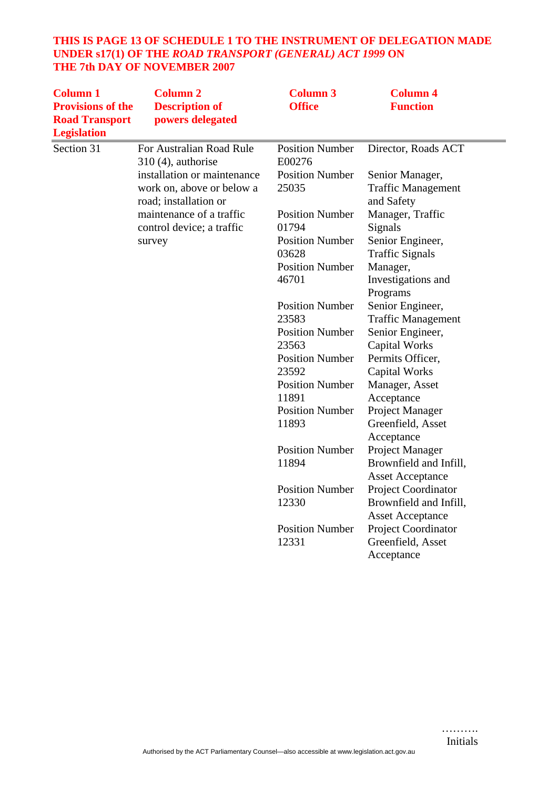## **THIS IS PAGE 13 OF SCHEDULE 1 TO THE INSTRUMENT OF DELEGATION MADE UNDER s17(1) OF THE** *ROAD TRANSPORT (GENERAL) ACT 1999* **ON THE 7th DAY OF NOVEMBER 2007**

| <b>Column 1</b>                             | <b>Column 2</b>                                    | <b>Column 3</b>                  | <b>Column 4</b>                         |
|---------------------------------------------|----------------------------------------------------|----------------------------------|-----------------------------------------|
| <b>Provisions of the</b>                    | <b>Description of</b>                              | <b>Office</b>                    | <b>Function</b>                         |
| <b>Road Transport</b><br><b>Legislation</b> | powers delegated                                   |                                  |                                         |
| Section 31                                  | For Australian Road Rule<br>$310(4)$ , authorise   | <b>Position Number</b><br>E00276 | Director, Roads ACT                     |
|                                             | installation or maintenance                        | <b>Position Number</b>           | Senior Manager,                         |
|                                             | work on, above or below a<br>road; installation or | 25035                            | <b>Traffic Management</b><br>and Safety |
|                                             | maintenance of a traffic                           | <b>Position Number</b>           | Manager, Traffic                        |
|                                             | control device; a traffic                          | 01794                            | Signals                                 |
|                                             | survey                                             | <b>Position Number</b>           | Senior Engineer,                        |
|                                             |                                                    | 03628                            | <b>Traffic Signals</b>                  |
|                                             |                                                    | <b>Position Number</b>           | Manager,                                |
|                                             |                                                    | 46701                            | Investigations and<br>Programs          |
|                                             |                                                    | <b>Position Number</b>           | Senior Engineer,                        |
|                                             |                                                    | 23583                            | <b>Traffic Management</b>               |
|                                             |                                                    | <b>Position Number</b>           | Senior Engineer,                        |
|                                             |                                                    | 23563                            | <b>Capital Works</b>                    |
|                                             |                                                    | <b>Position Number</b>           | Permits Officer,                        |
|                                             |                                                    | 23592                            | <b>Capital Works</b>                    |
|                                             |                                                    | <b>Position Number</b>           | Manager, Asset                          |
|                                             |                                                    | 11891                            | Acceptance                              |
|                                             |                                                    | <b>Position Number</b>           | Project Manager                         |
|                                             |                                                    | 11893                            | Greenfield, Asset                       |
|                                             |                                                    |                                  | Acceptance                              |
|                                             |                                                    | <b>Position Number</b>           | Project Manager                         |
|                                             |                                                    | 11894                            | Brownfield and Infill,                  |
|                                             |                                                    |                                  | <b>Asset Acceptance</b>                 |
|                                             |                                                    | <b>Position Number</b>           | Project Coordinator                     |
|                                             |                                                    | 12330                            | Brownfield and Infill,                  |
|                                             |                                                    |                                  | <b>Asset Acceptance</b>                 |
|                                             |                                                    | <b>Position Number</b>           | <b>Project Coordinator</b>              |
|                                             |                                                    | 12331                            | Greenfield, Asset                       |
|                                             |                                                    |                                  | Acceptance                              |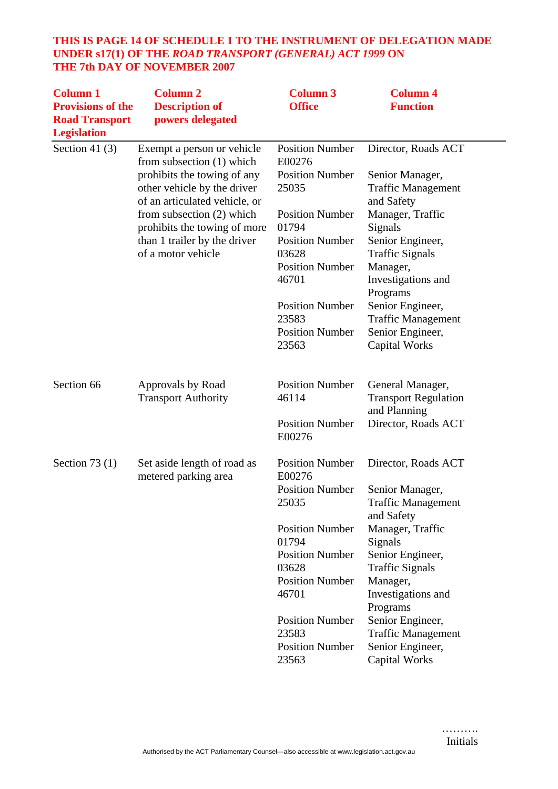## **THIS IS PAGE 14 OF SCHEDULE 1 TO THE INSTRUMENT OF DELEGATION MADE UNDER s17(1) OF THE** *ROAD TRANSPORT (GENERAL) ACT 1999* **ON THE 7th DAY OF NOVEMBER 2007**

| <b>Column 1</b><br><b>Provisions of the</b><br><b>Road Transport</b><br><b>Legislation</b> | <b>Column 2</b><br><b>Description of</b><br>powers delegated                                | <b>Column 3</b><br><b>Office</b>                          | <b>Column 4</b><br><b>Function</b>                              |
|--------------------------------------------------------------------------------------------|---------------------------------------------------------------------------------------------|-----------------------------------------------------------|-----------------------------------------------------------------|
| Section 41 $(3)$                                                                           | Exempt a person or vehicle<br>from subsection (1) which                                     | <b>Position Number</b><br>E00276                          | Director, Roads ACT                                             |
|                                                                                            | prohibits the towing of any<br>other vehicle by the driver<br>of an articulated vehicle, or | <b>Position Number</b><br>25035                           | Senior Manager,<br><b>Traffic Management</b><br>and Safety      |
|                                                                                            | from subsection (2) which<br>prohibits the towing of more                                   | <b>Position Number</b><br>01794                           | Manager, Traffic<br>Signals                                     |
|                                                                                            | than 1 trailer by the driver<br>of a motor vehicle                                          | <b>Position Number</b><br>03628                           | Senior Engineer,<br><b>Traffic Signals</b>                      |
|                                                                                            |                                                                                             | <b>Position Number</b><br>46701                           | Manager,<br>Investigations and<br>Programs                      |
|                                                                                            |                                                                                             | <b>Position Number</b><br>23583                           | Senior Engineer,<br><b>Traffic Management</b>                   |
|                                                                                            |                                                                                             | <b>Position Number</b><br>23563                           | Senior Engineer,<br><b>Capital Works</b>                        |
| Section 66                                                                                 | Approvals by Road<br><b>Transport Authority</b>                                             | <b>Position Number</b><br>46114                           | General Manager,<br><b>Transport Regulation</b><br>and Planning |
|                                                                                            |                                                                                             | <b>Position Number</b><br>E00276                          | Director, Roads ACT                                             |
| Section 73 $(1)$                                                                           | Set aside length of road as<br>metered parking area                                         | <b>Position Number</b><br>E00276                          | Director, Roads ACT                                             |
|                                                                                            |                                                                                             | <b>Position Number</b><br>25035                           | Senior Manager,<br><b>Traffic Management</b><br>and Safety      |
|                                                                                            |                                                                                             | <b>Position Number</b><br>01794                           | Manager, Traffic<br>Signals                                     |
|                                                                                            |                                                                                             | <b>Position Number</b><br>03628                           | Senior Engineer,<br><b>Traffic Signals</b>                      |
|                                                                                            |                                                                                             | <b>Position Number</b><br>46701                           | Manager,<br>Investigations and<br>Programs                      |
|                                                                                            |                                                                                             | <b>Position Number</b><br>23583<br><b>Position Number</b> | Senior Engineer,<br><b>Traffic Management</b>                   |
|                                                                                            |                                                                                             | 23563                                                     | Senior Engineer,<br><b>Capital Works</b>                        |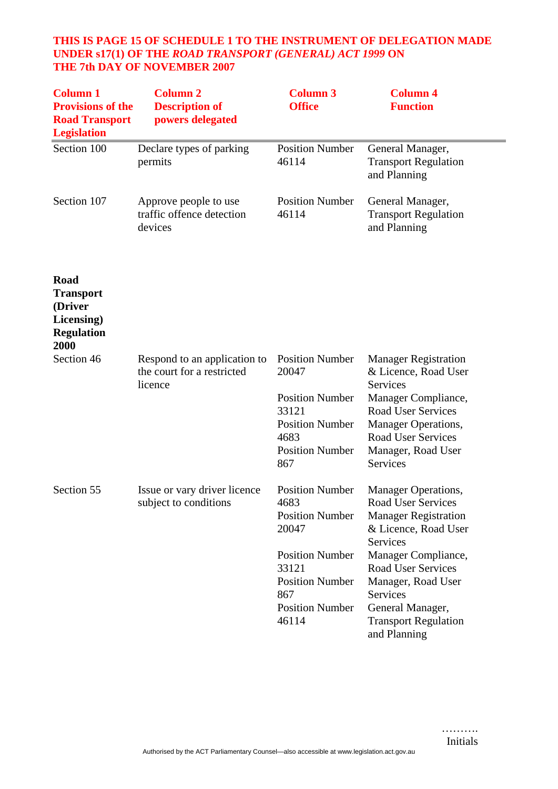#### **THIS IS PAGE 15 OF SCHEDULE 1 TO THE INSTRUMENT OF DELEGATION MADE UNDER s17(1) OF THE** *ROAD TRANSPORT (GENERAL) ACT 1999* **ON THE 7th DAY OF NOVEMBER 2007**

| <b>Column 1</b><br><b>Provisions of the</b><br><b>Road Transport</b><br><b>Legislation</b> | <b>Column 2</b><br><b>Description of</b><br>powers delegated          | <b>Column 3</b><br><b>Office</b>                                                                                                                                         | <b>Column 4</b><br><b>Function</b>                                                                                                                                                                                                                                    |
|--------------------------------------------------------------------------------------------|-----------------------------------------------------------------------|--------------------------------------------------------------------------------------------------------------------------------------------------------------------------|-----------------------------------------------------------------------------------------------------------------------------------------------------------------------------------------------------------------------------------------------------------------------|
| Section 100                                                                                | Declare types of parking<br>permits                                   | <b>Position Number</b><br>46114                                                                                                                                          | General Manager,<br><b>Transport Regulation</b><br>and Planning                                                                                                                                                                                                       |
| Section 107                                                                                | Approve people to use<br>traffic offence detection<br>devices         | <b>Position Number</b><br>46114                                                                                                                                          | General Manager,<br><b>Transport Regulation</b><br>and Planning                                                                                                                                                                                                       |
| Road<br><b>Transport</b><br>(Driver<br>Licensing)<br><b>Regulation</b><br>2000             |                                                                       |                                                                                                                                                                          |                                                                                                                                                                                                                                                                       |
| Section 46                                                                                 | Respond to an application to<br>the court for a restricted<br>licence | <b>Position Number</b><br>20047<br><b>Position Number</b><br>33121<br><b>Position Number</b><br>4683<br><b>Position Number</b><br>867                                    | <b>Manager Registration</b><br>& Licence, Road User<br>Services<br>Manager Compliance,<br><b>Road User Services</b><br>Manager Operations,<br><b>Road User Services</b><br>Manager, Road User<br>Services                                                             |
| Section 55                                                                                 | Issue or vary driver licence<br>subject to conditions                 | <b>Position Number</b><br>4683<br><b>Position Number</b><br>20047<br><b>Position Number</b><br>33121<br><b>Position Number</b><br>867<br><b>Position Number</b><br>46114 | Manager Operations,<br>Road User Services<br><b>Manager Registration</b><br>& Licence, Road User<br>Services<br>Manager Compliance,<br><b>Road User Services</b><br>Manager, Road User<br>Services<br>General Manager,<br><b>Transport Regulation</b><br>and Planning |

……….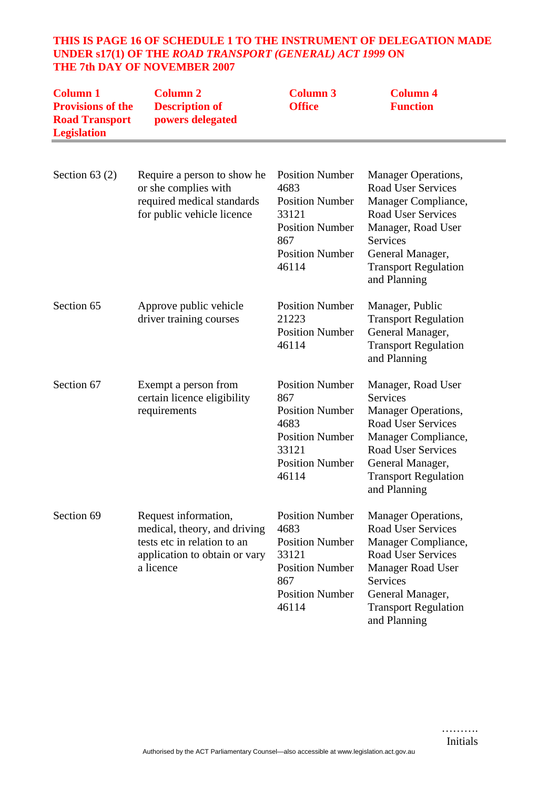## **THIS IS PAGE 16 OF SCHEDULE 1 TO THE INSTRUMENT OF DELEGATION MADE UNDER s17(1) OF THE** *ROAD TRANSPORT (GENERAL) ACT 1999* **ON THE 7th DAY OF NOVEMBER 2007**

| <b>Column 1</b><br><b>Provisions of the</b><br><b>Road Transport</b><br><b>Legislation</b> | <b>Column 2</b><br><b>Description of</b><br>powers delegated                                                                      | <b>Column 3</b><br><b>Office</b>                                                                                                      | <b>Column 4</b><br><b>Function</b>                                                                                                                                                                                            |
|--------------------------------------------------------------------------------------------|-----------------------------------------------------------------------------------------------------------------------------------|---------------------------------------------------------------------------------------------------------------------------------------|-------------------------------------------------------------------------------------------------------------------------------------------------------------------------------------------------------------------------------|
| Section $63(2)$                                                                            | Require a person to show he<br>or she complies with<br>required medical standards<br>for public vehicle licence                   | <b>Position Number</b><br>4683<br><b>Position Number</b><br>33121<br><b>Position Number</b><br>867<br><b>Position Number</b><br>46114 | <b>Manager Operations,</b><br><b>Road User Services</b><br>Manager Compliance,<br><b>Road User Services</b><br>Manager, Road User<br><b>Services</b><br>General Manager,<br><b>Transport Regulation</b><br>and Planning       |
| Section 65                                                                                 | Approve public vehicle<br>driver training courses                                                                                 | <b>Position Number</b><br>21223<br><b>Position Number</b><br>46114                                                                    | Manager, Public<br><b>Transport Regulation</b><br>General Manager,<br><b>Transport Regulation</b><br>and Planning                                                                                                             |
| Section 67                                                                                 | Exempt a person from<br>certain licence eligibility<br>requirements                                                               | <b>Position Number</b><br>867<br><b>Position Number</b><br>4683<br><b>Position Number</b><br>33121<br><b>Position Number</b><br>46114 | Manager, Road User<br><b>Services</b><br><b>Manager Operations,</b><br><b>Road User Services</b><br>Manager Compliance,<br><b>Road User Services</b><br>General Manager,<br><b>Transport Regulation</b><br>and Planning       |
| Section 69                                                                                 | Request information,<br>medical, theory, and driving<br>tests etc in relation to an<br>application to obtain or vary<br>a licence | <b>Position Number</b><br>4683<br><b>Position Number</b><br>33121<br><b>Position Number</b><br>867<br><b>Position Number</b><br>46114 | <b>Manager Operations,</b><br><b>Road User Services</b><br>Manager Compliance,<br><b>Road User Services</b><br><b>Manager Road User</b><br><b>Services</b><br>General Manager,<br><b>Transport Regulation</b><br>and Planning |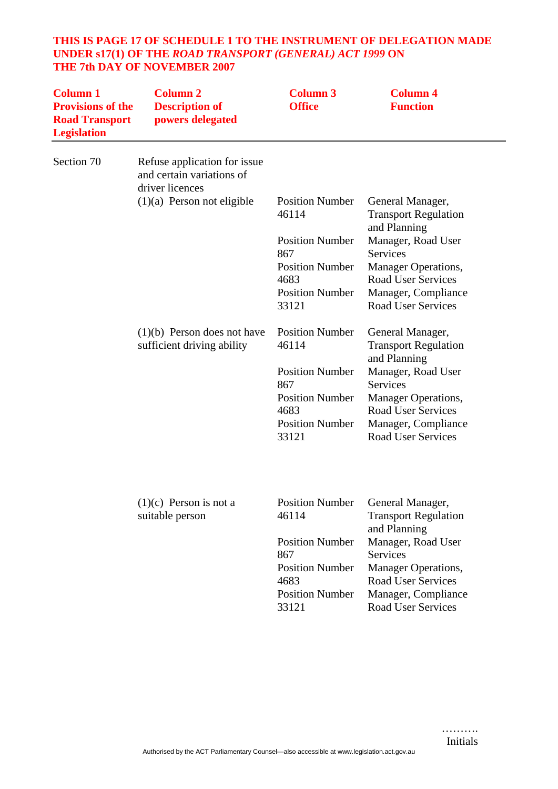## **THIS IS PAGE 17 OF SCHEDULE 1 TO THE INSTRUMENT OF DELEGATION MADE UNDER s17(1) OF THE** *ROAD TRANSPORT (GENERAL) ACT 1999* **ON THE 7th DAY OF NOVEMBER 2007**

| <b>Column 1</b><br><b>Provisions of the</b><br><b>Road Transport</b><br><b>Legislation</b> | <b>Column 2</b><br><b>Description of</b><br>powers delegated                 | <b>Column 3</b><br><b>Office</b>                                  | <b>Column 4</b><br><b>Function</b>                                                                          |
|--------------------------------------------------------------------------------------------|------------------------------------------------------------------------------|-------------------------------------------------------------------|-------------------------------------------------------------------------------------------------------------|
| Section 70                                                                                 | Refuse application for issue<br>and certain variations of<br>driver licences |                                                                   |                                                                                                             |
|                                                                                            | $(1)(a)$ Person not eligible                                                 | <b>Position Number</b><br>46114                                   | General Manager,<br><b>Transport Regulation</b><br>and Planning                                             |
|                                                                                            |                                                                              | <b>Position Number</b><br>867                                     | Manager, Road User<br><b>Services</b>                                                                       |
|                                                                                            |                                                                              | <b>Position Number</b><br>4683                                    | Manager Operations,<br><b>Road User Services</b>                                                            |
|                                                                                            |                                                                              | <b>Position Number</b><br>33121                                   | Manager, Compliance<br><b>Road User Services</b>                                                            |
|                                                                                            | $(1)(b)$ Person does not have<br>sufficient driving ability                  | <b>Position Number</b><br>46114                                   | General Manager,<br><b>Transport Regulation</b><br>and Planning                                             |
|                                                                                            |                                                                              | <b>Position Number</b>                                            | Manager, Road User                                                                                          |
|                                                                                            |                                                                              | 867<br><b>Position Number</b>                                     | <b>Services</b><br><b>Manager Operations,</b>                                                               |
|                                                                                            |                                                                              | 4683                                                              | <b>Road User Services</b>                                                                                   |
|                                                                                            |                                                                              | <b>Position Number</b><br>33121                                   | Manager, Compliance<br><b>Road User Services</b>                                                            |
|                                                                                            | $(1)(c)$ Person is not a                                                     | <b>Position Number</b>                                            | General Manager,                                                                                            |
|                                                                                            | suitable person                                                              | 46114                                                             | <b>Transport Regulation</b>                                                                                 |
|                                                                                            |                                                                              | <b>Position Number</b><br>867                                     | and Planning<br>Manager, Road User<br><b>Services</b>                                                       |
|                                                                                            |                                                                              | <b>Position Number</b><br>4683<br><b>Position Number</b><br>33121 | <b>Manager Operations,</b><br><b>Road User Services</b><br>Manager, Compliance<br><b>Road User Services</b> |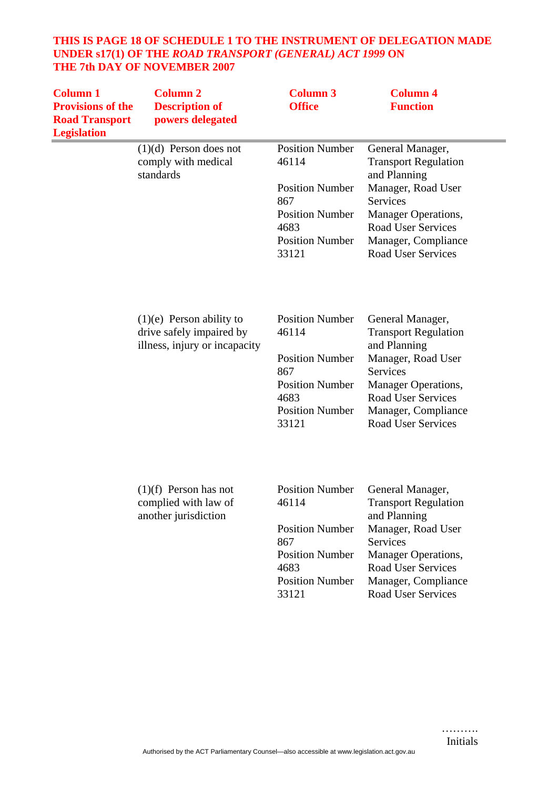#### **THIS IS PAGE 18 OF SCHEDULE 1 TO THE INSTRUMENT OF DELEGATION MADE UNDER s17(1) OF THE** *ROAD TRANSPORT (GENERAL) ACT 1999* **ON THE 7th DAY OF NOVEMBER 2007**

| <b>Column 1</b><br><b>Provisions of the</b><br><b>Road Transport</b><br><b>Legislation</b> | <b>Column 2</b><br><b>Description of</b><br>powers delegated                            | <b>Column 3</b><br><b>Office</b>                                                                                                      | <b>Column 4</b><br><b>Function</b>                                                                                                                                                                               |
|--------------------------------------------------------------------------------------------|-----------------------------------------------------------------------------------------|---------------------------------------------------------------------------------------------------------------------------------------|------------------------------------------------------------------------------------------------------------------------------------------------------------------------------------------------------------------|
|                                                                                            | $(1)(d)$ Person does not<br>comply with medical<br>standards                            | <b>Position Number</b><br>46114<br><b>Position Number</b><br>867<br><b>Position Number</b><br>4683<br><b>Position Number</b><br>33121 | General Manager,<br><b>Transport Regulation</b><br>and Planning<br>Manager, Road User<br><b>Services</b><br>Manager Operations,<br><b>Road User Services</b><br>Manager, Compliance<br><b>Road User Services</b> |
|                                                                                            | $(1)(e)$ Person ability to<br>drive safely impaired by<br>illness, injury or incapacity | <b>Position Number</b><br>46114<br><b>Position Number</b><br>867<br><b>Position Number</b><br>4683<br><b>Position Number</b><br>33121 | General Manager,<br><b>Transport Regulation</b><br>and Planning<br>Manager, Road User<br>Services<br>Manager Operations,<br><b>Road User Services</b><br>Manager, Compliance<br><b>Road User Services</b>        |
|                                                                                            | $(1)(f)$ Person has not<br>complied with law of<br>another jurisdiction                 | <b>Position Number</b><br>46114<br><b>Position Number</b><br>867<br><b>Position Number</b><br>4683<br><b>Position Number</b><br>33121 | General Manager,<br><b>Transport Regulation</b><br>and Planning<br>Manager, Road User<br><b>Services</b><br>Manager Operations,<br><b>Road User Services</b><br>Manager, Compliance<br><b>Road User Services</b> |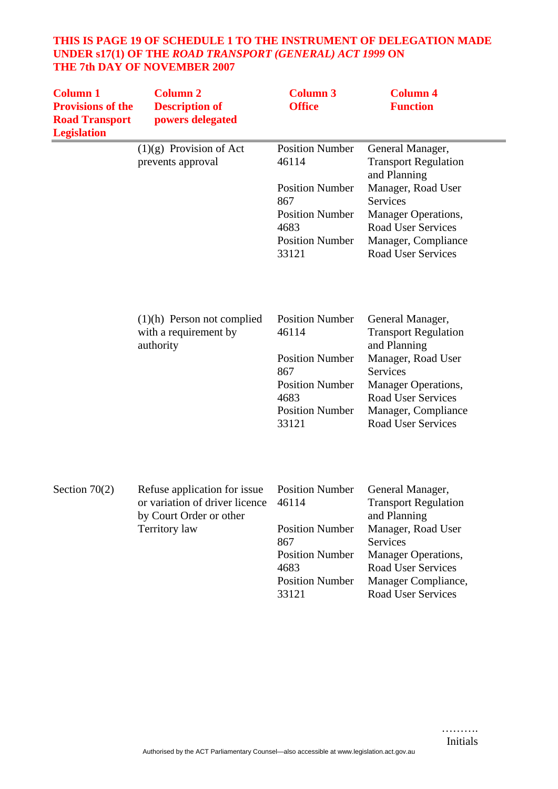## **THIS IS PAGE 19 OF SCHEDULE 1 TO THE INSTRUMENT OF DELEGATION MADE UNDER s17(1) OF THE** *ROAD TRANSPORT (GENERAL) ACT 1999* **ON THE 7th DAY OF NOVEMBER 2007**

| <b>Column 1</b><br><b>Provisions of the</b><br><b>Road Transport</b><br><b>Legislation</b> | <b>Column 2</b><br><b>Description of</b><br>powers delegated                                                      | <b>Column 3</b><br><b>Office</b>                                                                                                      | <b>Column 4</b><br><b>Function</b>                                                                                                                                                                        |
|--------------------------------------------------------------------------------------------|-------------------------------------------------------------------------------------------------------------------|---------------------------------------------------------------------------------------------------------------------------------------|-----------------------------------------------------------------------------------------------------------------------------------------------------------------------------------------------------------|
|                                                                                            | $(1)(g)$ Provision of Act<br>prevents approval                                                                    | <b>Position Number</b><br>46114<br><b>Position Number</b><br>867<br><b>Position Number</b><br>4683<br><b>Position Number</b><br>33121 | General Manager,<br><b>Transport Regulation</b><br>and Planning<br>Manager, Road User<br>Services<br>Manager Operations,<br><b>Road User Services</b><br>Manager, Compliance<br><b>Road User Services</b> |
|                                                                                            | $(1)(h)$ Person not complied<br>with a requirement by<br>authority                                                | <b>Position Number</b><br>46114<br><b>Position Number</b><br>867<br><b>Position Number</b><br>4683<br><b>Position Number</b><br>33121 | General Manager,<br><b>Transport Regulation</b><br>and Planning<br>Manager, Road User<br>Services<br>Manager Operations,<br><b>Road User Services</b><br>Manager, Compliance<br><b>Road User Services</b> |
| Section $70(2)$                                                                            | Refuse application for issue<br>or variation of driver licence<br>by Court Order or other<br><b>Territory</b> law | <b>Position Number</b><br>46114<br><b>Position Number</b><br>867<br><b>Position Number</b><br>4683<br><b>Position Number</b><br>33121 | General Manager,<br><b>Transport Regulation</b><br>and Planning<br>Manager, Road User<br>Services<br>Manager Operations,<br><b>Road User Services</b><br>Manager Compliance,<br><b>Road User Services</b> |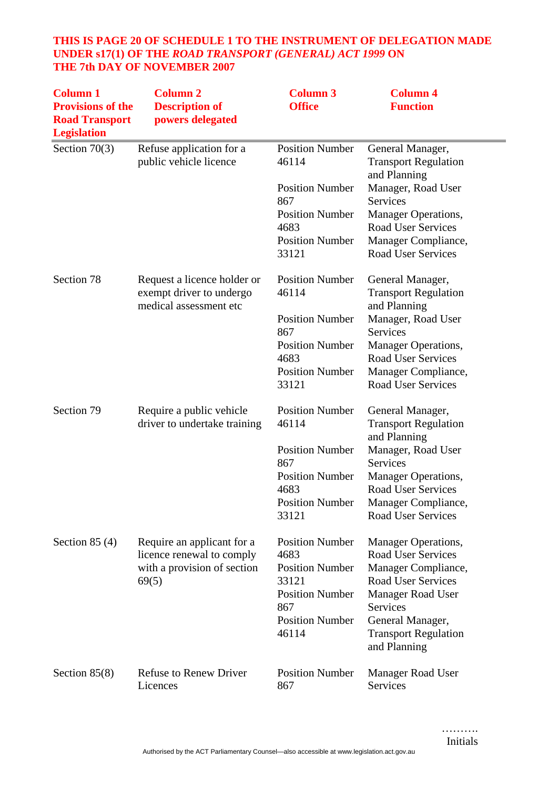## **THIS IS PAGE 20 OF SCHEDULE 1 TO THE INSTRUMENT OF DELEGATION MADE UNDER s17(1) OF THE** *ROAD TRANSPORT (GENERAL) ACT 1999* **ON THE 7th DAY OF NOVEMBER 2007**

| <b>Column 1</b><br><b>Provisions of the</b><br><b>Road Transport</b><br><b>Legislation</b> | <b>Column 2</b><br><b>Description of</b><br>powers delegated                                    | <b>Column 3</b><br><b>Office</b>                                                                                                      | <b>Column 4</b><br><b>Function</b>                                                                                                                                                                               |
|--------------------------------------------------------------------------------------------|-------------------------------------------------------------------------------------------------|---------------------------------------------------------------------------------------------------------------------------------------|------------------------------------------------------------------------------------------------------------------------------------------------------------------------------------------------------------------|
| Section $70(3)$                                                                            | Refuse application for a<br>public vehicle licence                                              | <b>Position Number</b><br>46114<br><b>Position Number</b><br>867<br><b>Position Number</b><br>4683<br><b>Position Number</b><br>33121 | General Manager,<br><b>Transport Regulation</b><br>and Planning<br>Manager, Road User<br>Services<br>Manager Operations,<br><b>Road User Services</b><br>Manager Compliance,<br><b>Road User Services</b>        |
| Section 78                                                                                 | Request a licence holder or<br>exempt driver to undergo<br>medical assessment etc               | <b>Position Number</b><br>46114<br><b>Position Number</b><br>867<br><b>Position Number</b><br>4683<br><b>Position Number</b><br>33121 | General Manager,<br><b>Transport Regulation</b><br>and Planning<br>Manager, Road User<br>Services<br>Manager Operations,<br><b>Road User Services</b><br>Manager Compliance,<br>Road User Services               |
| Section 79                                                                                 | Require a public vehicle<br>driver to undertake training                                        | <b>Position Number</b><br>46114<br><b>Position Number</b><br>867<br><b>Position Number</b><br>4683<br><b>Position Number</b><br>33121 | General Manager,<br><b>Transport Regulation</b><br>and Planning<br>Manager, Road User<br>Services<br><b>Manager Operations,</b><br><b>Road User Services</b><br>Manager Compliance,<br><b>Road User Services</b> |
| Section $85(4)$                                                                            | Require an applicant for a<br>licence renewal to comply<br>with a provision of section<br>69(5) | <b>Position Number</b><br>4683<br><b>Position Number</b><br>33121<br><b>Position Number</b><br>867<br><b>Position Number</b><br>46114 | Manager Operations,<br><b>Road User Services</b><br>Manager Compliance,<br><b>Road User Services</b><br><b>Manager Road User</b><br>Services<br>General Manager,<br><b>Transport Regulation</b><br>and Planning  |
| Section $85(8)$                                                                            | <b>Refuse to Renew Driver</b><br>Licences                                                       | <b>Position Number</b><br>867                                                                                                         | Manager Road User<br>Services                                                                                                                                                                                    |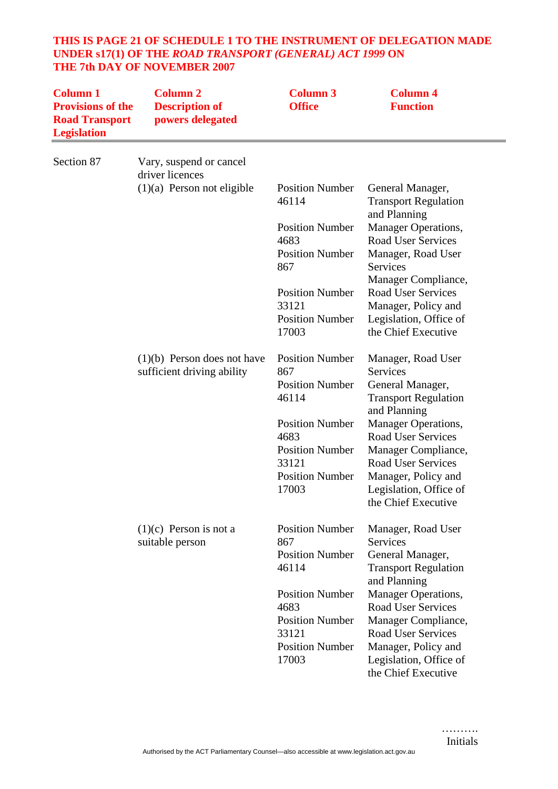## **THIS IS PAGE 21 OF SCHEDULE 1 TO THE INSTRUMENT OF DELEGATION MADE UNDER s17(1) OF THE** *ROAD TRANSPORT (GENERAL) ACT 1999* **ON THE 7th DAY OF NOVEMBER 2007**

| <b>Column 1</b><br><b>Provisions of the</b><br><b>Road Transport</b><br><b>Legislation</b> | <b>Column 2</b><br><b>Description of</b><br>powers delegated | <b>Column 3</b><br><b>Office</b> | <b>Column 4</b><br><b>Function</b>                              |
|--------------------------------------------------------------------------------------------|--------------------------------------------------------------|----------------------------------|-----------------------------------------------------------------|
| Section 87                                                                                 | Vary, suspend or cancel<br>driver licences                   |                                  |                                                                 |
|                                                                                            | $(1)(a)$ Person not eligible                                 | <b>Position Number</b><br>46114  | General Manager,<br><b>Transport Regulation</b><br>and Planning |
|                                                                                            |                                                              | <b>Position Number</b>           | Manager Operations,                                             |
|                                                                                            |                                                              | 4683                             | <b>Road User Services</b>                                       |
|                                                                                            |                                                              | <b>Position Number</b><br>867    | Manager, Road User<br>Services<br>Manager Compliance,           |
|                                                                                            |                                                              | <b>Position Number</b>           | <b>Road User Services</b>                                       |
|                                                                                            |                                                              | 33121                            | Manager, Policy and                                             |
|                                                                                            |                                                              | <b>Position Number</b><br>17003  | Legislation, Office of<br>the Chief Executive                   |
|                                                                                            | $(1)(b)$ Person does not have<br>sufficient driving ability  | <b>Position Number</b><br>867    | Manager, Road User<br><b>Services</b>                           |
|                                                                                            |                                                              | <b>Position Number</b>           | General Manager,                                                |
|                                                                                            |                                                              | 46114                            | <b>Transport Regulation</b><br>and Planning                     |
|                                                                                            |                                                              | <b>Position Number</b>           | Manager Operations,                                             |
|                                                                                            |                                                              | 4683<br><b>Position Number</b>   | <b>Road User Services</b><br>Manager Compliance,                |
|                                                                                            |                                                              | 33121                            | <b>Road User Services</b>                                       |
|                                                                                            |                                                              | <b>Position Number</b>           | Manager, Policy and                                             |
|                                                                                            |                                                              | 17003                            | Legislation, Office of                                          |
|                                                                                            |                                                              |                                  | the Chief Executive                                             |
|                                                                                            | $(1)(c)$ Person is not a<br>suitable person                  | <b>Position Number</b><br>867    | Manager, Road User<br><b>Services</b>                           |
|                                                                                            |                                                              | <b>Position Number</b>           | General Manager,                                                |
|                                                                                            |                                                              | 46114                            | <b>Transport Regulation</b><br>and Planning                     |
|                                                                                            |                                                              | <b>Position Number</b>           | Manager Operations,                                             |
|                                                                                            |                                                              | 4683                             | <b>Road User Services</b>                                       |
|                                                                                            |                                                              | <b>Position Number</b><br>33121  | Manager Compliance,<br><b>Road User Services</b>                |
|                                                                                            |                                                              | <b>Position Number</b>           | Manager, Policy and                                             |
|                                                                                            |                                                              | 17003                            | Legislation, Office of<br>the Chief Executive                   |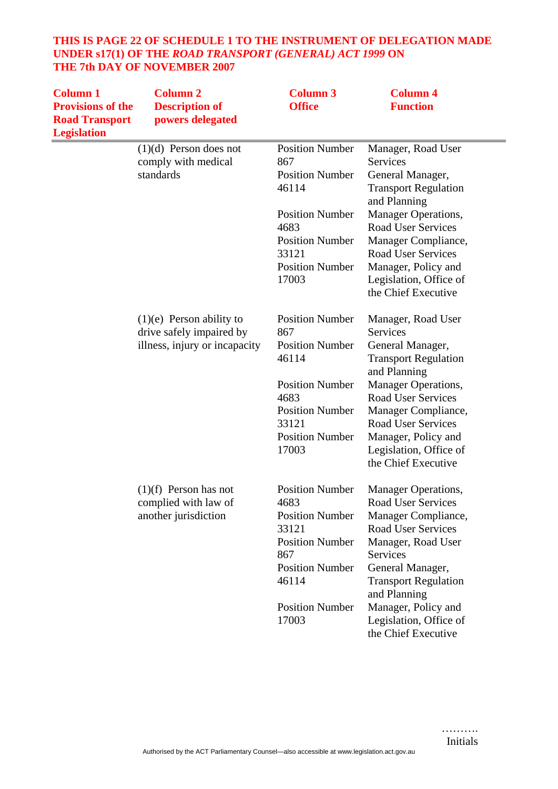## **THIS IS PAGE 22 OF SCHEDULE 1 TO THE INSTRUMENT OF DELEGATION MADE UNDER s17(1) OF THE** *ROAD TRANSPORT (GENERAL) ACT 1999* **ON THE 7th DAY OF NOVEMBER 2007**

| <b>Column 1</b><br><b>Provisions of the</b><br><b>Road Transport</b><br><b>Legislation</b> | <b>Column 2</b><br><b>Description of</b><br>powers delegated                            | <b>Column 3</b><br><b>Office</b>                                                                                                                                         | <b>Column 4</b><br><b>Function</b>                                                                                                                                                                                                                                                       |
|--------------------------------------------------------------------------------------------|-----------------------------------------------------------------------------------------|--------------------------------------------------------------------------------------------------------------------------------------------------------------------------|------------------------------------------------------------------------------------------------------------------------------------------------------------------------------------------------------------------------------------------------------------------------------------------|
|                                                                                            | $(1)(d)$ Person does not<br>comply with medical<br>standards                            | <b>Position Number</b><br>867<br><b>Position Number</b><br>46114<br><b>Position Number</b>                                                                               | Manager, Road User<br>Services<br>General Manager,<br><b>Transport Regulation</b><br>and Planning                                                                                                                                                                                        |
|                                                                                            |                                                                                         | 4683<br><b>Position Number</b><br>33121<br><b>Position Number</b><br>17003                                                                                               | Manager Operations,<br><b>Road User Services</b><br>Manager Compliance,<br><b>Road User Services</b><br>Manager, Policy and<br>Legislation, Office of<br>the Chief Executive                                                                                                             |
|                                                                                            | $(1)(e)$ Person ability to<br>drive safely impaired by<br>illness, injury or incapacity | <b>Position Number</b><br>867<br><b>Position Number</b><br>46114<br><b>Position Number</b><br>4683<br><b>Position Number</b><br>33121<br><b>Position Number</b><br>17003 | Manager, Road User<br><b>Services</b><br>General Manager,<br><b>Transport Regulation</b><br>and Planning<br>Manager Operations,<br><b>Road User Services</b><br>Manager Compliance,<br><b>Road User Services</b><br>Manager, Policy and<br>Legislation, Office of<br>the Chief Executive |
|                                                                                            | $(1)(f)$ Person has not<br>complied with law of<br>another jurisdiction                 | <b>Position Number</b><br>4683<br><b>Position Number</b><br>33121<br><b>Position Number</b><br>867<br><b>Position Number</b><br>46114<br><b>Position Number</b><br>17003 | <b>Manager Operations,</b><br><b>Road User Services</b><br>Manager Compliance,<br>Road User Services<br>Manager, Road User<br>Services<br>General Manager,<br><b>Transport Regulation</b><br>and Planning<br>Manager, Policy and<br>Legislation, Office of<br>the Chief Executive        |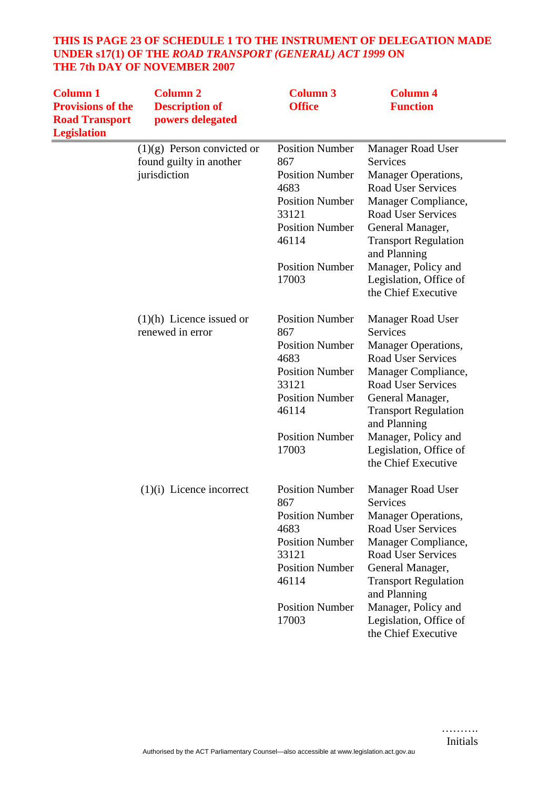## **THIS IS PAGE 23 OF SCHEDULE 1 TO THE INSTRUMENT OF DELEGATION MADE UNDER s17(1) OF THE** *ROAD TRANSPORT (GENERAL) ACT 1999* **ON THE 7th DAY OF NOVEMBER 2007**

| <b>Column 1</b><br><b>Provisions of the</b><br><b>Road Transport</b><br><b>Legislation</b> | <b>Column 2</b><br><b>Description of</b><br>powers delegated | <b>Column 3</b><br><b>Office</b> | <b>Column 4</b><br><b>Function</b>            |
|--------------------------------------------------------------------------------------------|--------------------------------------------------------------|----------------------------------|-----------------------------------------------|
|                                                                                            | $(1)(g)$ Person convicted or                                 | <b>Position Number</b>           | <b>Manager Road User</b>                      |
|                                                                                            | found guilty in another                                      | 867                              | Services                                      |
|                                                                                            | jurisdiction                                                 | <b>Position Number</b>           | Manager Operations,                           |
|                                                                                            |                                                              | 4683                             | <b>Road User Services</b>                     |
|                                                                                            |                                                              | <b>Position Number</b>           | Manager Compliance,                           |
|                                                                                            |                                                              | 33121                            | <b>Road User Services</b>                     |
|                                                                                            |                                                              | <b>Position Number</b>           | General Manager,                              |
|                                                                                            |                                                              | 46114                            | <b>Transport Regulation</b>                   |
|                                                                                            |                                                              |                                  | and Planning                                  |
|                                                                                            |                                                              | <b>Position Number</b>           | Manager, Policy and                           |
|                                                                                            |                                                              | 17003                            | Legislation, Office of<br>the Chief Executive |
|                                                                                            |                                                              |                                  |                                               |
|                                                                                            | $(1)(h)$ Licence issued or                                   | <b>Position Number</b>           | Manager Road User                             |
|                                                                                            | renewed in error                                             | 867                              | <b>Services</b>                               |
|                                                                                            |                                                              | <b>Position Number</b>           | Manager Operations,                           |
|                                                                                            |                                                              | 4683                             | <b>Road User Services</b>                     |
|                                                                                            |                                                              | <b>Position Number</b>           | Manager Compliance,                           |
|                                                                                            |                                                              | 33121                            | <b>Road User Services</b>                     |
|                                                                                            |                                                              | <b>Position Number</b>           | General Manager,                              |
|                                                                                            |                                                              | 46114                            | <b>Transport Regulation</b>                   |
|                                                                                            |                                                              |                                  | and Planning                                  |
|                                                                                            |                                                              | <b>Position Number</b>           | Manager, Policy and                           |
|                                                                                            |                                                              | 17003                            | Legislation, Office of                        |
|                                                                                            |                                                              |                                  | the Chief Executive                           |
|                                                                                            | $(1)(i)$ Licence incorrect                                   | <b>Position Number</b>           | Manager Road User                             |
|                                                                                            |                                                              | 867                              | Services                                      |
|                                                                                            |                                                              | <b>Position Number</b>           | <b>Manager Operations,</b>                    |
|                                                                                            |                                                              | 4683                             | <b>Road User Services</b>                     |
|                                                                                            |                                                              | <b>Position Number</b>           | Manager Compliance,                           |
|                                                                                            |                                                              | 33121                            | <b>Road User Services</b>                     |
|                                                                                            |                                                              | <b>Position Number</b>           | General Manager,                              |
|                                                                                            |                                                              | 46114                            | <b>Transport Regulation</b>                   |
|                                                                                            |                                                              |                                  | and Planning                                  |
|                                                                                            |                                                              | <b>Position Number</b>           | Manager, Policy and                           |
|                                                                                            |                                                              | 17003                            | Legislation, Office of                        |
|                                                                                            |                                                              |                                  | the Chief Executive                           |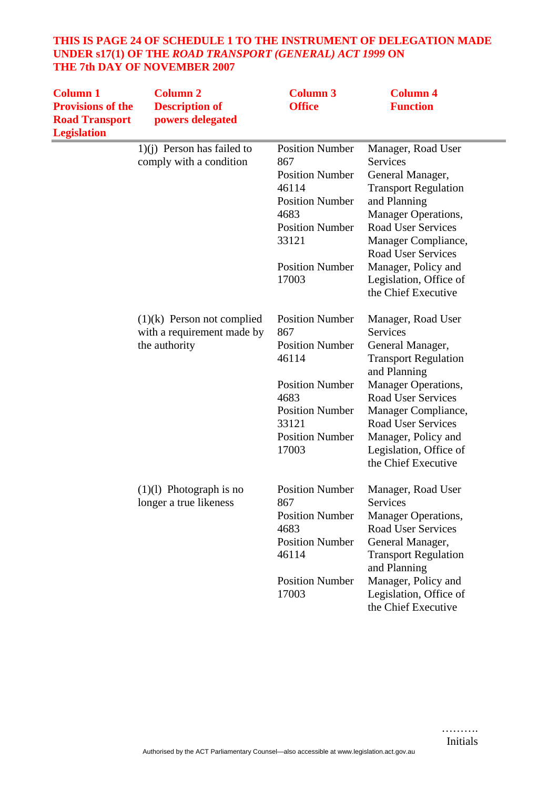## **THIS IS PAGE 24 OF SCHEDULE 1 TO THE INSTRUMENT OF DELEGATION MADE UNDER s17(1) OF THE** *ROAD TRANSPORT (GENERAL) ACT 1999* **ON THE 7th DAY OF NOVEMBER 2007**

| <b>Column 1</b><br><b>Provisions of the</b><br><b>Road Transport</b><br><b>Legislation</b> | <b>Column 2</b><br><b>Description of</b><br>powers delegated | <b>Column 3</b><br><b>Office</b> | <b>Column 4</b><br><b>Function</b>          |
|--------------------------------------------------------------------------------------------|--------------------------------------------------------------|----------------------------------|---------------------------------------------|
|                                                                                            | $1)(i)$ Person has failed to                                 | <b>Position Number</b>           | Manager, Road User                          |
|                                                                                            | comply with a condition                                      | 867                              | Services                                    |
|                                                                                            |                                                              | <b>Position Number</b>           | General Manager,                            |
|                                                                                            |                                                              | 46114                            | <b>Transport Regulation</b>                 |
|                                                                                            |                                                              | <b>Position Number</b>           | and Planning                                |
|                                                                                            |                                                              | 4683                             | <b>Manager Operations,</b>                  |
|                                                                                            |                                                              | <b>Position Number</b>           | <b>Road User Services</b>                   |
|                                                                                            |                                                              | 33121                            | Manager Compliance,                         |
|                                                                                            |                                                              |                                  | <b>Road User Services</b>                   |
|                                                                                            |                                                              | <b>Position Number</b>           | Manager, Policy and                         |
|                                                                                            |                                                              | 17003                            | Legislation, Office of                      |
|                                                                                            |                                                              |                                  | the Chief Executive                         |
|                                                                                            | $(1)(k)$ Person not complied                                 | <b>Position Number</b>           | Manager, Road User                          |
|                                                                                            | with a requirement made by                                   | 867                              | Services                                    |
|                                                                                            | the authority                                                | <b>Position Number</b>           | General Manager,                            |
|                                                                                            |                                                              | 46114                            | <b>Transport Regulation</b>                 |
|                                                                                            |                                                              |                                  | and Planning                                |
|                                                                                            |                                                              | <b>Position Number</b>           | Manager Operations,                         |
|                                                                                            |                                                              | 4683                             | <b>Road User Services</b>                   |
|                                                                                            |                                                              | <b>Position Number</b>           | Manager Compliance,                         |
|                                                                                            |                                                              | 33121                            | <b>Road User Services</b>                   |
|                                                                                            |                                                              | <b>Position Number</b>           | Manager, Policy and                         |
|                                                                                            |                                                              | 17003                            | Legislation, Office of                      |
|                                                                                            |                                                              |                                  | the Chief Executive                         |
|                                                                                            | $(1)(1)$ Photograph is no                                    | <b>Position Number</b>           | Manager, Road User                          |
|                                                                                            | longer a true likeness                                       | 867                              | Services                                    |
|                                                                                            |                                                              | <b>Position Number</b>           | <b>Manager Operations,</b>                  |
|                                                                                            |                                                              | 4683                             | <b>Road User Services</b>                   |
|                                                                                            |                                                              | <b>Position Number</b>           | General Manager,                            |
|                                                                                            |                                                              | 46114                            | <b>Transport Regulation</b><br>and Planning |
|                                                                                            |                                                              | <b>Position Number</b>           | Manager, Policy and                         |
|                                                                                            |                                                              | 17003                            | Legislation, Office of                      |
|                                                                                            |                                                              |                                  | the Chief Executive                         |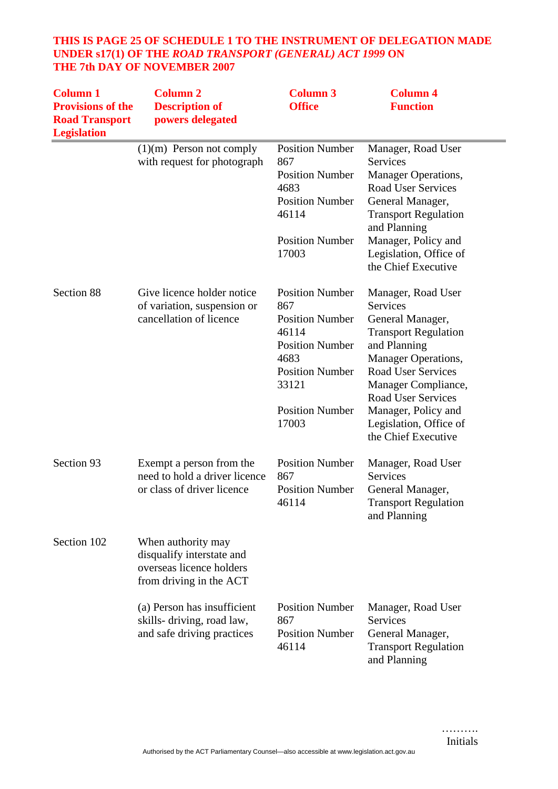## **THIS IS PAGE 25 OF SCHEDULE 1 TO THE INSTRUMENT OF DELEGATION MADE UNDER s17(1) OF THE** *ROAD TRANSPORT (GENERAL) ACT 1999* **ON THE 7th DAY OF NOVEMBER 2007**

| <b>Column 1</b><br><b>Provisions of the</b><br><b>Road Transport</b><br><b>Legislation</b> | <b>Column 2</b><br><b>Description of</b><br>powers delegated                                           | <b>Column 3</b><br><b>Office</b>                                                                                                                                         | <b>Column 4</b><br><b>Function</b>                                                                                                                                                                                                                                                       |
|--------------------------------------------------------------------------------------------|--------------------------------------------------------------------------------------------------------|--------------------------------------------------------------------------------------------------------------------------------------------------------------------------|------------------------------------------------------------------------------------------------------------------------------------------------------------------------------------------------------------------------------------------------------------------------------------------|
|                                                                                            | $(1)(m)$ Person not comply<br>with request for photograph                                              | <b>Position Number</b><br>867<br><b>Position Number</b><br>4683<br><b>Position Number</b><br>46114<br><b>Position Number</b><br>17003                                    | Manager, Road User<br>Services<br>Manager Operations,<br><b>Road User Services</b><br>General Manager,<br><b>Transport Regulation</b><br>and Planning<br>Manager, Policy and<br>Legislation, Office of<br>the Chief Executive                                                            |
| Section 88                                                                                 | Give licence holder notice<br>of variation, suspension or<br>cancellation of licence                   | <b>Position Number</b><br>867<br><b>Position Number</b><br>46114<br><b>Position Number</b><br>4683<br><b>Position Number</b><br>33121<br><b>Position Number</b><br>17003 | Manager, Road User<br><b>Services</b><br>General Manager,<br><b>Transport Regulation</b><br>and Planning<br>Manager Operations,<br><b>Road User Services</b><br>Manager Compliance,<br><b>Road User Services</b><br>Manager, Policy and<br>Legislation, Office of<br>the Chief Executive |
| Section 93                                                                                 | Exempt a person from the<br>need to hold a driver licence<br>or class of driver licence                | <b>Position Number</b><br>867<br><b>Position Number</b><br>46114                                                                                                         | Manager, Road User<br>Services<br>General Manager,<br><b>Transport Regulation</b><br>and Planning                                                                                                                                                                                        |
| Section 102                                                                                | When authority may<br>disqualify interstate and<br>overseas licence holders<br>from driving in the ACT |                                                                                                                                                                          |                                                                                                                                                                                                                                                                                          |
|                                                                                            | (a) Person has insufficient<br>skills-driving, road law,<br>and safe driving practices                 | <b>Position Number</b><br>867<br><b>Position Number</b><br>46114                                                                                                         | Manager, Road User<br>Services<br>General Manager,<br><b>Transport Regulation</b><br>and Planning                                                                                                                                                                                        |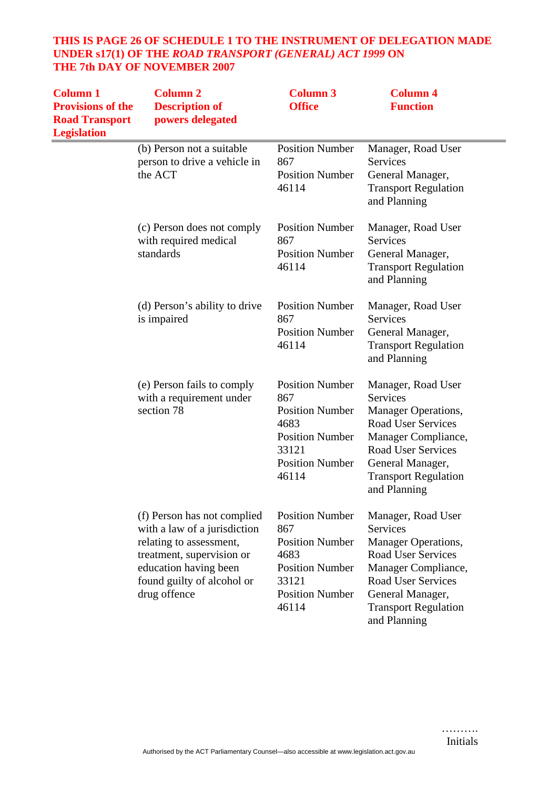## **THIS IS PAGE 26 OF SCHEDULE 1 TO THE INSTRUMENT OF DELEGATION MADE UNDER s17(1) OF THE** *ROAD TRANSPORT (GENERAL) ACT 1999* **ON THE 7th DAY OF NOVEMBER 2007**

| <b>Column 1</b><br><b>Provisions of the</b><br><b>Road Transport</b><br><b>Legislation</b> | <b>Column 2</b><br><b>Description of</b><br>powers delegated                                                                                                                               | <b>Column 3</b><br><b>Office</b>                                                                                                      | <b>Column 4</b><br><b>Function</b>                                                                                                                                                                               |
|--------------------------------------------------------------------------------------------|--------------------------------------------------------------------------------------------------------------------------------------------------------------------------------------------|---------------------------------------------------------------------------------------------------------------------------------------|------------------------------------------------------------------------------------------------------------------------------------------------------------------------------------------------------------------|
|                                                                                            | (b) Person not a suitable<br>person to drive a vehicle in<br>the ACT                                                                                                                       | <b>Position Number</b><br>867<br><b>Position Number</b><br>46114                                                                      | Manager, Road User<br><b>Services</b><br>General Manager,<br><b>Transport Regulation</b><br>and Planning                                                                                                         |
|                                                                                            | (c) Person does not comply<br>with required medical<br>standards                                                                                                                           | <b>Position Number</b><br>867<br><b>Position Number</b><br>46114                                                                      | Manager, Road User<br><b>Services</b><br>General Manager,<br><b>Transport Regulation</b><br>and Planning                                                                                                         |
|                                                                                            | (d) Person's ability to drive<br>is impaired                                                                                                                                               | <b>Position Number</b><br>867<br><b>Position Number</b><br>46114                                                                      | Manager, Road User<br><b>Services</b><br>General Manager,<br><b>Transport Regulation</b><br>and Planning                                                                                                         |
|                                                                                            | (e) Person fails to comply<br>with a requirement under<br>section 78                                                                                                                       | <b>Position Number</b><br>867<br><b>Position Number</b><br>4683<br><b>Position Number</b><br>33121<br><b>Position Number</b><br>46114 | Manager, Road User<br><b>Services</b><br>Manager Operations,<br><b>Road User Services</b><br>Manager Compliance,<br><b>Road User Services</b><br>General Manager,<br><b>Transport Regulation</b><br>and Planning |
|                                                                                            | (f) Person has not complied<br>with a law of a jurisdiction<br>relating to assessment,<br>treatment, supervision or<br>education having been<br>found guilty of alcohol or<br>drug offence | <b>Position Number</b><br>867<br><b>Position Number</b><br>4683<br><b>Position Number</b><br>33121<br><b>Position Number</b><br>46114 | Manager, Road User<br><b>Services</b><br>Manager Operations,<br><b>Road User Services</b><br>Manager Compliance,<br><b>Road User Services</b><br>General Manager,<br><b>Transport Regulation</b><br>and Planning |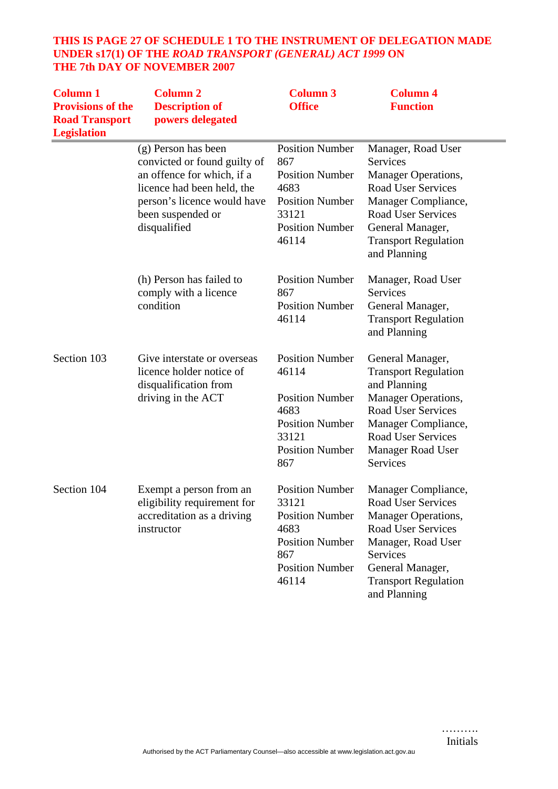## **THIS IS PAGE 27 OF SCHEDULE 1 TO THE INSTRUMENT OF DELEGATION MADE UNDER s17(1) OF THE** *ROAD TRANSPORT (GENERAL) ACT 1999* **ON THE 7th DAY OF NOVEMBER 2007**

| <b>Column 1</b><br><b>Provisions of the</b><br><b>Road Transport</b><br><b>Legislation</b> | <b>Column 2</b><br><b>Description of</b><br>powers delegated                                                                                                                        | <b>Column 3</b><br><b>Office</b>                                                                                                      | <b>Column 4</b><br><b>Function</b>                                                                                                                                                                               |
|--------------------------------------------------------------------------------------------|-------------------------------------------------------------------------------------------------------------------------------------------------------------------------------------|---------------------------------------------------------------------------------------------------------------------------------------|------------------------------------------------------------------------------------------------------------------------------------------------------------------------------------------------------------------|
|                                                                                            | (g) Person has been<br>convicted or found guilty of<br>an offence for which, if a<br>licence had been held, the<br>person's licence would have<br>been suspended or<br>disqualified | <b>Position Number</b><br>867<br><b>Position Number</b><br>4683<br><b>Position Number</b><br>33121<br><b>Position Number</b><br>46114 | Manager, Road User<br><b>Services</b><br>Manager Operations,<br><b>Road User Services</b><br>Manager Compliance,<br><b>Road User Services</b><br>General Manager,<br><b>Transport Regulation</b><br>and Planning |
|                                                                                            | (h) Person has failed to<br>comply with a licence<br>condition                                                                                                                      | <b>Position Number</b><br>867<br><b>Position Number</b><br>46114                                                                      | Manager, Road User<br>Services<br>General Manager,<br><b>Transport Regulation</b><br>and Planning                                                                                                                |
| Section 103                                                                                | Give interstate or overseas<br>licence holder notice of<br>disqualification from<br>driving in the ACT                                                                              | <b>Position Number</b><br>46114<br><b>Position Number</b><br>4683<br><b>Position Number</b><br>33121<br><b>Position Number</b><br>867 | General Manager,<br><b>Transport Regulation</b><br>and Planning<br>Manager Operations,<br><b>Road User Services</b><br>Manager Compliance,<br><b>Road User Services</b><br>Manager Road User<br>Services         |
| Section 104                                                                                | Exempt a person from an<br>eligibility requirement for<br>accreditation as a driving<br>instructor                                                                                  | <b>Position Number</b><br>33121<br><b>Position Number</b><br>4683<br><b>Position Number</b><br>867<br><b>Position Number</b><br>46114 | Manager Compliance,<br>Road User Services<br>Manager Operations,<br><b>Road User Services</b><br>Manager, Road User<br>Services<br>General Manager,<br><b>Transport Regulation</b><br>and Planning               |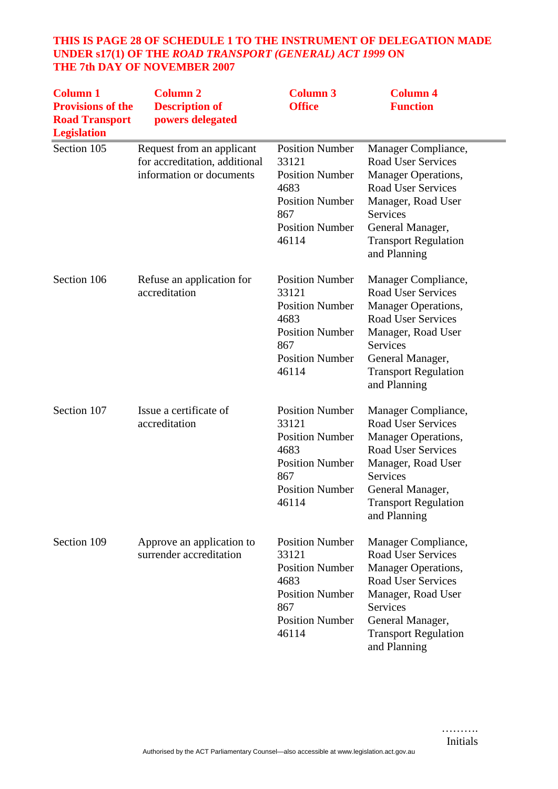## **THIS IS PAGE 28 OF SCHEDULE 1 TO THE INSTRUMENT OF DELEGATION MADE UNDER s17(1) OF THE** *ROAD TRANSPORT (GENERAL) ACT 1999* **ON THE 7th DAY OF NOVEMBER 2007**

| <b>Column 1</b><br><b>Provisions of the</b><br><b>Road Transport</b><br><b>Legislation</b> | <b>Column 2</b><br><b>Description of</b><br>powers delegated                           | <b>Column 3</b><br><b>Office</b>                                                                                                      | <b>Column 4</b><br><b>Function</b>                                                                                                                                                                               |
|--------------------------------------------------------------------------------------------|----------------------------------------------------------------------------------------|---------------------------------------------------------------------------------------------------------------------------------------|------------------------------------------------------------------------------------------------------------------------------------------------------------------------------------------------------------------|
| Section 105                                                                                | Request from an applicant<br>for accreditation, additional<br>information or documents | <b>Position Number</b><br>33121<br><b>Position Number</b><br>4683<br><b>Position Number</b><br>867<br><b>Position Number</b><br>46114 | Manager Compliance,<br><b>Road User Services</b><br>Manager Operations,<br><b>Road User Services</b><br>Manager, Road User<br><b>Services</b><br>General Manager,<br><b>Transport Regulation</b><br>and Planning |
| Section 106                                                                                | Refuse an application for<br>accreditation                                             | <b>Position Number</b><br>33121<br><b>Position Number</b><br>4683<br><b>Position Number</b><br>867<br><b>Position Number</b><br>46114 | Manager Compliance,<br><b>Road User Services</b><br><b>Manager Operations,</b><br>Road User Services<br>Manager, Road User<br><b>Services</b><br>General Manager,<br><b>Transport Regulation</b><br>and Planning |
| Section 107                                                                                | Issue a certificate of<br>accreditation                                                | <b>Position Number</b><br>33121<br><b>Position Number</b><br>4683<br><b>Position Number</b><br>867<br><b>Position Number</b><br>46114 | Manager Compliance,<br><b>Road User Services</b><br><b>Manager Operations,</b><br><b>Road User Services</b><br>Manager, Road User<br>Services<br>General Manager,<br><b>Transport Regulation</b><br>and Planning |
| Section 109                                                                                | Approve an application to<br>surrender accreditation                                   | <b>Position Number</b><br>33121<br><b>Position Number</b><br>4683<br><b>Position Number</b><br>867<br><b>Position Number</b><br>46114 | Manager Compliance,<br><b>Road User Services</b><br>Manager Operations,<br><b>Road User Services</b><br>Manager, Road User<br><b>Services</b><br>General Manager,<br><b>Transport Regulation</b><br>and Planning |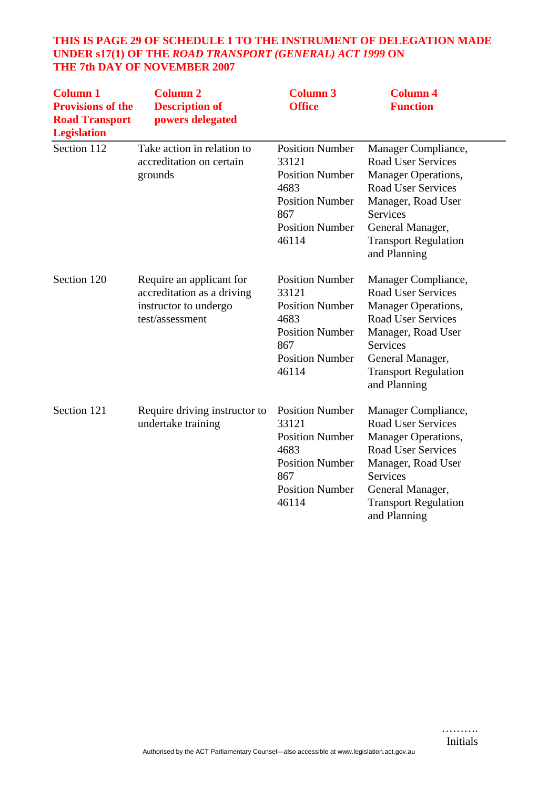## **THIS IS PAGE 29 OF SCHEDULE 1 TO THE INSTRUMENT OF DELEGATION MADE UNDER s17(1) OF THE** *ROAD TRANSPORT (GENERAL) ACT 1999* **ON THE 7th DAY OF NOVEMBER 2007**

| <b>Column 1</b><br><b>Provisions of the</b><br><b>Road Transport</b><br><b>Legislation</b> | <b>Column 2</b><br><b>Description of</b><br>powers delegated                                       | <b>Column 3</b><br><b>Office</b>                                                                                                      | <b>Column 4</b><br><b>Function</b>                                                                                                                                                                               |
|--------------------------------------------------------------------------------------------|----------------------------------------------------------------------------------------------------|---------------------------------------------------------------------------------------------------------------------------------------|------------------------------------------------------------------------------------------------------------------------------------------------------------------------------------------------------------------|
| Section 112                                                                                | Take action in relation to<br>accreditation on certain<br>grounds                                  | <b>Position Number</b><br>33121<br><b>Position Number</b><br>4683<br><b>Position Number</b><br>867<br><b>Position Number</b><br>46114 | Manager Compliance,<br><b>Road User Services</b><br>Manager Operations,<br><b>Road User Services</b><br>Manager, Road User<br><b>Services</b><br>General Manager,<br><b>Transport Regulation</b><br>and Planning |
| Section 120                                                                                | Require an applicant for<br>accreditation as a driving<br>instructor to undergo<br>test/assessment | <b>Position Number</b><br>33121<br><b>Position Number</b><br>4683<br><b>Position Number</b><br>867<br><b>Position Number</b><br>46114 | Manager Compliance,<br><b>Road User Services</b><br><b>Manager Operations,</b><br><b>Road User Services</b><br>Manager, Road User<br>Services<br>General Manager,<br><b>Transport Regulation</b><br>and Planning |
| Section 121                                                                                | Require driving instructor to<br>undertake training                                                | <b>Position Number</b><br>33121<br><b>Position Number</b><br>4683<br><b>Position Number</b><br>867<br><b>Position Number</b><br>46114 | Manager Compliance,<br><b>Road User Services</b><br>Manager Operations,<br><b>Road User Services</b><br>Manager, Road User<br><b>Services</b><br>General Manager,<br><b>Transport Regulation</b><br>and Planning |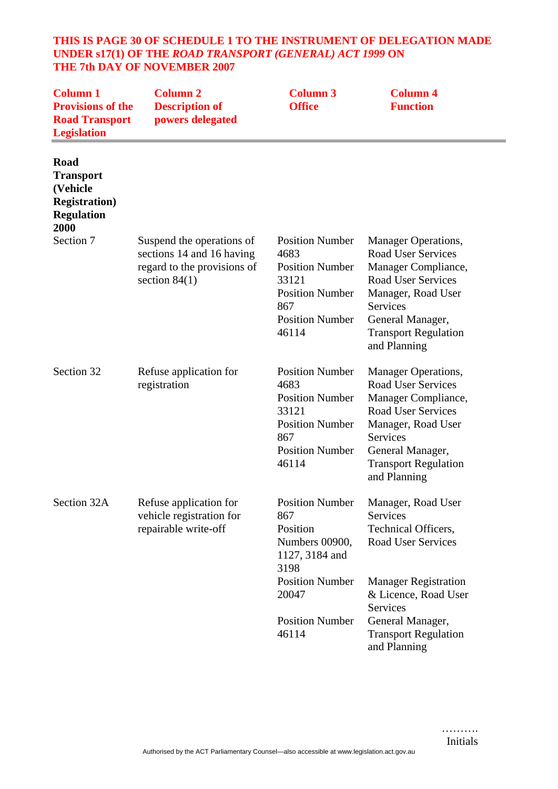#### **THIS IS PAGE 30 OF SCHEDULE 1 TO THE INSTRUMENT OF DELEGATION MADE UNDER s17(1) OF THE** *ROAD TRANSPORT (GENERAL) ACT 1999* **ON THE 7th DAY OF NOVEMBER 2007**

| <b>Column 1</b><br><b>Provisions of the</b><br><b>Road Transport</b><br><b>Legislation</b> | <b>Column 2</b><br><b>Description of</b><br>powers delegated                                             | <b>Column 3</b><br><b>Office</b>                                                                                                      | <b>Column 4</b><br><b>Function</b>                                                                                                                                                                                      |
|--------------------------------------------------------------------------------------------|----------------------------------------------------------------------------------------------------------|---------------------------------------------------------------------------------------------------------------------------------------|-------------------------------------------------------------------------------------------------------------------------------------------------------------------------------------------------------------------------|
| Road<br><b>Transport</b><br>(Vehicle<br><b>Registration</b> )<br><b>Regulation</b><br>2000 |                                                                                                          |                                                                                                                                       |                                                                                                                                                                                                                         |
| Section 7                                                                                  | Suspend the operations of<br>sections 14 and 16 having<br>regard to the provisions of<br>section $84(1)$ | <b>Position Number</b><br>4683<br><b>Position Number</b><br>33121<br><b>Position Number</b><br>867<br><b>Position Number</b><br>46114 | <b>Manager Operations,</b><br><b>Road User Services</b><br>Manager Compliance,<br><b>Road User Services</b><br>Manager, Road User<br><b>Services</b><br>General Manager,<br><b>Transport Regulation</b><br>and Planning |
| Section 32                                                                                 | Refuse application for<br>registration                                                                   | <b>Position Number</b><br>4683<br><b>Position Number</b><br>33121<br><b>Position Number</b><br>867<br><b>Position Number</b><br>46114 | <b>Manager Operations,</b><br><b>Road User Services</b><br>Manager Compliance,<br><b>Road User Services</b><br>Manager, Road User<br>Services<br>General Manager,<br><b>Transport Regulation</b><br>and Planning        |
| Section 32A                                                                                | Refuse application for<br>vehicle registration for<br>repairable write-off                               | <b>Position Number</b><br>867<br>Position<br>Numbers 00900,<br>1127, 3184 and<br>3198                                                 | Manager, Road User<br>Services<br>Technical Officers,<br><b>Road User Services</b>                                                                                                                                      |
|                                                                                            |                                                                                                          | <b>Position Number</b><br>20047                                                                                                       | <b>Manager Registration</b><br>& Licence, Road User<br>Services                                                                                                                                                         |
|                                                                                            |                                                                                                          | <b>Position Number</b><br>46114                                                                                                       | General Manager,<br><b>Transport Regulation</b><br>and Planning                                                                                                                                                         |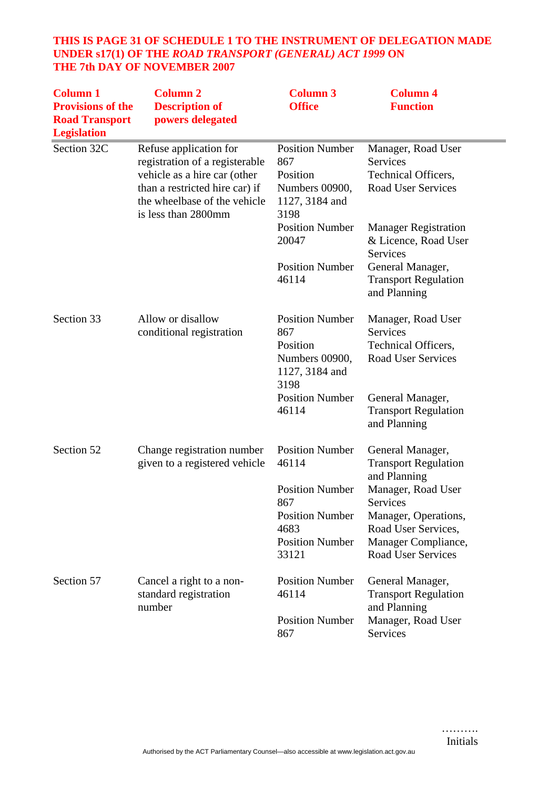## **THIS IS PAGE 31 OF SCHEDULE 1 TO THE INSTRUMENT OF DELEGATION MADE UNDER s17(1) OF THE** *ROAD TRANSPORT (GENERAL) ACT 1999* **ON THE 7th DAY OF NOVEMBER 2007**

| <b>Column 1</b><br><b>Provisions of the</b><br><b>Road Transport</b><br><b>Legislation</b> | <b>Column 2</b><br><b>Description of</b><br>powers delegated                                                                                                                      | <b>Column 3</b><br><b>Office</b>                                                      | <b>Column 4</b><br><b>Function</b>                                                        |
|--------------------------------------------------------------------------------------------|-----------------------------------------------------------------------------------------------------------------------------------------------------------------------------------|---------------------------------------------------------------------------------------|-------------------------------------------------------------------------------------------|
| Section 32C                                                                                | Refuse application for<br>registration of a registerable<br>vehicle as a hire car (other<br>than a restricted hire car) if<br>the wheelbase of the vehicle<br>is less than 2800mm | <b>Position Number</b><br>867<br>Position<br>Numbers 00900,<br>1127, 3184 and<br>3198 | Manager, Road User<br>Services<br>Technical Officers,<br><b>Road User Services</b>        |
|                                                                                            |                                                                                                                                                                                   | <b>Position Number</b><br>20047                                                       | <b>Manager Registration</b><br>& Licence, Road User<br>Services                           |
|                                                                                            |                                                                                                                                                                                   | <b>Position Number</b><br>46114                                                       | General Manager,<br><b>Transport Regulation</b><br>and Planning                           |
| Section 33                                                                                 | Allow or disallow<br>conditional registration                                                                                                                                     | <b>Position Number</b><br>867<br>Position<br>Numbers 00900,<br>1127, 3184 and<br>3198 | Manager, Road User<br>Services<br><b>Technical Officers,</b><br><b>Road User Services</b> |
|                                                                                            |                                                                                                                                                                                   | <b>Position Number</b><br>46114                                                       | General Manager,<br><b>Transport Regulation</b><br>and Planning                           |
| Section 52                                                                                 | Change registration number<br>given to a registered vehicle                                                                                                                       | <b>Position Number</b><br>46114                                                       | General Manager,<br><b>Transport Regulation</b><br>and Planning                           |
|                                                                                            |                                                                                                                                                                                   | <b>Position Number</b><br>867                                                         | Manager, Road User<br>Services                                                            |
|                                                                                            |                                                                                                                                                                                   | <b>Position Number</b><br>4683                                                        | Manager, Operations,<br>Road User Services,                                               |
|                                                                                            |                                                                                                                                                                                   | <b>Position Number</b><br>33121                                                       | Manager Compliance,<br><b>Road User Services</b>                                          |
| Section 57                                                                                 | Cancel a right to a non-<br>standard registration<br>number                                                                                                                       | <b>Position Number</b><br>46114                                                       | General Manager,<br><b>Transport Regulation</b><br>and Planning                           |
|                                                                                            |                                                                                                                                                                                   | <b>Position Number</b><br>867                                                         | Manager, Road User<br>Services                                                            |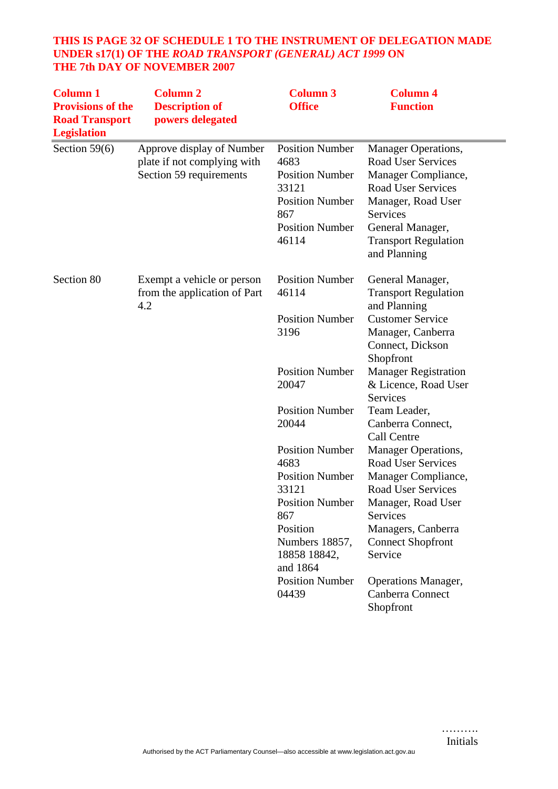## **THIS IS PAGE 32 OF SCHEDULE 1 TO THE INSTRUMENT OF DELEGATION MADE UNDER s17(1) OF THE** *ROAD TRANSPORT (GENERAL) ACT 1999* **ON THE 7th DAY OF NOVEMBER 2007**

| <b>Column 2</b><br><b>Description of</b><br>powers delegated                        | <b>Column 3</b><br><b>Office</b>                                                                                                                                                       | <b>Column 4</b><br><b>Function</b>                                                                                                                                                                                                                           |
|-------------------------------------------------------------------------------------|----------------------------------------------------------------------------------------------------------------------------------------------------------------------------------------|--------------------------------------------------------------------------------------------------------------------------------------------------------------------------------------------------------------------------------------------------------------|
| Approve display of Number<br>plate if not complying with<br>Section 59 requirements | <b>Position Number</b><br>4683<br><b>Position Number</b><br>33121<br><b>Position Number</b><br>867<br><b>Position Number</b><br>46114                                                  | <b>Manager Operations,</b><br><b>Road User Services</b><br>Manager Compliance,<br><b>Road User Services</b><br>Manager, Road User<br><b>Services</b><br>General Manager,<br><b>Transport Regulation</b><br>and Planning                                      |
| Exempt a vehicle or person<br>from the application of Part<br>4.2                   | <b>Position Number</b><br>46114<br><b>Position Number</b><br>3196                                                                                                                      | General Manager,<br><b>Transport Regulation</b><br>and Planning<br><b>Customer Service</b><br>Manager, Canberra<br>Connect, Dickson<br>Shopfront                                                                                                             |
|                                                                                     | <b>Position Number</b><br>20047                                                                                                                                                        | <b>Manager Registration</b><br>& Licence, Road User<br>Services                                                                                                                                                                                              |
|                                                                                     | <b>Position Number</b><br>20044                                                                                                                                                        | Team Leader,<br>Canberra Connect,<br>Call Centre                                                                                                                                                                                                             |
|                                                                                     | <b>Position Number</b><br>4683<br><b>Position Number</b><br>33121<br><b>Position Number</b><br>867<br>Position<br>Numbers 18857,<br>18858 18842,<br>and 1864<br><b>Position Number</b> | <b>Manager Operations,</b><br><b>Road User Services</b><br>Manager Compliance,<br><b>Road User Services</b><br>Manager, Road User<br>Services<br>Managers, Canberra<br><b>Connect Shopfront</b><br>Service<br><b>Operations Manager,</b><br>Canberra Connect |
|                                                                                     |                                                                                                                                                                                        | 04439                                                                                                                                                                                                                                                        |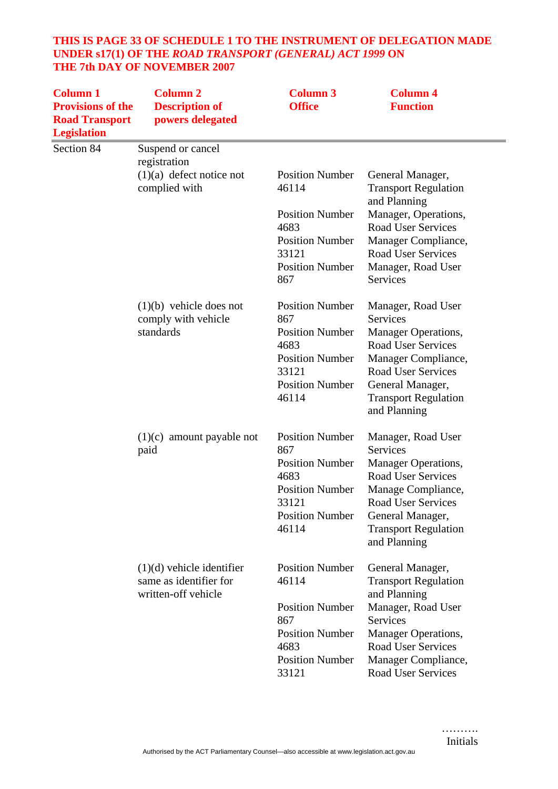## **THIS IS PAGE 33 OF SCHEDULE 1 TO THE INSTRUMENT OF DELEGATION MADE UNDER s17(1) OF THE** *ROAD TRANSPORT (GENERAL) ACT 1999* **ON THE 7th DAY OF NOVEMBER 2007**

| <b>Column 1</b><br><b>Provisions of the</b><br><b>Road Transport</b><br><b>Legislation</b> | <b>Column 2</b><br><b>Description of</b><br>powers delegated                 | <b>Column 3</b><br><b>Office</b> | <b>Column 4</b><br><b>Function</b>                              |
|--------------------------------------------------------------------------------------------|------------------------------------------------------------------------------|----------------------------------|-----------------------------------------------------------------|
| Section 84                                                                                 | Suspend or cancel<br>registration                                            |                                  |                                                                 |
|                                                                                            | $(1)(a)$ defect notice not<br>complied with                                  | <b>Position Number</b><br>46114  | General Manager,<br><b>Transport Regulation</b><br>and Planning |
|                                                                                            |                                                                              | <b>Position Number</b><br>4683   | Manager, Operations,<br><b>Road User Services</b>               |
|                                                                                            |                                                                              | <b>Position Number</b><br>33121  | Manager Compliance,<br><b>Road User Services</b>                |
|                                                                                            |                                                                              | <b>Position Number</b><br>867    | Manager, Road User<br><b>Services</b>                           |
|                                                                                            | $(1)(b)$ vehicle does not<br>comply with vehicle                             | <b>Position Number</b><br>867    | Manager, Road User<br>Services                                  |
|                                                                                            | standards                                                                    | <b>Position Number</b>           | Manager Operations,                                             |
|                                                                                            |                                                                              | 4683<br><b>Position Number</b>   | <b>Road User Services</b><br>Manager Compliance,                |
|                                                                                            |                                                                              | 33121                            | <b>Road User Services</b>                                       |
|                                                                                            |                                                                              | <b>Position Number</b><br>46114  | General Manager,<br><b>Transport Regulation</b><br>and Planning |
|                                                                                            | amount payable not<br>(1)(c)<br>paid                                         | <b>Position Number</b><br>867    | Manager, Road User<br>Services                                  |
|                                                                                            |                                                                              | <b>Position Number</b><br>4683   | <b>Manager Operations,</b><br><b>Road User Services</b>         |
|                                                                                            |                                                                              | <b>Position Number</b><br>33121  | Manage Compliance,<br>Road User Services                        |
|                                                                                            |                                                                              | <b>Position Number</b>           | General Manager,                                                |
|                                                                                            |                                                                              | 46114                            | <b>Transport Regulation</b><br>and Planning                     |
|                                                                                            | $(1)(d)$ vehicle identifier<br>same as identifier for<br>written-off vehicle | <b>Position Number</b><br>46114  | General Manager,<br><b>Transport Regulation</b><br>and Planning |
|                                                                                            |                                                                              | <b>Position Number</b><br>867    | Manager, Road User<br><b>Services</b>                           |
|                                                                                            |                                                                              | <b>Position Number</b><br>4683   | Manager Operations,<br><b>Road User Services</b>                |
|                                                                                            |                                                                              | <b>Position Number</b><br>33121  | Manager Compliance,<br><b>Road User Services</b>                |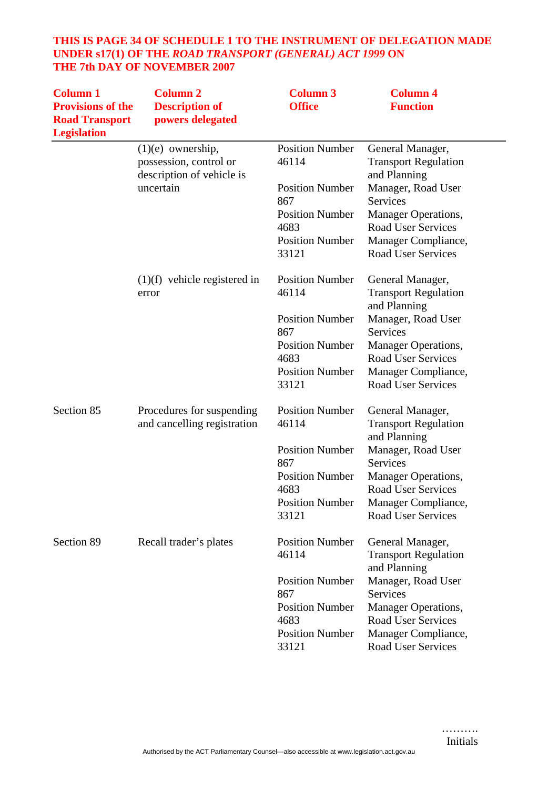## **THIS IS PAGE 34 OF SCHEDULE 1 TO THE INSTRUMENT OF DELEGATION MADE UNDER s17(1) OF THE** *ROAD TRANSPORT (GENERAL) ACT 1999* **ON THE 7th DAY OF NOVEMBER 2007**

| <b>Column 1</b><br><b>Provisions of the</b><br><b>Road Transport</b><br><b>Legislation</b> | <b>Column 2</b><br><b>Description of</b><br>powers delegated               | <b>Column 3</b><br><b>Office</b>      | <b>Column 4</b><br><b>Function</b>                              |
|--------------------------------------------------------------------------------------------|----------------------------------------------------------------------------|---------------------------------------|-----------------------------------------------------------------|
|                                                                                            | $(1)(e)$ ownership,<br>possession, control or<br>description of vehicle is | <b>Position Number</b><br>46114       | General Manager,<br><b>Transport Regulation</b><br>and Planning |
|                                                                                            | uncertain                                                                  | <b>Position Number</b><br>867         | Manager, Road User<br>Services                                  |
|                                                                                            |                                                                            | <b>Position Number</b><br>4683        | Manager Operations,<br><b>Road User Services</b>                |
|                                                                                            |                                                                            | <b>Position Number</b><br>33121       | Manager Compliance,<br><b>Road User Services</b>                |
|                                                                                            | $(1)(f)$ vehicle registered in<br>error                                    | <b>Position Number</b><br>46114       | General Manager,<br><b>Transport Regulation</b><br>and Planning |
|                                                                                            |                                                                            | <b>Position Number</b><br>867         | Manager, Road User<br>Services                                  |
|                                                                                            |                                                                            | <b>Position Number</b><br>4683        | <b>Manager Operations,</b><br><b>Road User Services</b>         |
|                                                                                            |                                                                            | <b>Position Number</b><br>33121       | Manager Compliance,<br>Road User Services                       |
| Section 85                                                                                 | Procedures for suspending<br>and cancelling registration                   | <b>Position Number</b><br>46114       | General Manager,<br><b>Transport Regulation</b><br>and Planning |
|                                                                                            |                                                                            | <b>Position Number</b><br>867         | Manager, Road User<br><b>Services</b>                           |
|                                                                                            |                                                                            | <b>Position Number</b><br>4683        | Manager Operations,<br><b>Road User Services</b>                |
|                                                                                            |                                                                            | <b>Position Number</b><br>33121       | Manager Compliance,<br><b>Road User Services</b>                |
| Section 89                                                                                 | Recall trader's plates                                                     | <b>Position Number</b><br>46114       | General Manager,<br><b>Transport Regulation</b><br>and Planning |
|                                                                                            |                                                                            | <b>Position Number</b>                | Manager, Road User                                              |
|                                                                                            |                                                                            | 867<br><b>Position Number</b><br>4683 | Services<br>Manager Operations,<br>Road User Services           |
|                                                                                            |                                                                            | <b>Position Number</b><br>33121       | Manager Compliance,<br>Road User Services                       |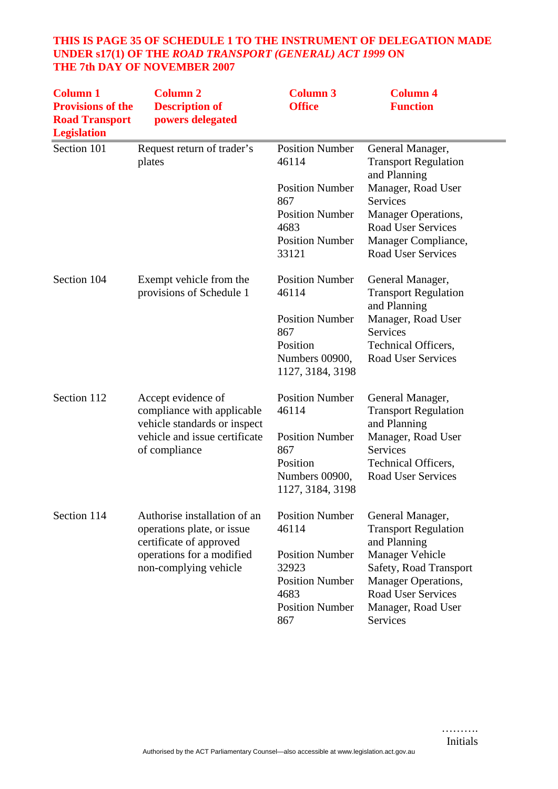## **THIS IS PAGE 35 OF SCHEDULE 1 TO THE INSTRUMENT OF DELEGATION MADE UNDER s17(1) OF THE** *ROAD TRANSPORT (GENERAL) ACT 1999* **ON THE 7th DAY OF NOVEMBER 2007**

| <b>Column 1</b><br><b>Provisions of the</b><br><b>Road Transport</b><br><b>Legislation</b> | <b>Column 2</b><br><b>Description of</b><br>powers delegated                          | <b>Column 3</b><br><b>Office</b>               | <b>Column 4</b><br><b>Function</b>                              |
|--------------------------------------------------------------------------------------------|---------------------------------------------------------------------------------------|------------------------------------------------|-----------------------------------------------------------------|
| Section 101                                                                                | Request return of trader's<br>plates                                                  | <b>Position Number</b><br>46114                | General Manager,<br><b>Transport Regulation</b><br>and Planning |
|                                                                                            |                                                                                       | <b>Position Number</b><br>867                  | Manager, Road User<br>Services                                  |
|                                                                                            |                                                                                       | <b>Position Number</b><br>4683                 | <b>Manager Operations,</b><br><b>Road User Services</b>         |
|                                                                                            |                                                                                       | <b>Position Number</b><br>33121                | Manager Compliance,<br><b>Road User Services</b>                |
| Section 104                                                                                | Exempt vehicle from the<br>provisions of Schedule 1                                   | <b>Position Number</b><br>46114                | General Manager,<br><b>Transport Regulation</b><br>and Planning |
|                                                                                            |                                                                                       | <b>Position Number</b><br>867                  | Manager, Road User<br><b>Services</b>                           |
|                                                                                            |                                                                                       | Position                                       | Technical Officers,                                             |
|                                                                                            |                                                                                       | Numbers 00900,<br>1127, 3184, 3198             | <b>Road User Services</b>                                       |
| Section 112                                                                                | Accept evidence of<br>compliance with applicable<br>vehicle standards or inspect      | <b>Position Number</b><br>46114                | General Manager,<br><b>Transport Regulation</b><br>and Planning |
|                                                                                            | vehicle and issue certificate<br>of compliance                                        | <b>Position Number</b><br>867                  | Manager, Road User<br>Services                                  |
|                                                                                            |                                                                                       | Position<br>Numbers 00900,<br>1127, 3184, 3198 | Technical Officers,<br>Road User Services                       |
| Section 114                                                                                | Authorise installation of an<br>operations plate, or issue<br>certificate of approved | <b>Position Number</b><br>46114                | General Manager,<br><b>Transport Regulation</b><br>and Planning |
|                                                                                            | operations for a modified                                                             | <b>Position Number</b>                         | <b>Manager Vehicle</b>                                          |
|                                                                                            | non-complying vehicle                                                                 | 32923<br><b>Position Number</b>                | Safety, Road Transport<br><b>Manager Operations,</b>            |
|                                                                                            |                                                                                       | 4683                                           | <b>Road User Services</b>                                       |
|                                                                                            |                                                                                       | <b>Position Number</b><br>867                  | Manager, Road User<br>Services                                  |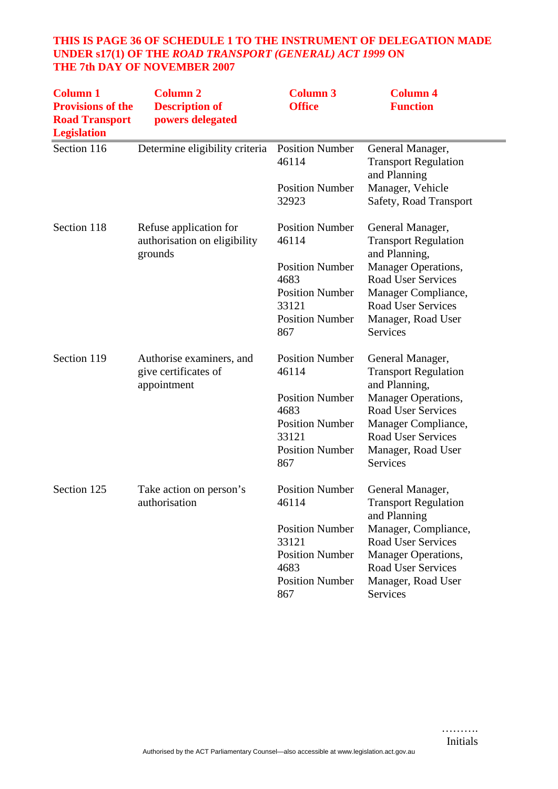## **THIS IS PAGE 36 OF SCHEDULE 1 TO THE INSTRUMENT OF DELEGATION MADE UNDER s17(1) OF THE** *ROAD TRANSPORT (GENERAL) ACT 1999* **ON THE 7th DAY OF NOVEMBER 2007**

| <b>Column 1</b><br><b>Provisions of the</b><br><b>Road Transport</b><br><b>Legislation</b> | <b>Column 2</b><br><b>Description of</b><br>powers delegated      | <b>Column 3</b><br><b>Office</b>                                  | <b>Column 4</b><br><b>Function</b>                                                                    |
|--------------------------------------------------------------------------------------------|-------------------------------------------------------------------|-------------------------------------------------------------------|-------------------------------------------------------------------------------------------------------|
| Section 116                                                                                | Determine eligibility criteria                                    | <b>Position Number</b><br>46114                                   | General Manager,<br><b>Transport Regulation</b><br>and Planning                                       |
|                                                                                            |                                                                   | <b>Position Number</b><br>32923                                   | Manager, Vehicle<br>Safety, Road Transport                                                            |
| Section 118                                                                                | Refuse application for<br>authorisation on eligibility<br>grounds | <b>Position Number</b><br>46114                                   | General Manager,<br><b>Transport Regulation</b><br>and Planning,                                      |
|                                                                                            |                                                                   | <b>Position Number</b><br>4683<br><b>Position Number</b>          | Manager Operations,<br><b>Road User Services</b><br>Manager Compliance,                               |
|                                                                                            |                                                                   | 33121<br><b>Position Number</b><br>867                            | <b>Road User Services</b><br>Manager, Road User<br>Services                                           |
| Section 119                                                                                | Authorise examiners, and<br>give certificates of<br>appointment   | <b>Position Number</b><br>46114                                   | General Manager,<br><b>Transport Regulation</b><br>and Planning,                                      |
|                                                                                            |                                                                   | <b>Position Number</b><br>4683                                    | Manager Operations,<br>Road User Services                                                             |
|                                                                                            |                                                                   | <b>Position Number</b><br>33121                                   | Manager Compliance,<br><b>Road User Services</b>                                                      |
|                                                                                            |                                                                   | <b>Position Number</b><br>867                                     | Manager, Road User<br>Services                                                                        |
| Section 125                                                                                | Take action on person's<br>authorisation                          | <b>Position Number</b><br>46114                                   | General Manager,<br><b>Transport Regulation</b><br>and Planning                                       |
|                                                                                            |                                                                   | <b>Position Number</b><br>33121<br><b>Position Number</b><br>4683 | Manager, Compliance,<br><b>Road User Services</b><br>Manager Operations,<br><b>Road User Services</b> |
|                                                                                            |                                                                   | <b>Position Number</b><br>867                                     | Manager, Road User<br>Services                                                                        |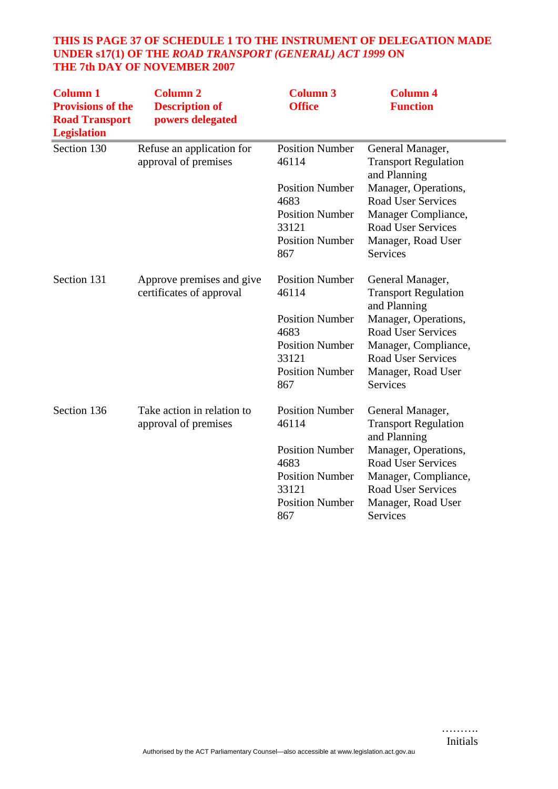## **THIS IS PAGE 37 OF SCHEDULE 1 TO THE INSTRUMENT OF DELEGATION MADE UNDER s17(1) OF THE** *ROAD TRANSPORT (GENERAL) ACT 1999* **ON THE 7th DAY OF NOVEMBER 2007**

| <b>Column 1</b><br><b>Provisions of the</b><br><b>Road Transport</b><br><b>Legislation</b> | <b>Column 2</b><br><b>Description of</b><br>powers delegated | <b>Column 3</b><br><b>Office</b> | <b>Column 4</b><br><b>Function</b>                              |
|--------------------------------------------------------------------------------------------|--------------------------------------------------------------|----------------------------------|-----------------------------------------------------------------|
| Section 130                                                                                | Refuse an application for<br>approval of premises            | <b>Position Number</b><br>46114  | General Manager,<br><b>Transport Regulation</b><br>and Planning |
|                                                                                            |                                                              | <b>Position Number</b>           | Manager, Operations,                                            |
|                                                                                            |                                                              | 4683                             | <b>Road User Services</b>                                       |
|                                                                                            |                                                              | <b>Position Number</b><br>33121  | Manager Compliance,<br><b>Road User Services</b>                |
|                                                                                            |                                                              | <b>Position Number</b><br>867    | Manager, Road User<br>Services                                  |
| Section 131                                                                                | Approve premises and give                                    | <b>Position Number</b><br>46114  | General Manager,                                                |
|                                                                                            | certificates of approval                                     |                                  | <b>Transport Regulation</b><br>and Planning                     |
|                                                                                            |                                                              | <b>Position Number</b>           | Manager, Operations,                                            |
|                                                                                            |                                                              | 4683                             | <b>Road User Services</b>                                       |
|                                                                                            |                                                              | <b>Position Number</b>           | Manager, Compliance,                                            |
|                                                                                            |                                                              | 33121                            | <b>Road User Services</b>                                       |
|                                                                                            |                                                              | <b>Position Number</b><br>867    | Manager, Road User<br>Services                                  |
| Section 136                                                                                | Take action in relation to                                   | <b>Position Number</b>           | General Manager,                                                |
|                                                                                            | approval of premises                                         | 46114                            | <b>Transport Regulation</b><br>and Planning                     |
|                                                                                            |                                                              | <b>Position Number</b>           | Manager, Operations,                                            |
|                                                                                            |                                                              | 4683                             | <b>Road User Services</b>                                       |
|                                                                                            |                                                              | <b>Position Number</b>           | Manager, Compliance,                                            |
|                                                                                            |                                                              | 33121<br><b>Position Number</b>  | <b>Road User Services</b>                                       |
|                                                                                            |                                                              | 867                              | Manager, Road User<br>Services                                  |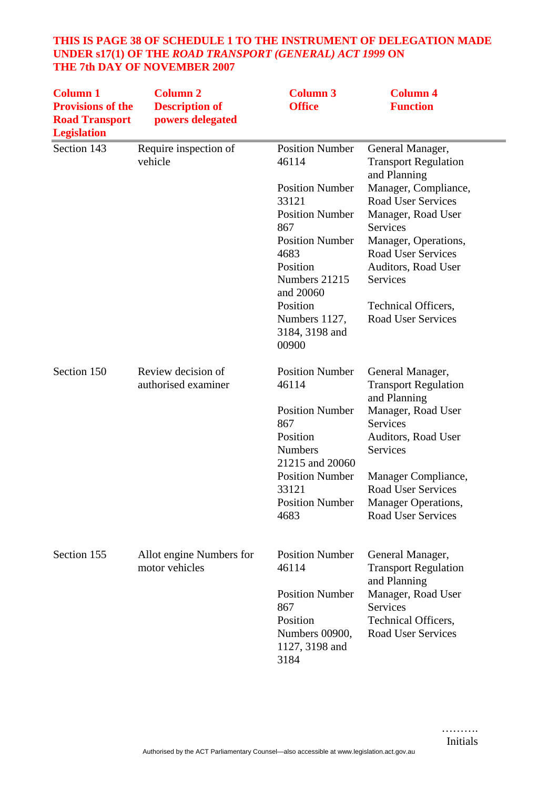#### **THIS IS PAGE 38 OF SCHEDULE 1 TO THE INSTRUMENT OF DELEGATION MADE UNDER s17(1) OF THE** *ROAD TRANSPORT (GENERAL) ACT 1999* **ON THE 7th DAY OF NOVEMBER 2007**

| <b>Column 1</b><br><b>Provisions of the</b><br><b>Road Transport</b><br><b>Legislation</b> | <b>Column 2</b><br><b>Description of</b><br>powers delegated | <b>Column 3</b><br><b>Office</b>                                                                                                                                                                                                        | <b>Column 4</b><br><b>Function</b>                                                                                                                                                                                                                                                                        |
|--------------------------------------------------------------------------------------------|--------------------------------------------------------------|-----------------------------------------------------------------------------------------------------------------------------------------------------------------------------------------------------------------------------------------|-----------------------------------------------------------------------------------------------------------------------------------------------------------------------------------------------------------------------------------------------------------------------------------------------------------|
| Section 143                                                                                | Require inspection of<br>vehicle                             | <b>Position Number</b><br>46114<br><b>Position Number</b><br>33121<br><b>Position Number</b><br>867<br><b>Position Number</b><br>4683<br>Position<br>Numbers 21215<br>and 20060<br>Position<br>Numbers 1127,<br>3184, 3198 and<br>00900 | General Manager,<br><b>Transport Regulation</b><br>and Planning<br>Manager, Compliance,<br><b>Road User Services</b><br>Manager, Road User<br><b>Services</b><br>Manager, Operations,<br><b>Road User Services</b><br>Auditors, Road User<br>Services<br>Technical Officers,<br><b>Road User Services</b> |
| Section 150                                                                                | Review decision of<br>authorised examiner                    | <b>Position Number</b><br>46114<br><b>Position Number</b><br>867<br>Position<br><b>Numbers</b><br>21215 and 20060<br><b>Position Number</b><br>33121<br><b>Position Number</b><br>4683                                                  | General Manager,<br><b>Transport Regulation</b><br>and Planning<br>Manager, Road User<br>Services<br>Auditors, Road User<br>Services<br>Manager Compliance,<br><b>Road User Services</b><br><b>Manager Operations,</b><br>Road User Services                                                              |
| Section 155                                                                                | Allot engine Numbers for<br>motor vehicles                   | <b>Position Number</b><br>46114<br><b>Position Number</b><br>867<br>Position<br>Numbers 00900,<br>1127, 3198 and<br>3184                                                                                                                | General Manager,<br><b>Transport Regulation</b><br>and Planning<br>Manager, Road User<br>Services<br>Technical Officers,<br><b>Road User Services</b>                                                                                                                                                     |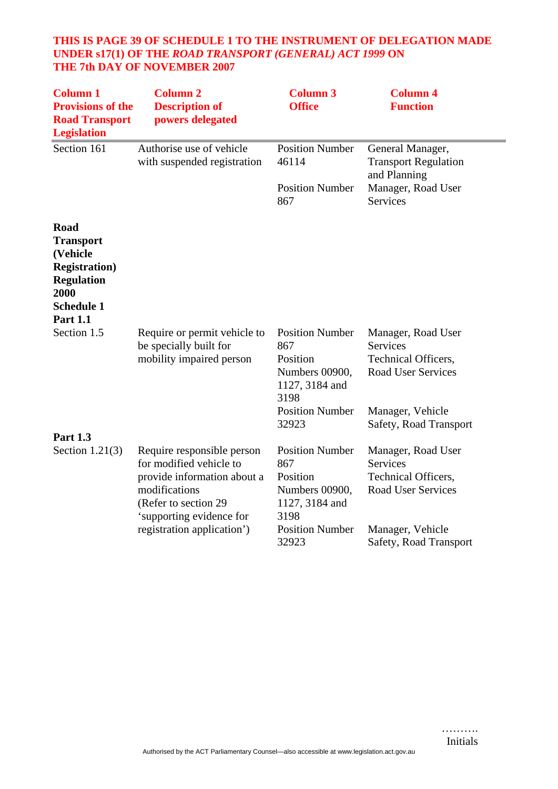## **THIS IS PAGE 39 OF SCHEDULE 1 TO THE INSTRUMENT OF DELEGATION MADE UNDER s17(1) OF THE** *ROAD TRANSPORT (GENERAL) ACT 1999* **ON THE 7th DAY OF NOVEMBER 2007**

| <b>Column 1</b><br><b>Provisions of the</b><br><b>Road Transport</b><br><b>Legislation</b>                                         | <b>Column 2</b><br><b>Description of</b><br>powers delegated                                                                                                                            | <b>Column 3</b><br><b>Office</b>                                                                                         | <b>Column 4</b><br><b>Function</b>                                                                                                      |
|------------------------------------------------------------------------------------------------------------------------------------|-----------------------------------------------------------------------------------------------------------------------------------------------------------------------------------------|--------------------------------------------------------------------------------------------------------------------------|-----------------------------------------------------------------------------------------------------------------------------------------|
| Section 161                                                                                                                        | Authorise use of vehicle<br>with suspended registration                                                                                                                                 | <b>Position Number</b><br>46114                                                                                          | General Manager,<br><b>Transport Regulation</b><br>and Planning                                                                         |
|                                                                                                                                    |                                                                                                                                                                                         | <b>Position Number</b><br>867                                                                                            | Manager, Road User<br><b>Services</b>                                                                                                   |
| Road<br><b>Transport</b><br>(Vehicle<br><b>Registration</b> )<br><b>Regulation</b><br>2000<br><b>Schedule 1</b><br><b>Part 1.1</b> |                                                                                                                                                                                         |                                                                                                                          |                                                                                                                                         |
| Section 1.5                                                                                                                        | Require or permit vehicle to<br>be specially built for<br>mobility impaired person                                                                                                      | <b>Position Number</b><br>867<br>Position<br>Numbers 00900,<br>1127, 3184 and<br>3198<br><b>Position Number</b><br>32923 | Manager, Road User<br><b>Services</b><br>Technical Officers,<br><b>Road User Services</b><br>Manager, Vehicle<br>Safety, Road Transport |
| <b>Part 1.3</b>                                                                                                                    |                                                                                                                                                                                         |                                                                                                                          |                                                                                                                                         |
| Section $1.21(3)$                                                                                                                  | Require responsible person<br>for modified vehicle to<br>provide information about a<br>modifications<br>(Refer to section 29<br>'supporting evidence for<br>registration application') | <b>Position Number</b><br>867<br>Position<br>Numbers 00900,<br>1127, 3184 and<br>3198<br><b>Position Number</b><br>32923 | Manager, Road User<br><b>Services</b><br>Technical Officers,<br><b>Road User Services</b><br>Manager, Vehicle<br>Safety, Road Transport |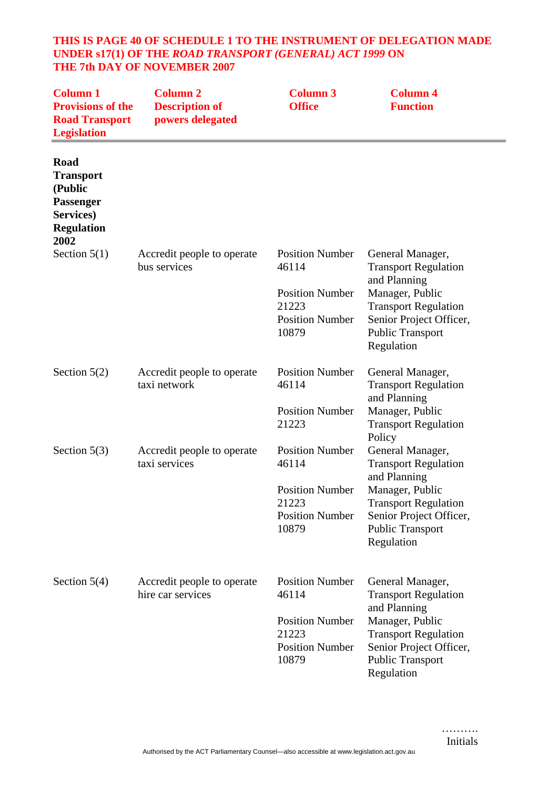#### **THIS IS PAGE 40 OF SCHEDULE 1 TO THE INSTRUMENT OF DELEGATION MADE UNDER s17(1) OF THE** *ROAD TRANSPORT (GENERAL) ACT 1999* **ON THE 7th DAY OF NOVEMBER 2007**

| <b>Column 1</b><br><b>Provisions of the</b><br><b>Road Transport</b><br><b>Legislation</b>        | <b>Column 2</b><br><b>Description of</b><br>powers delegated | <b>Column 3</b><br><b>Office</b>                                                                      | <b>Column 4</b><br><b>Function</b>                                                                                                                                                              |
|---------------------------------------------------------------------------------------------------|--------------------------------------------------------------|-------------------------------------------------------------------------------------------------------|-------------------------------------------------------------------------------------------------------------------------------------------------------------------------------------------------|
| Road<br><b>Transport</b><br>(Public<br><b>Passenger</b><br>Services)<br><b>Regulation</b><br>2002 |                                                              |                                                                                                       |                                                                                                                                                                                                 |
| Section $5(1)$                                                                                    | Accredit people to operate<br>bus services                   | <b>Position Number</b><br>46114<br><b>Position Number</b><br>21223<br><b>Position Number</b><br>10879 | General Manager,<br><b>Transport Regulation</b><br>and Planning<br>Manager, Public<br><b>Transport Regulation</b><br>Senior Project Officer,<br><b>Public Transport</b><br>Regulation           |
| Section $5(2)$                                                                                    | Accredit people to operate<br>taxi network                   | <b>Position Number</b><br>46114<br><b>Position Number</b><br>21223                                    | General Manager,<br><b>Transport Regulation</b><br>and Planning<br>Manager, Public<br><b>Transport Regulation</b>                                                                               |
| Section $5(3)$                                                                                    | Accredit people to operate<br>taxi services                  | <b>Position Number</b><br>46114<br><b>Position Number</b><br>21223<br><b>Position Number</b><br>10879 | Policy<br>General Manager,<br><b>Transport Regulation</b><br>and Planning<br>Manager, Public<br><b>Transport Regulation</b><br>Senior Project Officer,<br><b>Public Transport</b><br>Regulation |
| Section $5(4)$                                                                                    | Accredit people to operate<br>hire car services              | <b>Position Number</b><br>46114<br><b>Position Number</b><br>21223<br><b>Position Number</b><br>10879 | General Manager,<br><b>Transport Regulation</b><br>and Planning<br>Manager, Public<br><b>Transport Regulation</b><br>Senior Project Officer,<br><b>Public Transport</b><br>Regulation           |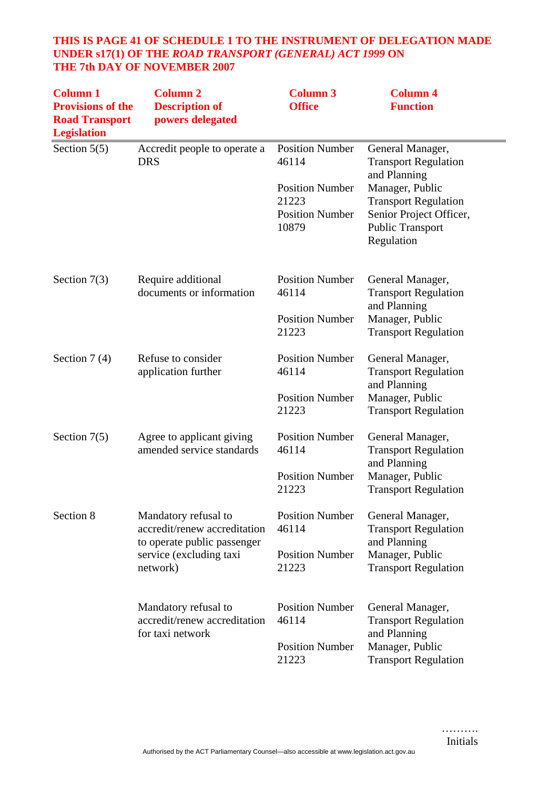## **THIS IS PAGE 41 OF SCHEDULE 1 TO THE INSTRUMENT OF DELEGATION MADE UNDER s17(1) OF THE** *ROAD TRANSPORT (GENERAL) ACT 1999* **ON THE 7th DAY OF NOVEMBER 2007**

| <b>Column 1</b><br><b>Provisions of the</b><br><b>Road Transport</b><br><b>Legislation</b> | <b>Column 2</b><br><b>Description of</b><br>powers delegated                        | <b>Column 3</b><br><b>Office</b> | <b>Column 4</b><br><b>Function</b>                               |
|--------------------------------------------------------------------------------------------|-------------------------------------------------------------------------------------|----------------------------------|------------------------------------------------------------------|
| Section $5(5)$                                                                             | Accredit people to operate a<br><b>DRS</b>                                          | <b>Position Number</b><br>46114  | General Manager,<br><b>Transport Regulation</b><br>and Planning  |
|                                                                                            |                                                                                     | <b>Position Number</b><br>21223  | Manager, Public<br><b>Transport Regulation</b>                   |
|                                                                                            |                                                                                     | <b>Position Number</b><br>10879  | Senior Project Officer,<br><b>Public Transport</b><br>Regulation |
| Section $7(3)$                                                                             | Require additional<br>documents or information                                      | <b>Position Number</b><br>46114  | General Manager,<br><b>Transport Regulation</b><br>and Planning  |
|                                                                                            |                                                                                     | <b>Position Number</b><br>21223  | Manager, Public<br><b>Transport Regulation</b>                   |
| Section $7(4)$                                                                             | Refuse to consider<br>application further                                           | <b>Position Number</b><br>46114  | General Manager,<br><b>Transport Regulation</b><br>and Planning  |
|                                                                                            |                                                                                     | <b>Position Number</b><br>21223  | Manager, Public<br><b>Transport Regulation</b>                   |
| Section $7(5)$                                                                             | Agree to applicant giving<br>amended service standards                              | <b>Position Number</b><br>46114  | General Manager,<br><b>Transport Regulation</b><br>and Planning  |
|                                                                                            |                                                                                     | <b>Position Number</b><br>21223  | Manager, Public<br><b>Transport Regulation</b>                   |
| Section 8                                                                                  | Mandatory refusal to<br>accredit/renew accreditation<br>to operate public passenger | <b>Position Number</b><br>46114  | General Manager,<br><b>Transport Regulation</b><br>and Planning  |
|                                                                                            | service (excluding taxi<br>network)                                                 | <b>Position Number</b><br>21223  | Manager, Public<br><b>Transport Regulation</b>                   |
|                                                                                            | Mandatory refusal to<br>accredit/renew accreditation<br>for taxi network            | <b>Position Number</b><br>46114  | General Manager,<br><b>Transport Regulation</b><br>and Planning  |
|                                                                                            |                                                                                     | <b>Position Number</b><br>21223  | Manager, Public<br><b>Transport Regulation</b>                   |

……….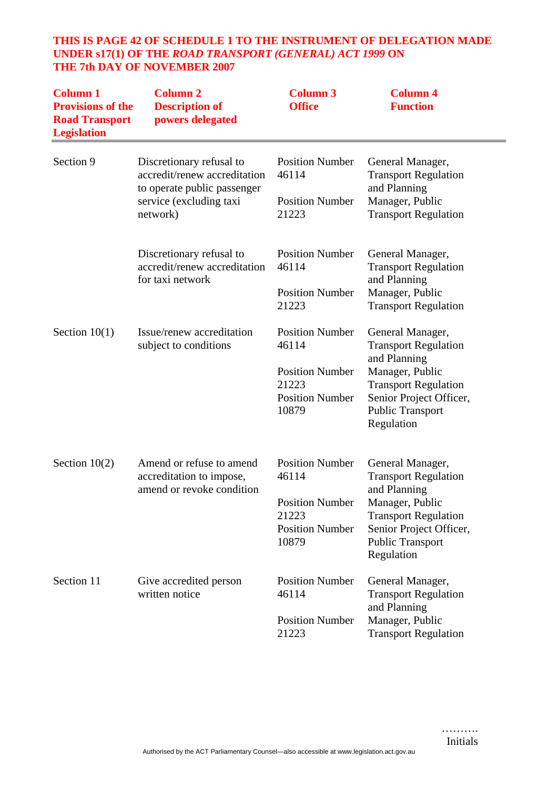#### **THIS IS PAGE 42 OF SCHEDULE 1 TO THE INSTRUMENT OF DELEGATION MADE UNDER s17(1) OF THE** *ROAD TRANSPORT (GENERAL) ACT 1999* **ON THE 7th DAY OF NOVEMBER 2007**

| <b>Column 1</b><br><b>Provisions of the</b><br><b>Road Transport</b><br><b>Legislation</b> | <b>Column 2</b><br><b>Description of</b><br>powers delegated                                                       | <b>Column 3</b><br><b>Office</b>                          | <b>Column 4</b><br><b>Function</b>                                                 |
|--------------------------------------------------------------------------------------------|--------------------------------------------------------------------------------------------------------------------|-----------------------------------------------------------|------------------------------------------------------------------------------------|
| Section 9                                                                                  | Discretionary refusal to<br>accredit/renew accreditation<br>to operate public passenger<br>service (excluding taxi | <b>Position Number</b><br>46114<br><b>Position Number</b> | General Manager,<br><b>Transport Regulation</b><br>and Planning<br>Manager, Public |
|                                                                                            | network)                                                                                                           | 21223                                                     | <b>Transport Regulation</b>                                                        |
|                                                                                            | Discretionary refusal to<br>accredit/renew accreditation<br>for taxi network                                       | <b>Position Number</b><br>46114                           | General Manager,<br><b>Transport Regulation</b><br>and Planning                    |
|                                                                                            |                                                                                                                    | <b>Position Number</b><br>21223                           | Manager, Public<br><b>Transport Regulation</b>                                     |
| Section $10(1)$                                                                            | Issue/renew accreditation<br>subject to conditions                                                                 | <b>Position Number</b><br>46114                           | General Manager,<br><b>Transport Regulation</b><br>and Planning                    |
|                                                                                            |                                                                                                                    | <b>Position Number</b><br>21223                           | Manager, Public<br><b>Transport Regulation</b>                                     |
|                                                                                            |                                                                                                                    | <b>Position Number</b><br>10879                           | Senior Project Officer,<br><b>Public Transport</b><br>Regulation                   |
| Section $10(2)$                                                                            | Amend or refuse to amend<br>accreditation to impose,<br>amend or revoke condition                                  | <b>Position Number</b><br>46114                           | General Manager,<br><b>Transport Regulation</b><br>and Planning                    |
|                                                                                            |                                                                                                                    | <b>Position Number</b><br>21223<br><b>Position Number</b> | Manager, Public<br><b>Transport Regulation</b><br>Senior Project Officer,          |
|                                                                                            |                                                                                                                    | 10879                                                     | Public Transport<br>Regulation                                                     |
| Section 11                                                                                 | Give accredited person<br>written notice                                                                           | <b>Position Number</b><br>46114                           | General Manager,<br><b>Transport Regulation</b><br>and Planning                    |
|                                                                                            |                                                                                                                    | <b>Position Number</b><br>21223                           | Manager, Public<br><b>Transport Regulation</b>                                     |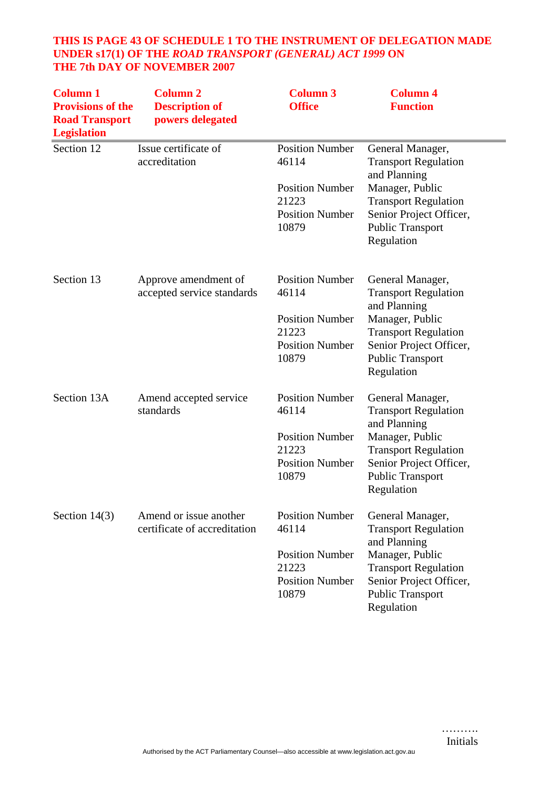## **THIS IS PAGE 43 OF SCHEDULE 1 TO THE INSTRUMENT OF DELEGATION MADE UNDER s17(1) OF THE** *ROAD TRANSPORT (GENERAL) ACT 1999* **ON THE 7th DAY OF NOVEMBER 2007**

| <b>Column 1</b><br><b>Provisions of the</b><br><b>Road Transport</b><br><b>Legislation</b> | <b>Column 2</b><br><b>Description of</b><br>powers delegated | <b>Column 3</b><br><b>Office</b>                                                                      | <b>Column 4</b><br><b>Function</b>                                                                                                                                                    |
|--------------------------------------------------------------------------------------------|--------------------------------------------------------------|-------------------------------------------------------------------------------------------------------|---------------------------------------------------------------------------------------------------------------------------------------------------------------------------------------|
| Section 12                                                                                 | Issue certificate of<br>accreditation                        | <b>Position Number</b><br>46114<br><b>Position Number</b><br>21223<br><b>Position Number</b><br>10879 | General Manager,<br><b>Transport Regulation</b><br>and Planning<br>Manager, Public<br><b>Transport Regulation</b><br>Senior Project Officer,<br><b>Public Transport</b><br>Regulation |
| Section 13                                                                                 | Approve amendment of<br>accepted service standards           | <b>Position Number</b><br>46114<br><b>Position Number</b><br>21223<br><b>Position Number</b><br>10879 | General Manager,<br><b>Transport Regulation</b><br>and Planning<br>Manager, Public<br><b>Transport Regulation</b><br>Senior Project Officer,<br><b>Public Transport</b><br>Regulation |
| Section 13A                                                                                | Amend accepted service<br>standards                          | <b>Position Number</b><br>46114<br><b>Position Number</b><br>21223<br><b>Position Number</b><br>10879 | General Manager,<br><b>Transport Regulation</b><br>and Planning<br>Manager, Public<br><b>Transport Regulation</b><br>Senior Project Officer,<br><b>Public Transport</b><br>Regulation |
| Section $14(3)$                                                                            | Amend or issue another<br>certificate of accreditation       | <b>Position Number</b><br>46114<br><b>Position Number</b><br>21223<br><b>Position Number</b><br>10879 | General Manager,<br><b>Transport Regulation</b><br>and Planning<br>Manager, Public<br><b>Transport Regulation</b><br>Senior Project Officer,<br><b>Public Transport</b><br>Regulation |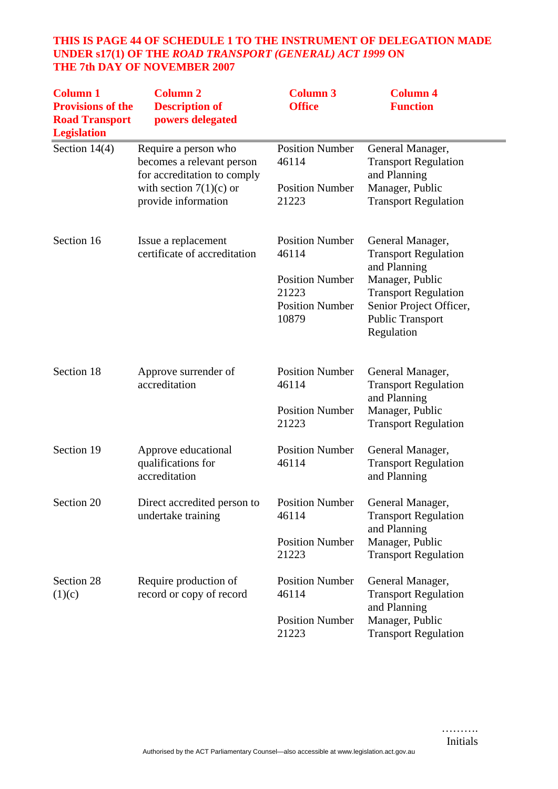## **THIS IS PAGE 44 OF SCHEDULE 1 TO THE INSTRUMENT OF DELEGATION MADE UNDER s17(1) OF THE** *ROAD TRANSPORT (GENERAL) ACT 1999* **ON THE 7th DAY OF NOVEMBER 2007**

| <b>Column 1</b><br><b>Provisions of the</b><br><b>Road Transport</b><br><b>Legislation</b> | <b>Column 2</b><br><b>Description of</b><br>powers delegated                     | <b>Column 3</b><br><b>Office</b>                                                                      | <b>Column 4</b><br><b>Function</b>                                                                                                                                                    |
|--------------------------------------------------------------------------------------------|----------------------------------------------------------------------------------|-------------------------------------------------------------------------------------------------------|---------------------------------------------------------------------------------------------------------------------------------------------------------------------------------------|
| Section $14(4)$                                                                            | Require a person who<br>becomes a relevant person<br>for accreditation to comply | <b>Position Number</b><br>46114                                                                       | General Manager,<br><b>Transport Regulation</b><br>and Planning                                                                                                                       |
|                                                                                            | with section $7(1)(c)$ or<br>provide information                                 | <b>Position Number</b><br>21223                                                                       | Manager, Public<br><b>Transport Regulation</b>                                                                                                                                        |
| Section 16                                                                                 | Issue a replacement<br>certificate of accreditation                              | <b>Position Number</b><br>46114<br><b>Position Number</b><br>21223<br><b>Position Number</b><br>10879 | General Manager,<br><b>Transport Regulation</b><br>and Planning<br>Manager, Public<br><b>Transport Regulation</b><br>Senior Project Officer,<br><b>Public Transport</b><br>Regulation |
| Section 18                                                                                 | Approve surrender of<br>accreditation                                            | <b>Position Number</b><br>46114                                                                       | General Manager,<br><b>Transport Regulation</b>                                                                                                                                       |
|                                                                                            |                                                                                  | <b>Position Number</b><br>21223                                                                       | and Planning<br>Manager, Public<br><b>Transport Regulation</b>                                                                                                                        |
| Section 19                                                                                 | Approve educational<br>qualifications for<br>accreditation                       | <b>Position Number</b><br>46114                                                                       | General Manager,<br><b>Transport Regulation</b><br>and Planning                                                                                                                       |
| Section 20                                                                                 | Direct accredited person to<br>undertake training                                | <b>Position Number</b><br>46114                                                                       | General Manager,<br><b>Transport Regulation</b><br>and Planning                                                                                                                       |
|                                                                                            |                                                                                  | <b>Position Number</b><br>21223                                                                       | Manager, Public<br><b>Transport Regulation</b>                                                                                                                                        |
| Section 28<br>(1)(c)                                                                       | Require production of<br>record or copy of record                                | <b>Position Number</b><br>46114                                                                       | General Manager,<br><b>Transport Regulation</b><br>and Planning                                                                                                                       |
|                                                                                            |                                                                                  | <b>Position Number</b><br>21223                                                                       | Manager, Public<br><b>Transport Regulation</b>                                                                                                                                        |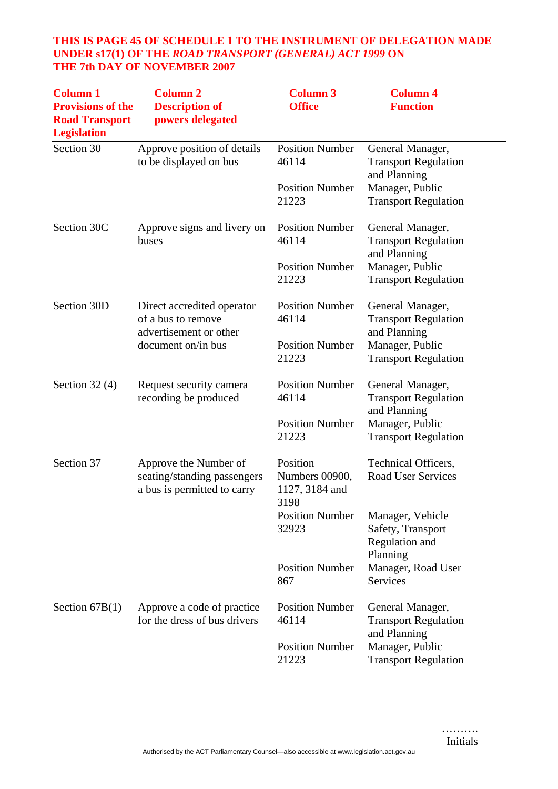## **THIS IS PAGE 45 OF SCHEDULE 1 TO THE INSTRUMENT OF DELEGATION MADE UNDER s17(1) OF THE** *ROAD TRANSPORT (GENERAL) ACT 1999* **ON THE 7th DAY OF NOVEMBER 2007**

| <b>Column 1</b><br><b>Provisions of the</b><br><b>Road Transport</b><br><b>Legislation</b> | <b>Column 2</b><br><b>Description of</b><br>powers delegated                        | <b>Column 3</b><br><b>Office</b>                     | <b>Column 4</b><br><b>Function</b>                                  |
|--------------------------------------------------------------------------------------------|-------------------------------------------------------------------------------------|------------------------------------------------------|---------------------------------------------------------------------|
| Section 30                                                                                 | Approve position of details<br>to be displayed on bus                               | <b>Position Number</b><br>46114                      | General Manager,<br><b>Transport Regulation</b><br>and Planning     |
|                                                                                            |                                                                                     | <b>Position Number</b><br>21223                      | Manager, Public<br><b>Transport Regulation</b>                      |
| Section 30C                                                                                | Approve signs and livery on<br>buses                                                | <b>Position Number</b><br>46114                      | General Manager,<br><b>Transport Regulation</b><br>and Planning     |
|                                                                                            |                                                                                     | <b>Position Number</b><br>21223                      | Manager, Public<br><b>Transport Regulation</b>                      |
| Section 30D                                                                                | Direct accredited operator<br>of a bus to remove<br>advertisement or other          | <b>Position Number</b><br>46114                      | General Manager,<br><b>Transport Regulation</b><br>and Planning     |
|                                                                                            | document on/in bus                                                                  | <b>Position Number</b><br>21223                      | Manager, Public<br><b>Transport Regulation</b>                      |
| Section $32(4)$                                                                            | Request security camera<br>recording be produced                                    | <b>Position Number</b><br>46114                      | General Manager,<br><b>Transport Regulation</b><br>and Planning     |
|                                                                                            |                                                                                     | <b>Position Number</b><br>21223                      | Manager, Public<br><b>Transport Regulation</b>                      |
| Section 37                                                                                 | Approve the Number of<br>seating/standing passengers<br>a bus is permitted to carry | Position<br>Numbers 00900,<br>1127, 3184 and<br>3198 | Technical Officers,<br><b>Road User Services</b>                    |
|                                                                                            |                                                                                     | <b>Position Number</b><br>32923                      | Manager, Vehicle<br>Safety, Transport<br>Regulation and<br>Planning |
|                                                                                            |                                                                                     | <b>Position Number</b><br>867                        | Manager, Road User<br><b>Services</b>                               |
| Section $67B(1)$                                                                           | Approve a code of practice<br>for the dress of bus drivers                          | <b>Position Number</b><br>46114                      | General Manager,<br><b>Transport Regulation</b><br>and Planning     |
|                                                                                            |                                                                                     | <b>Position Number</b><br>21223                      | Manager, Public<br><b>Transport Regulation</b>                      |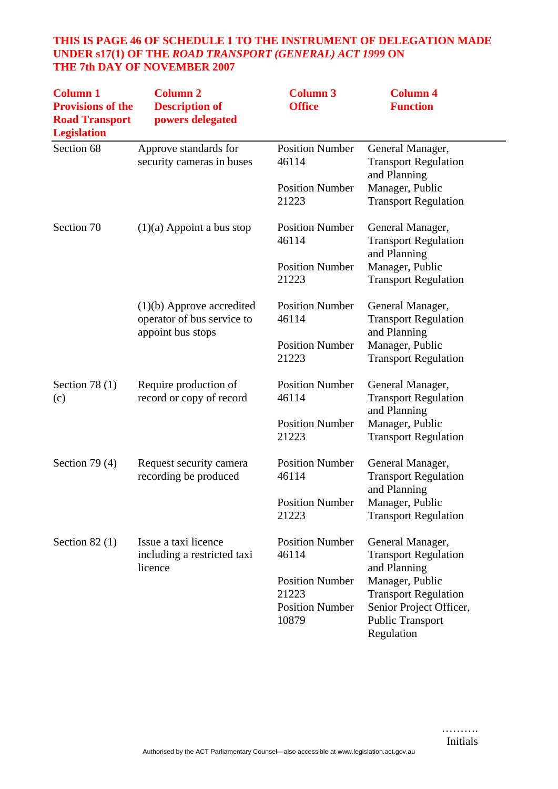## **THIS IS PAGE 46 OF SCHEDULE 1 TO THE INSTRUMENT OF DELEGATION MADE UNDER s17(1) OF THE** *ROAD TRANSPORT (GENERAL) ACT 1999* **ON THE 7th DAY OF NOVEMBER 2007**

| <b>Column 1</b><br><b>Provisions of the</b><br><b>Road Transport</b><br><b>Legislation</b> | <b>Column 2</b><br><b>Description of</b><br>powers delegated                   | <b>Column 3</b><br><b>Office</b>                                   | <b>Column 4</b><br><b>Function</b>                                                                                 |
|--------------------------------------------------------------------------------------------|--------------------------------------------------------------------------------|--------------------------------------------------------------------|--------------------------------------------------------------------------------------------------------------------|
| Section 68                                                                                 | Approve standards for<br>security cameras in buses                             | <b>Position Number</b><br>46114                                    | General Manager,<br><b>Transport Regulation</b>                                                                    |
|                                                                                            |                                                                                | <b>Position Number</b><br>21223                                    | and Planning<br>Manager, Public<br><b>Transport Regulation</b>                                                     |
| Section 70                                                                                 | $(1)(a)$ Appoint a bus stop                                                    | <b>Position Number</b><br>46114                                    | General Manager,<br><b>Transport Regulation</b><br>and Planning                                                    |
|                                                                                            |                                                                                | <b>Position Number</b><br>21223                                    | Manager, Public<br><b>Transport Regulation</b>                                                                     |
|                                                                                            | $(1)(b)$ Approve accredited<br>operator of bus service to<br>appoint bus stops | <b>Position Number</b><br>46114                                    | General Manager,<br><b>Transport Regulation</b><br>and Planning                                                    |
|                                                                                            |                                                                                | <b>Position Number</b><br>21223                                    | Manager, Public<br><b>Transport Regulation</b>                                                                     |
| Section 78 $(1)$<br>(c)                                                                    | Require production of<br>record or copy of record                              | <b>Position Number</b><br>46114                                    | General Manager,<br><b>Transport Regulation</b><br>and Planning                                                    |
|                                                                                            |                                                                                | <b>Position Number</b><br>21223                                    | Manager, Public<br><b>Transport Regulation</b>                                                                     |
| Section 79 $(4)$                                                                           | Request security camera<br>recording be produced                               | <b>Position Number</b><br>46114                                    | General Manager,<br><b>Transport Regulation</b><br>and Planning                                                    |
|                                                                                            |                                                                                | <b>Position Number</b><br>21223                                    | Manager, Public<br><b>Transport Regulation</b>                                                                     |
| Section $82(1)$                                                                            | Issue a taxi licence<br>including a restricted taxi<br>licence                 | <b>Position Number</b><br>46114                                    | General Manager,<br><b>Transport Regulation</b><br>and Planning                                                    |
|                                                                                            |                                                                                | <b>Position Number</b><br>21223<br><b>Position Number</b><br>10879 | Manager, Public<br><b>Transport Regulation</b><br>Senior Project Officer,<br><b>Public Transport</b><br>Regulation |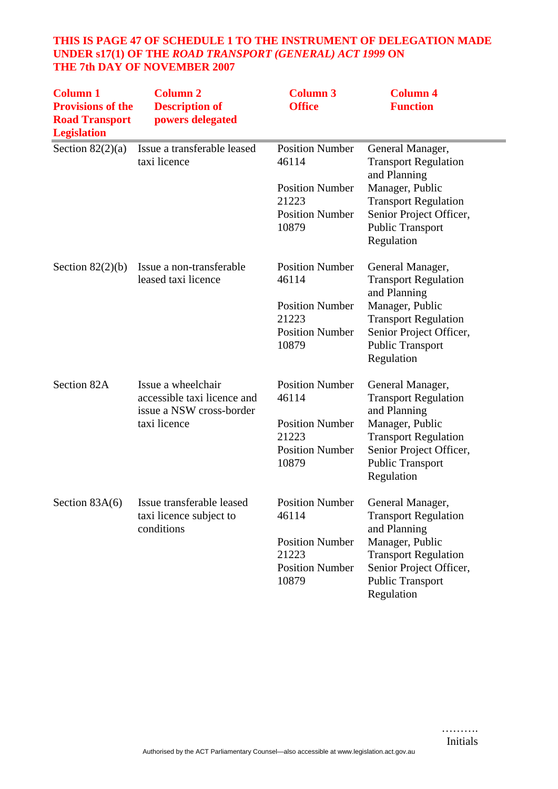## **THIS IS PAGE 47 OF SCHEDULE 1 TO THE INSTRUMENT OF DELEGATION MADE UNDER s17(1) OF THE** *ROAD TRANSPORT (GENERAL) ACT 1999* **ON THE 7th DAY OF NOVEMBER 2007**

| <b>Column 1</b><br><b>Provisions of the</b><br><b>Road Transport</b><br><b>Legislation</b> | <b>Column 2</b><br><b>Description of</b><br>powers delegated                                  | <b>Column 3</b><br><b>Office</b>                                                                      | <b>Column 4</b><br><b>Function</b>                                                                                                                                                    |
|--------------------------------------------------------------------------------------------|-----------------------------------------------------------------------------------------------|-------------------------------------------------------------------------------------------------------|---------------------------------------------------------------------------------------------------------------------------------------------------------------------------------------|
| Section $82(2)(a)$                                                                         | Issue a transferable leased<br>taxi licence                                                   | <b>Position Number</b><br>46114<br><b>Position Number</b><br>21223<br><b>Position Number</b><br>10879 | General Manager,<br><b>Transport Regulation</b><br>and Planning<br>Manager, Public<br><b>Transport Regulation</b><br>Senior Project Officer,<br><b>Public Transport</b><br>Regulation |
| Section $82(2)(b)$                                                                         | Issue a non-transferable<br>leased taxi licence                                               | <b>Position Number</b><br>46114<br><b>Position Number</b><br>21223<br><b>Position Number</b><br>10879 | General Manager,<br><b>Transport Regulation</b><br>and Planning<br>Manager, Public<br><b>Transport Regulation</b><br>Senior Project Officer,<br><b>Public Transport</b><br>Regulation |
| Section 82A                                                                                | Issue a wheelchair<br>accessible taxi licence and<br>issue a NSW cross-border<br>taxi licence | <b>Position Number</b><br>46114<br><b>Position Number</b><br>21223<br><b>Position Number</b><br>10879 | General Manager,<br><b>Transport Regulation</b><br>and Planning<br>Manager, Public<br><b>Transport Regulation</b><br>Senior Project Officer,<br><b>Public Transport</b><br>Regulation |
| Section $83A(6)$                                                                           | Issue transferable leased<br>taxi licence subject to<br>conditions                            | <b>Position Number</b><br>46114<br><b>Position Number</b><br>21223<br><b>Position Number</b><br>10879 | General Manager,<br><b>Transport Regulation</b><br>and Planning<br>Manager, Public<br><b>Transport Regulation</b><br>Senior Project Officer,<br><b>Public Transport</b><br>Regulation |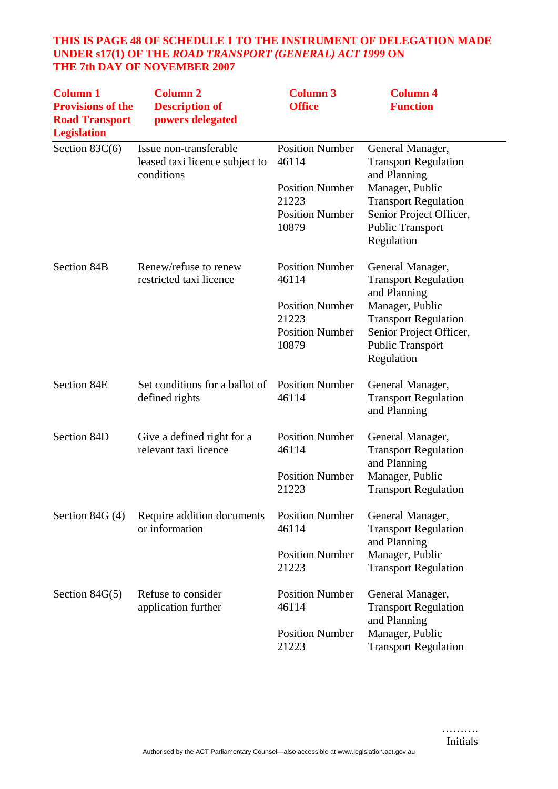## **THIS IS PAGE 48 OF SCHEDULE 1 TO THE INSTRUMENT OF DELEGATION MADE UNDER s17(1) OF THE** *ROAD TRANSPORT (GENERAL) ACT 1999* **ON THE 7th DAY OF NOVEMBER 2007**

| <b>Column 1</b><br><b>Provisions of the</b><br><b>Road Transport</b><br><b>Legislation</b> | <b>Column 2</b><br><b>Description of</b><br>powers delegated           | <b>Column 3</b><br><b>Office</b>                                   | <b>Column 4</b><br><b>Function</b>                                                                                 |
|--------------------------------------------------------------------------------------------|------------------------------------------------------------------------|--------------------------------------------------------------------|--------------------------------------------------------------------------------------------------------------------|
| Section $83C(6)$                                                                           | Issue non-transferable<br>leased taxi licence subject to<br>conditions | <b>Position Number</b><br>46114                                    | General Manager,<br><b>Transport Regulation</b><br>and Planning                                                    |
|                                                                                            |                                                                        | <b>Position Number</b><br>21223<br><b>Position Number</b><br>10879 | Manager, Public<br><b>Transport Regulation</b><br>Senior Project Officer,<br><b>Public Transport</b><br>Regulation |
| Section 84B                                                                                | Renew/refuse to renew<br>restricted taxi licence                       | <b>Position Number</b><br>46114                                    | General Manager,<br><b>Transport Regulation</b><br>and Planning                                                    |
|                                                                                            |                                                                        | <b>Position Number</b><br>21223<br><b>Position Number</b><br>10879 | Manager, Public<br><b>Transport Regulation</b><br>Senior Project Officer,<br><b>Public Transport</b><br>Regulation |
| Section 84E                                                                                | Set conditions for a ballot of<br>defined rights                       | <b>Position Number</b><br>46114                                    | General Manager,<br><b>Transport Regulation</b><br>and Planning                                                    |
| Section 84D                                                                                | Give a defined right for a<br>relevant taxi licence                    | <b>Position Number</b><br>46114                                    | General Manager,<br><b>Transport Regulation</b>                                                                    |
|                                                                                            |                                                                        | <b>Position Number</b><br>21223                                    | and Planning<br>Manager, Public<br><b>Transport Regulation</b>                                                     |
| Section 84G $(4)$                                                                          | Require addition documents<br>or information                           | <b>Position Number</b><br>46114                                    | General Manager,<br><b>Transport Regulation</b>                                                                    |
|                                                                                            |                                                                        | <b>Position Number</b><br>21223                                    | and Planning<br>Manager, Public<br><b>Transport Regulation</b>                                                     |
| Section $84G(5)$                                                                           | Refuse to consider<br>application further                              | <b>Position Number</b><br>46114                                    | General Manager,<br><b>Transport Regulation</b><br>and Planning                                                    |
|                                                                                            |                                                                        | <b>Position Number</b><br>21223                                    | Manager, Public<br><b>Transport Regulation</b>                                                                     |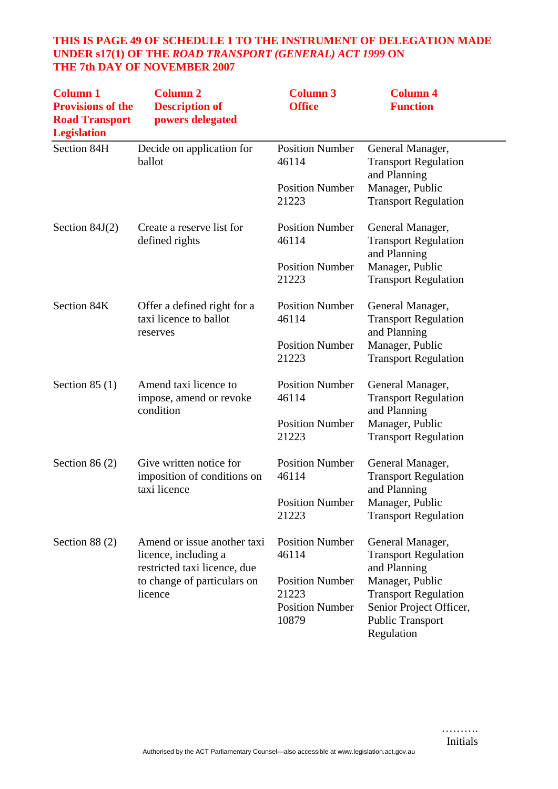## **THIS IS PAGE 49 OF SCHEDULE 1 TO THE INSTRUMENT OF DELEGATION MADE UNDER s17(1) OF THE** *ROAD TRANSPORT (GENERAL) ACT 1999* **ON THE 7th DAY OF NOVEMBER 2007**

| <b>Column 1</b><br><b>Provisions of the</b><br><b>Road Transport</b><br><b>Legislation</b> | <b>Column 2</b><br><b>Description of</b><br>powers delegated                                                                  | <b>Column 3</b><br><b>Office</b>                                   | <b>Column 4</b><br><b>Function</b>                                                                                 |
|--------------------------------------------------------------------------------------------|-------------------------------------------------------------------------------------------------------------------------------|--------------------------------------------------------------------|--------------------------------------------------------------------------------------------------------------------|
| Section 84H                                                                                | Decide on application for<br>ballot                                                                                           | <b>Position Number</b><br>46114                                    | General Manager,<br><b>Transport Regulation</b><br>and Planning                                                    |
|                                                                                            |                                                                                                                               | <b>Position Number</b><br>21223                                    | Manager, Public<br><b>Transport Regulation</b>                                                                     |
| Section $84J(2)$                                                                           | Create a reserve list for<br>defined rights                                                                                   | <b>Position Number</b><br>46114                                    | General Manager,<br><b>Transport Regulation</b><br>and Planning                                                    |
|                                                                                            |                                                                                                                               | <b>Position Number</b><br>21223                                    | Manager, Public<br><b>Transport Regulation</b>                                                                     |
| Section 84K                                                                                | Offer a defined right for a<br>taxi licence to ballot<br>reserves                                                             | <b>Position Number</b><br>46114                                    | General Manager,<br><b>Transport Regulation</b><br>and Planning                                                    |
|                                                                                            |                                                                                                                               | <b>Position Number</b><br>21223                                    | Manager, Public<br><b>Transport Regulation</b>                                                                     |
| Section $85(1)$                                                                            | Amend taxi licence to<br>impose, amend or revoke<br>condition                                                                 | <b>Position Number</b><br>46114                                    | General Manager,<br><b>Transport Regulation</b><br>and Planning                                                    |
|                                                                                            |                                                                                                                               | <b>Position Number</b><br>21223                                    | Manager, Public<br><b>Transport Regulation</b>                                                                     |
| Section 86 $(2)$                                                                           | Give written notice for<br>imposition of conditions on<br>taxi licence                                                        | <b>Position Number</b><br>46114                                    | General Manager,<br><b>Transport Regulation</b>                                                                    |
|                                                                                            |                                                                                                                               | <b>Position Number</b><br>21223                                    | and Planning<br>Manager, Public<br><b>Transport Regulation</b>                                                     |
| Section $88(2)$                                                                            | Amend or issue another taxi<br>licence, including a<br>restricted taxi licence, due<br>to change of particulars on<br>licence | <b>Position Number</b><br>46114                                    | General Manager,<br><b>Transport Regulation</b><br>and Planning                                                    |
|                                                                                            |                                                                                                                               | <b>Position Number</b><br>21223<br><b>Position Number</b><br>10879 | Manager, Public<br><b>Transport Regulation</b><br>Senior Project Officer,<br><b>Public Transport</b><br>Regulation |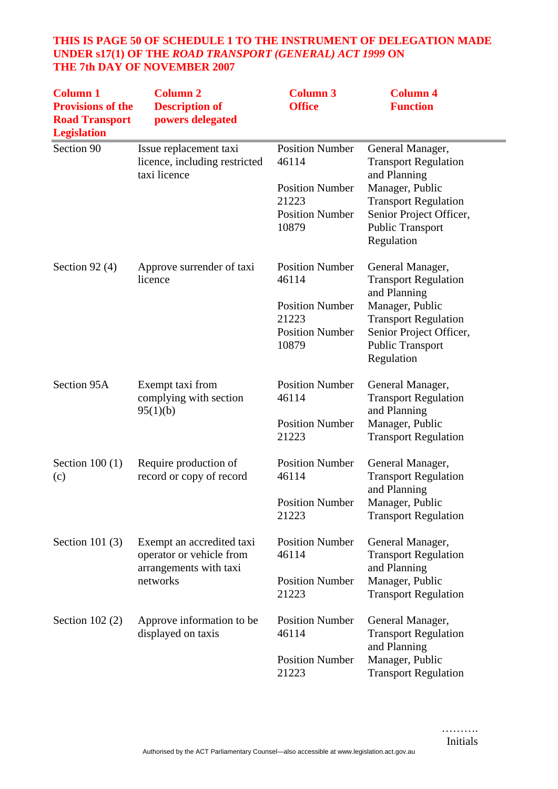## **THIS IS PAGE 50 OF SCHEDULE 1 TO THE INSTRUMENT OF DELEGATION MADE UNDER s17(1) OF THE** *ROAD TRANSPORT (GENERAL) ACT 1999* **ON THE 7th DAY OF NOVEMBER 2007**

| <b>Column 1</b><br><b>Provisions of the</b><br><b>Road Transport</b><br><b>Legislation</b> | <b>Column 2</b><br><b>Description of</b><br>powers delegated                                | <b>Column 3</b><br><b>Office</b>                                                                      | <b>Column 4</b><br><b>Function</b>                                                                                                                                                    |
|--------------------------------------------------------------------------------------------|---------------------------------------------------------------------------------------------|-------------------------------------------------------------------------------------------------------|---------------------------------------------------------------------------------------------------------------------------------------------------------------------------------------|
| Section 90                                                                                 | Issue replacement taxi<br>licence, including restricted<br>taxi licence                     | <b>Position Number</b><br>46114<br><b>Position Number</b><br>21223<br><b>Position Number</b><br>10879 | General Manager,<br><b>Transport Regulation</b><br>and Planning<br>Manager, Public<br><b>Transport Regulation</b><br>Senior Project Officer,<br><b>Public Transport</b><br>Regulation |
| Section 92 $(4)$                                                                           | Approve surrender of taxi<br>licence                                                        | <b>Position Number</b><br>46114<br><b>Position Number</b><br>21223<br><b>Position Number</b><br>10879 | General Manager,<br><b>Transport Regulation</b><br>and Planning<br>Manager, Public<br><b>Transport Regulation</b><br>Senior Project Officer,<br><b>Public Transport</b><br>Regulation |
| Section 95A                                                                                | Exempt taxi from<br>complying with section<br>95(1)(b)                                      | <b>Position Number</b><br>46114<br><b>Position Number</b><br>21223                                    | General Manager,<br><b>Transport Regulation</b><br>and Planning<br>Manager, Public<br><b>Transport Regulation</b>                                                                     |
| Section $100(1)$<br>(c)                                                                    | Require production of<br>record or copy of record                                           | <b>Position Number</b><br>46114<br><b>Position Number</b><br>21223                                    | General Manager,<br><b>Transport Regulation</b><br>and Planning<br>Manager, Public<br><b>Transport Regulation</b>                                                                     |
| Section 101 $(3)$                                                                          | Exempt an accredited taxi<br>operator or vehicle from<br>arrangements with taxi<br>networks | <b>Position Number</b><br>46114<br><b>Position Number</b><br>21223                                    | General Manager,<br><b>Transport Regulation</b><br>and Planning<br>Manager, Public<br><b>Transport Regulation</b>                                                                     |
| Section $102(2)$                                                                           | Approve information to be.<br>displayed on taxis                                            | <b>Position Number</b><br>46114<br><b>Position Number</b><br>21223                                    | General Manager,<br><b>Transport Regulation</b><br>and Planning<br>Manager, Public<br><b>Transport Regulation</b>                                                                     |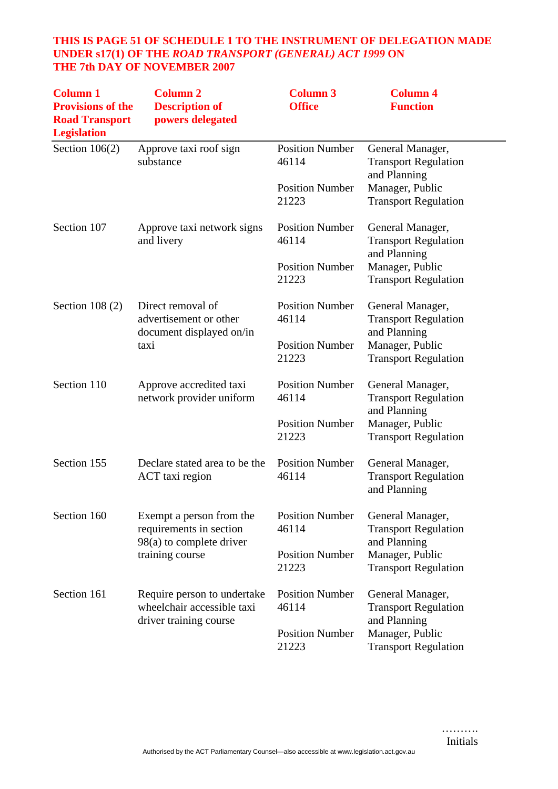## **THIS IS PAGE 51 OF SCHEDULE 1 TO THE INSTRUMENT OF DELEGATION MADE UNDER s17(1) OF THE** *ROAD TRANSPORT (GENERAL) ACT 1999* **ON THE 7th DAY OF NOVEMBER 2007**

| <b>Column 1</b><br><b>Provisions of the</b><br><b>Road Transport</b><br><b>Legislation</b> | <b>Column 2</b><br><b>Description of</b><br>powers delegated                                         | <b>Column 3</b><br><b>Office</b> | <b>Column 4</b><br><b>Function</b>                              |
|--------------------------------------------------------------------------------------------|------------------------------------------------------------------------------------------------------|----------------------------------|-----------------------------------------------------------------|
| Section $106(2)$                                                                           | Approve taxi roof sign<br>substance                                                                  | <b>Position Number</b><br>46114  | General Manager,<br><b>Transport Regulation</b><br>and Planning |
|                                                                                            |                                                                                                      | <b>Position Number</b><br>21223  | Manager, Public<br><b>Transport Regulation</b>                  |
| Section 107                                                                                | Approve taxi network signs<br>and livery                                                             | <b>Position Number</b><br>46114  | General Manager,<br><b>Transport Regulation</b><br>and Planning |
|                                                                                            |                                                                                                      | <b>Position Number</b><br>21223  | Manager, Public<br><b>Transport Regulation</b>                  |
| Section $108(2)$                                                                           | Direct removal of<br>advertisement or other<br>document displayed on/in<br>taxi                      | <b>Position Number</b><br>46114  | General Manager,<br><b>Transport Regulation</b><br>and Planning |
|                                                                                            |                                                                                                      | <b>Position Number</b><br>21223  | Manager, Public<br><b>Transport Regulation</b>                  |
| Section 110                                                                                | Approve accredited taxi<br>network provider uniform                                                  | <b>Position Number</b><br>46114  | General Manager,<br><b>Transport Regulation</b><br>and Planning |
|                                                                                            |                                                                                                      | <b>Position Number</b><br>21223  | Manager, Public<br><b>Transport Regulation</b>                  |
| Section 155                                                                                | Declare stated area to be the<br>ACT taxi region                                                     | <b>Position Number</b><br>46114  | General Manager,<br><b>Transport Regulation</b><br>and Planning |
| Section 160                                                                                | Exempt a person from the<br>requirements in section<br>$98(a)$ to complete driver<br>training course | <b>Position Number</b><br>46114  | General Manager,<br><b>Transport Regulation</b>                 |
|                                                                                            |                                                                                                      | <b>Position Number</b><br>21223  | and Planning<br>Manager, Public<br><b>Transport Regulation</b>  |
| Section 161                                                                                | Require person to undertake<br>wheelchair accessible taxi<br>driver training course                  | <b>Position Number</b><br>46114  | General Manager,<br><b>Transport Regulation</b><br>and Planning |
|                                                                                            |                                                                                                      | <b>Position Number</b><br>21223  | Manager, Public<br><b>Transport Regulation</b>                  |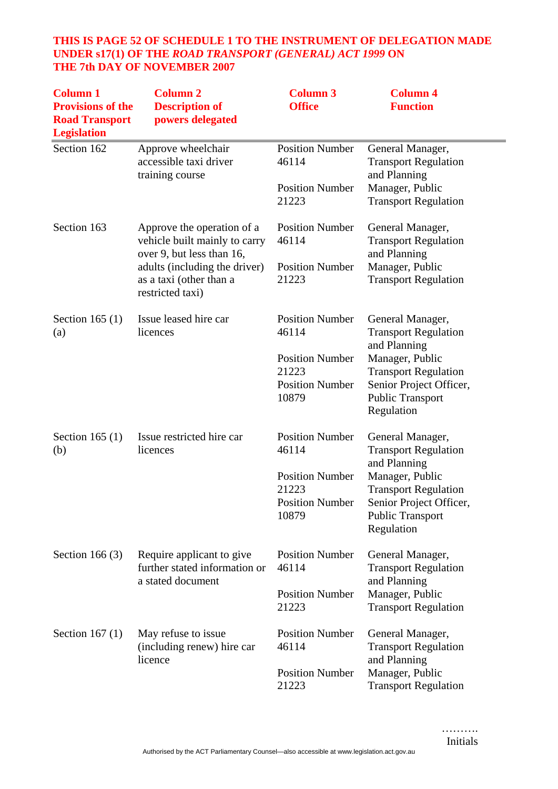#### **THIS IS PAGE 52 OF SCHEDULE 1 TO THE INSTRUMENT OF DELEGATION MADE UNDER s17(1) OF THE** *ROAD TRANSPORT (GENERAL) ACT 1999* **ON THE 7th DAY OF NOVEMBER 2007**

| <b>Column 1</b><br><b>Provisions of the</b><br><b>Road Transport</b><br><b>Legislation</b> | <b>Column 2</b><br><b>Description of</b><br>powers delegated                             | <b>Column 3</b><br><b>Office</b> | <b>Column 4</b><br><b>Function</b>                               |
|--------------------------------------------------------------------------------------------|------------------------------------------------------------------------------------------|----------------------------------|------------------------------------------------------------------|
| Section 162                                                                                | Approve wheelchair<br>accessible taxi driver<br>training course                          | <b>Position Number</b><br>46114  | General Manager,<br><b>Transport Regulation</b><br>and Planning  |
|                                                                                            |                                                                                          | <b>Position Number</b><br>21223  | Manager, Public<br><b>Transport Regulation</b>                   |
| Section 163                                                                                | Approve the operation of a<br>vehicle built mainly to carry<br>over 9, but less than 16, | <b>Position Number</b><br>46114  | General Manager,<br><b>Transport Regulation</b><br>and Planning  |
|                                                                                            | adults (including the driver)<br>as a taxi (other than a<br>restricted taxi)             | <b>Position Number</b><br>21223  | Manager, Public<br><b>Transport Regulation</b>                   |
| Section 165 $(1)$<br>(a)                                                                   | Issue leased hire car<br>licences                                                        | <b>Position Number</b><br>46114  | General Manager,<br><b>Transport Regulation</b><br>and Planning  |
|                                                                                            |                                                                                          | <b>Position Number</b>           | Manager, Public                                                  |
|                                                                                            |                                                                                          | 21223<br><b>Position Number</b>  | <b>Transport Regulation</b><br>Senior Project Officer,           |
|                                                                                            |                                                                                          | 10879                            | <b>Public Transport</b><br>Regulation                            |
| Section 165 $(1)$<br>(b)                                                                   | Issue restricted hire car<br>licences                                                    | <b>Position Number</b><br>46114  | General Manager,<br><b>Transport Regulation</b>                  |
|                                                                                            |                                                                                          | <b>Position Number</b>           | and Planning<br>Manager, Public                                  |
|                                                                                            |                                                                                          | 21223                            | <b>Transport Regulation</b>                                      |
|                                                                                            |                                                                                          | <b>Position Number</b><br>10879  | Senior Project Officer,<br><b>Public Transport</b><br>Regulation |
| Section 166 $(3)$                                                                          | Require applicant to give<br>further stated information or                               | <b>Position Number</b><br>46114  | General Manager,<br><b>Transport Regulation</b><br>and Planning  |
|                                                                                            | a stated document                                                                        | <b>Position Number</b><br>21223  | Manager, Public<br><b>Transport Regulation</b>                   |
| Section 167 $(1)$                                                                          | May refuse to issue<br>(including renew) hire car                                        | <b>Position Number</b><br>46114  | General Manager,<br><b>Transport Regulation</b><br>and Planning  |
|                                                                                            | licence                                                                                  | <b>Position Number</b><br>21223  | Manager, Public<br><b>Transport Regulation</b>                   |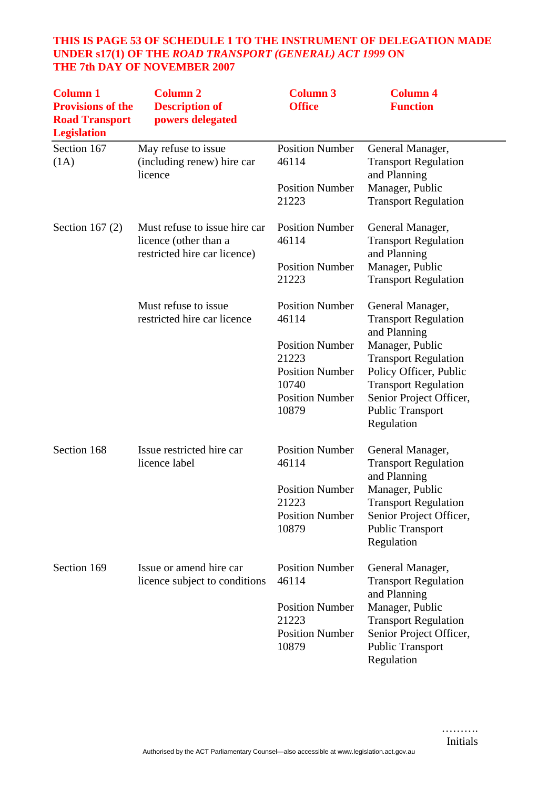## **THIS IS PAGE 53 OF SCHEDULE 1 TO THE INSTRUMENT OF DELEGATION MADE UNDER s17(1) OF THE** *ROAD TRANSPORT (GENERAL) ACT 1999* **ON THE 7th DAY OF NOVEMBER 2007**

| <b>Column 1</b><br><b>Provisions of the</b><br><b>Road Transport</b><br><b>Legislation</b> | <b>Column 2</b><br><b>Description of</b><br>powers delegated                           | <b>Column 3</b><br><b>Office</b>                          | <b>Column 4</b><br><b>Function</b>                                                 |
|--------------------------------------------------------------------------------------------|----------------------------------------------------------------------------------------|-----------------------------------------------------------|------------------------------------------------------------------------------------|
| Section 167<br>(1A)                                                                        | May refuse to issue<br>(including renew) hire car<br>licence                           | <b>Position Number</b><br>46114<br><b>Position Number</b> | General Manager,<br><b>Transport Regulation</b><br>and Planning<br>Manager, Public |
|                                                                                            |                                                                                        | 21223                                                     | <b>Transport Regulation</b>                                                        |
| Section 167 $(2)$                                                                          | Must refuse to issue hire car<br>licence (other than a<br>restricted hire car licence) | <b>Position Number</b><br>46114                           | General Manager,<br><b>Transport Regulation</b><br>and Planning                    |
|                                                                                            |                                                                                        | <b>Position Number</b><br>21223                           | Manager, Public<br><b>Transport Regulation</b>                                     |
|                                                                                            | Must refuse to issue<br>restricted hire car licence                                    | <b>Position Number</b><br>46114                           | General Manager,<br><b>Transport Regulation</b><br>and Planning                    |
|                                                                                            |                                                                                        | <b>Position Number</b>                                    | Manager, Public                                                                    |
|                                                                                            |                                                                                        | 21223                                                     | <b>Transport Regulation</b>                                                        |
|                                                                                            |                                                                                        | <b>Position Number</b><br>10740                           | Policy Officer, Public<br><b>Transport Regulation</b>                              |
|                                                                                            |                                                                                        | <b>Position Number</b><br>10879                           | Senior Project Officer,<br><b>Public Transport</b><br>Regulation                   |
| Section 168                                                                                | Issue restricted hire car<br>licence label                                             | <b>Position Number</b><br>46114                           | General Manager,<br><b>Transport Regulation</b><br>and Planning                    |
|                                                                                            |                                                                                        | <b>Position Number</b>                                    | Manager, Public                                                                    |
|                                                                                            |                                                                                        | 21223                                                     | <b>Transport Regulation</b>                                                        |
|                                                                                            |                                                                                        | <b>Position Number</b>                                    | Senior Project Officer,                                                            |
|                                                                                            |                                                                                        | 10879                                                     | <b>Public Transport</b><br>Regulation                                              |
| Section 169                                                                                | Issue or amend hire car                                                                | <b>Position Number</b>                                    | General Manager,                                                                   |
|                                                                                            | licence subject to conditions                                                          | 46114                                                     | <b>Transport Regulation</b><br>and Planning                                        |
|                                                                                            |                                                                                        | <b>Position Number</b>                                    | Manager, Public                                                                    |
|                                                                                            |                                                                                        | 21223                                                     | <b>Transport Regulation</b>                                                        |
|                                                                                            |                                                                                        | <b>Position Number</b><br>10879                           | Senior Project Officer,<br><b>Public Transport</b><br>Regulation                   |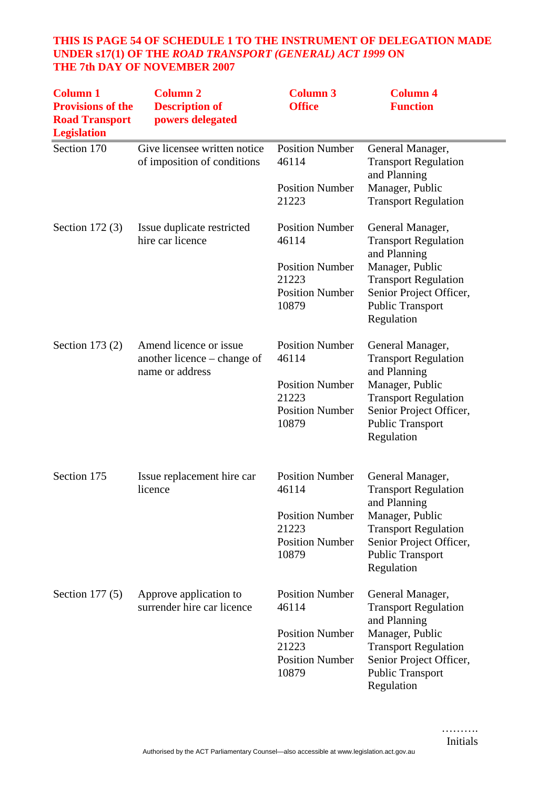## **THIS IS PAGE 54 OF SCHEDULE 1 TO THE INSTRUMENT OF DELEGATION MADE UNDER s17(1) OF THE** *ROAD TRANSPORT (GENERAL) ACT 1999* **ON THE 7th DAY OF NOVEMBER 2007**

| <b>Column 1</b><br><b>Provisions of the</b><br><b>Road Transport</b><br><b>Legislation</b> | <b>Column 2</b><br><b>Description of</b><br>powers delegated             | <b>Column 3</b><br><b>Office</b>                                                                      | <b>Column 4</b><br><b>Function</b>                                                                                                                                                    |
|--------------------------------------------------------------------------------------------|--------------------------------------------------------------------------|-------------------------------------------------------------------------------------------------------|---------------------------------------------------------------------------------------------------------------------------------------------------------------------------------------|
| Section 170                                                                                | Give licensee written notice<br>of imposition of conditions              | <b>Position Number</b><br>46114                                                                       | General Manager,<br><b>Transport Regulation</b><br>and Planning                                                                                                                       |
|                                                                                            |                                                                          | <b>Position Number</b><br>21223                                                                       | Manager, Public<br><b>Transport Regulation</b>                                                                                                                                        |
| Section $172(3)$                                                                           | Issue duplicate restricted<br>hire car licence                           | <b>Position Number</b><br>46114                                                                       | General Manager,<br><b>Transport Regulation</b><br>and Planning                                                                                                                       |
|                                                                                            |                                                                          | <b>Position Number</b><br>21223<br><b>Position Number</b><br>10879                                    | Manager, Public<br><b>Transport Regulation</b><br>Senior Project Officer,<br><b>Public Transport</b><br>Regulation                                                                    |
| Section 173 $(2)$                                                                          | Amend licence or issue<br>another licence – change of<br>name or address | <b>Position Number</b><br>46114<br><b>Position Number</b><br>21223<br><b>Position Number</b><br>10879 | General Manager,<br><b>Transport Regulation</b><br>and Planning<br>Manager, Public<br><b>Transport Regulation</b><br>Senior Project Officer,<br><b>Public Transport</b><br>Regulation |
| Section 175                                                                                | Issue replacement hire car<br>licence                                    | <b>Position Number</b><br>46114<br><b>Position Number</b><br>21223<br><b>Position Number</b><br>10879 | General Manager,<br><b>Transport Regulation</b><br>and Planning<br>Manager, Public<br><b>Transport Regulation</b><br>Senior Project Officer,<br><b>Public Transport</b><br>Regulation |
| Section $177(5)$                                                                           | Approve application to<br>surrender hire car licence                     | <b>Position Number</b><br>46114<br><b>Position Number</b><br>21223<br><b>Position Number</b><br>10879 | General Manager,<br><b>Transport Regulation</b><br>and Planning<br>Manager, Public<br><b>Transport Regulation</b><br>Senior Project Officer,<br><b>Public Transport</b><br>Regulation |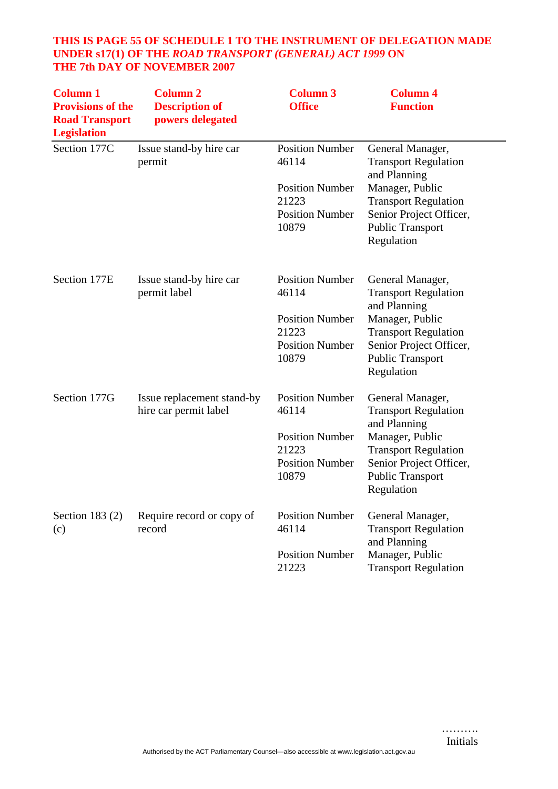#### **THIS IS PAGE 55 OF SCHEDULE 1 TO THE INSTRUMENT OF DELEGATION MADE UNDER s17(1) OF THE** *ROAD TRANSPORT (GENERAL) ACT 1999* **ON THE 7th DAY OF NOVEMBER 2007**

| <b>Column 1</b><br><b>Provisions of the</b><br><b>Road Transport</b><br><b>Legislation</b> | <b>Column 2</b><br><b>Description of</b><br>powers delegated | <b>Column 3</b><br><b>Office</b>                                                                      | <b>Column 4</b><br><b>Function</b>                                                                                                                                                    |
|--------------------------------------------------------------------------------------------|--------------------------------------------------------------|-------------------------------------------------------------------------------------------------------|---------------------------------------------------------------------------------------------------------------------------------------------------------------------------------------|
| Section 177C                                                                               | Issue stand-by hire car<br>permit                            | <b>Position Number</b><br>46114<br><b>Position Number</b><br>21223<br><b>Position Number</b><br>10879 | General Manager,<br><b>Transport Regulation</b><br>and Planning<br>Manager, Public<br><b>Transport Regulation</b><br>Senior Project Officer,<br><b>Public Transport</b><br>Regulation |
| Section 177E                                                                               | Issue stand-by hire car<br>permit label                      | <b>Position Number</b><br>46114<br><b>Position Number</b><br>21223<br><b>Position Number</b><br>10879 | General Manager,<br><b>Transport Regulation</b><br>and Planning<br>Manager, Public<br><b>Transport Regulation</b><br>Senior Project Officer,<br><b>Public Transport</b><br>Regulation |
| Section 177G                                                                               | Issue replacement stand-by<br>hire car permit label          | <b>Position Number</b><br>46114<br><b>Position Number</b><br>21223<br><b>Position Number</b><br>10879 | General Manager,<br><b>Transport Regulation</b><br>and Planning<br>Manager, Public<br><b>Transport Regulation</b><br>Senior Project Officer,<br><b>Public Transport</b><br>Regulation |
| Section 183 $(2)$<br>(c)                                                                   | Require record or copy of<br>record                          | <b>Position Number</b><br>46114<br><b>Position Number</b><br>21223                                    | General Manager,<br><b>Transport Regulation</b><br>and Planning<br>Manager, Public<br><b>Transport Regulation</b>                                                                     |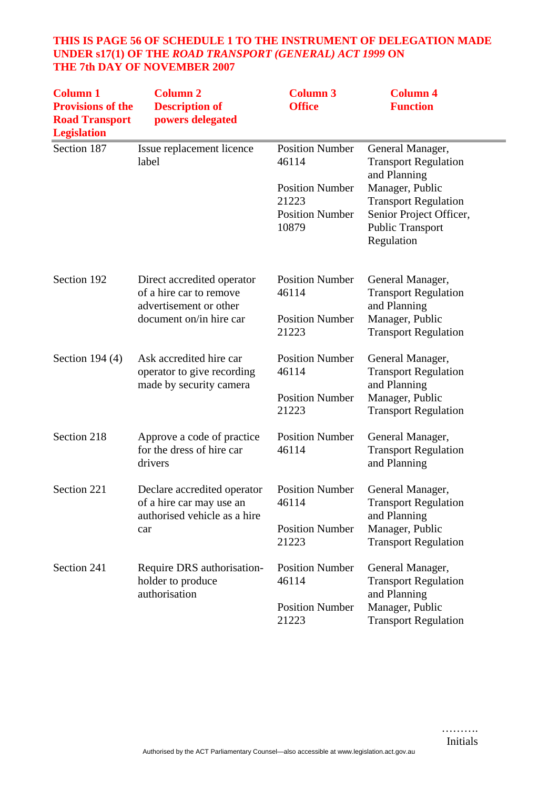## **THIS IS PAGE 56 OF SCHEDULE 1 TO THE INSTRUMENT OF DELEGATION MADE UNDER s17(1) OF THE** *ROAD TRANSPORT (GENERAL) ACT 1999* **ON THE 7th DAY OF NOVEMBER 2007**

| <b>Column 1</b><br><b>Provisions of the</b><br><b>Road Transport</b><br><b>Legislation</b> | <b>Column 2</b><br><b>Description of</b><br>powers delegated                                               | <b>Column 3</b><br><b>Office</b>                                   | <b>Column 4</b><br><b>Function</b>                                                                                 |
|--------------------------------------------------------------------------------------------|------------------------------------------------------------------------------------------------------------|--------------------------------------------------------------------|--------------------------------------------------------------------------------------------------------------------|
| Section 187                                                                                | Issue replacement licence<br>label                                                                         | <b>Position Number</b><br>46114                                    | General Manager,<br><b>Transport Regulation</b><br>and Planning                                                    |
|                                                                                            |                                                                                                            | <b>Position Number</b><br>21223<br><b>Position Number</b><br>10879 | Manager, Public<br><b>Transport Regulation</b><br>Senior Project Officer,<br><b>Public Transport</b><br>Regulation |
| Section 192                                                                                | Direct accredited operator<br>of a hire car to remove<br>advertisement or other<br>document on/in hire car | <b>Position Number</b><br>46114                                    | General Manager,<br><b>Transport Regulation</b><br>and Planning                                                    |
|                                                                                            |                                                                                                            | <b>Position Number</b><br>21223                                    | Manager, Public<br><b>Transport Regulation</b>                                                                     |
| Section 194 $(4)$                                                                          | Ask accredited hire car<br>operator to give recording<br>made by security camera                           | <b>Position Number</b><br>46114                                    | General Manager,<br><b>Transport Regulation</b><br>and Planning                                                    |
|                                                                                            |                                                                                                            | <b>Position Number</b><br>21223                                    | Manager, Public<br><b>Transport Regulation</b>                                                                     |
| Section 218                                                                                | Approve a code of practice<br>for the dress of hire car<br>drivers                                         | <b>Position Number</b><br>46114                                    | General Manager,<br><b>Transport Regulation</b><br>and Planning                                                    |
| Section 221                                                                                | Declare accredited operator<br>of a hire car may use an<br>authorised vehicle as a hire<br>car             | <b>Position Number</b><br>46114                                    | General Manager,<br><b>Transport Regulation</b>                                                                    |
|                                                                                            |                                                                                                            | <b>Position Number</b><br>21223                                    | and Planning<br>Manager, Public<br><b>Transport Regulation</b>                                                     |
| Section 241                                                                                | Require DRS authorisation-<br>holder to produce<br>authorisation                                           | <b>Position Number</b><br>46114                                    | General Manager,<br><b>Transport Regulation</b><br>and Planning                                                    |
|                                                                                            |                                                                                                            | <b>Position Number</b><br>21223                                    | Manager, Public<br><b>Transport Regulation</b>                                                                     |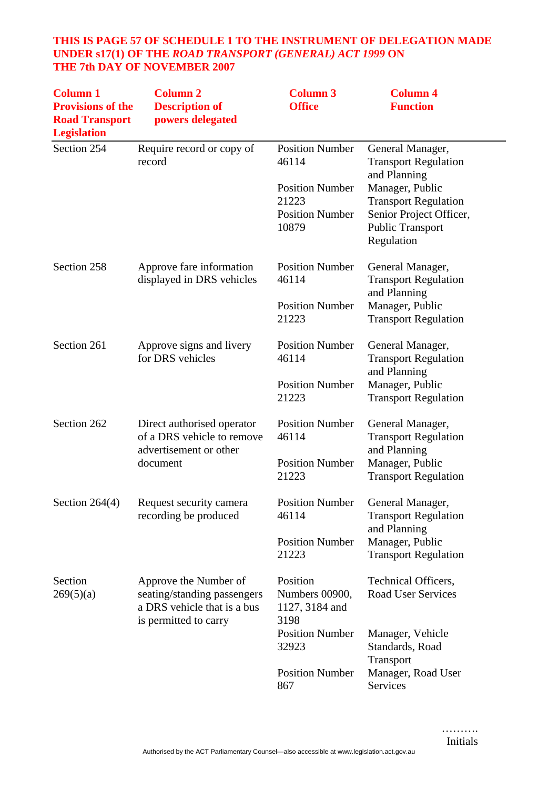## **THIS IS PAGE 57 OF SCHEDULE 1 TO THE INSTRUMENT OF DELEGATION MADE UNDER s17(1) OF THE** *ROAD TRANSPORT (GENERAL) ACT 1999* **ON THE 7th DAY OF NOVEMBER 2007**

| <b>Column 1</b><br><b>Provisions of the</b><br><b>Road Transport</b><br><b>Legislation</b> | <b>Column 2</b><br><b>Description of</b><br>powers delegated                                                 | <b>Column 3</b><br><b>Office</b>                     | <b>Column 4</b><br><b>Function</b>                                                              |
|--------------------------------------------------------------------------------------------|--------------------------------------------------------------------------------------------------------------|------------------------------------------------------|-------------------------------------------------------------------------------------------------|
| Section 254                                                                                | Require record or copy of<br>record                                                                          | <b>Position Number</b><br>46114                      | General Manager,<br><b>Transport Regulation</b><br>and Planning                                 |
|                                                                                            |                                                                                                              | <b>Position Number</b>                               | Manager, Public                                                                                 |
|                                                                                            |                                                                                                              | 21223<br><b>Position Number</b><br>10879             | <b>Transport Regulation</b><br>Senior Project Officer,<br><b>Public Transport</b><br>Regulation |
| Section 258                                                                                | Approve fare information<br>displayed in DRS vehicles                                                        | <b>Position Number</b><br>46114                      | General Manager,<br><b>Transport Regulation</b><br>and Planning                                 |
|                                                                                            |                                                                                                              | <b>Position Number</b><br>21223                      | Manager, Public<br><b>Transport Regulation</b>                                                  |
| Section 261                                                                                | Approve signs and livery<br>for DRS vehicles                                                                 | <b>Position Number</b><br>46114                      | General Manager,<br><b>Transport Regulation</b><br>and Planning                                 |
|                                                                                            |                                                                                                              | <b>Position Number</b><br>21223                      | Manager, Public<br><b>Transport Regulation</b>                                                  |
| Section 262                                                                                | Direct authorised operator<br>of a DRS vehicle to remove<br>advertisement or other                           | <b>Position Number</b><br>46114                      | General Manager,<br><b>Transport Regulation</b><br>and Planning                                 |
|                                                                                            | document                                                                                                     | <b>Position Number</b><br>21223                      | Manager, Public<br><b>Transport Regulation</b>                                                  |
| Section $264(4)$                                                                           | Request security camera<br>recording be produced                                                             | <b>Position Number</b><br>46114                      | General Manager,<br><b>Transport Regulation</b><br>and Planning                                 |
|                                                                                            |                                                                                                              | <b>Position Number</b><br>21223                      | Manager, Public<br><b>Transport Regulation</b>                                                  |
| Section<br>269(5)(a)                                                                       | Approve the Number of<br>seating/standing passengers<br>a DRS vehicle that is a bus<br>is permitted to carry | Position<br>Numbers 00900,<br>1127, 3184 and<br>3198 | Technical Officers,<br><b>Road User Services</b>                                                |
|                                                                                            |                                                                                                              | <b>Position Number</b><br>32923                      | Manager, Vehicle<br>Standards, Road<br>Transport                                                |
|                                                                                            |                                                                                                              | <b>Position Number</b><br>867                        | Manager, Road User<br>Services                                                                  |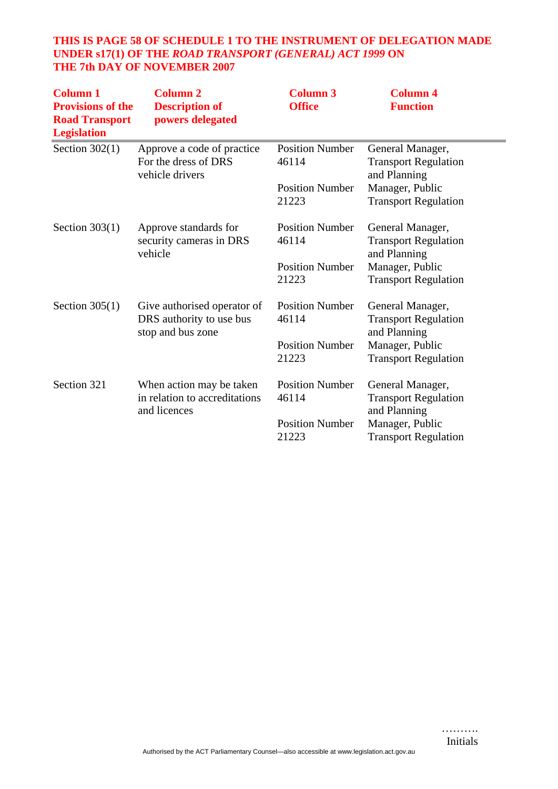## **THIS IS PAGE 58 OF SCHEDULE 1 TO THE INSTRUMENT OF DELEGATION MADE UNDER s17(1) OF THE** *ROAD TRANSPORT (GENERAL) ACT 1999* **ON THE 7th DAY OF NOVEMBER 2007**

| <b>Column 1</b><br><b>Provisions of the</b><br><b>Road Transport</b><br><b>Legislation</b> | <b>Column 2</b><br><b>Description of</b><br>powers delegated                 | <b>Column 3</b><br><b>Office</b> | <b>Column 4</b><br><b>Function</b>                              |
|--------------------------------------------------------------------------------------------|------------------------------------------------------------------------------|----------------------------------|-----------------------------------------------------------------|
| Section $302(1)$                                                                           | Approve a code of practice<br>For the dress of DRS<br>vehicle drivers        | <b>Position Number</b><br>46114  | General Manager,<br><b>Transport Regulation</b><br>and Planning |
|                                                                                            |                                                                              | <b>Position Number</b><br>21223  | Manager, Public<br><b>Transport Regulation</b>                  |
| Section $303(1)$                                                                           | Approve standards for<br>security cameras in DRS<br>vehicle                  | <b>Position Number</b><br>46114  | General Manager,<br><b>Transport Regulation</b><br>and Planning |
|                                                                                            |                                                                              | <b>Position Number</b><br>21223  | Manager, Public<br><b>Transport Regulation</b>                  |
| Section $305(1)$                                                                           | Give authorised operator of<br>DRS authority to use bus<br>stop and bus zone | <b>Position Number</b><br>46114  | General Manager,<br><b>Transport Regulation</b><br>and Planning |
|                                                                                            |                                                                              | <b>Position Number</b><br>21223  | Manager, Public<br><b>Transport Regulation</b>                  |
| Section 321                                                                                | When action may be taken<br>in relation to accreditations<br>and licences    | <b>Position Number</b><br>46114  | General Manager,<br><b>Transport Regulation</b><br>and Planning |
|                                                                                            |                                                                              | <b>Position Number</b><br>21223  | Manager, Public<br><b>Transport Regulation</b>                  |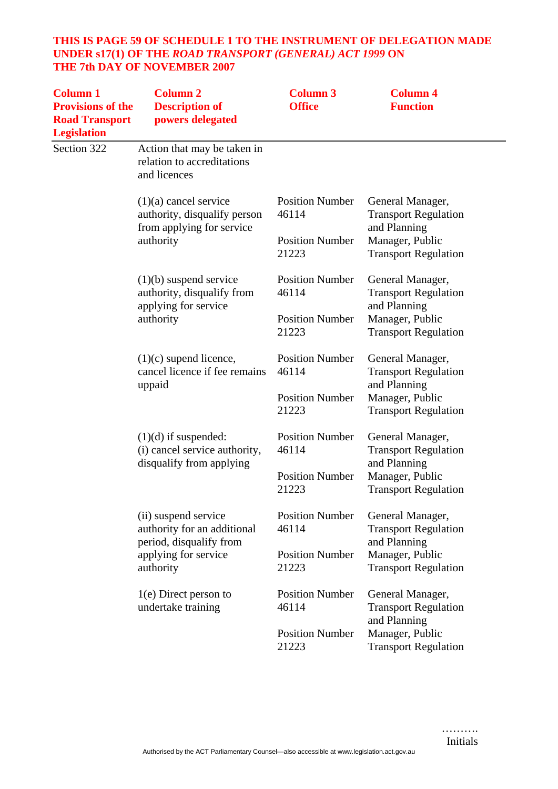## **THIS IS PAGE 59 OF SCHEDULE 1 TO THE INSTRUMENT OF DELEGATION MADE UNDER s17(1) OF THE** *ROAD TRANSPORT (GENERAL) ACT 1999* **ON THE 7th DAY OF NOVEMBER 2007**

| <b>Column 1</b><br><b>Provisions of the</b><br><b>Road Transport</b><br><b>Legislation</b> | <b>Column 2</b><br><b>Description of</b><br>powers delegated                                                        | <b>Column 3</b><br><b>Office</b> | <b>Column 4</b><br><b>Function</b>                              |
|--------------------------------------------------------------------------------------------|---------------------------------------------------------------------------------------------------------------------|----------------------------------|-----------------------------------------------------------------|
| Section 322                                                                                | Action that may be taken in<br>relation to accreditations<br>and licences                                           |                                  |                                                                 |
|                                                                                            | $(1)(a)$ cancel service<br>authority, disqualify person<br>from applying for service                                | <b>Position Number</b><br>46114  | General Manager,<br><b>Transport Regulation</b><br>and Planning |
|                                                                                            | authority                                                                                                           | <b>Position Number</b><br>21223  | Manager, Public<br><b>Transport Regulation</b>                  |
|                                                                                            | $(1)(b)$ suspend service<br>authority, disqualify from<br>applying for service                                      | <b>Position Number</b><br>46114  | General Manager,<br><b>Transport Regulation</b><br>and Planning |
|                                                                                            | authority                                                                                                           | <b>Position Number</b><br>21223  | Manager, Public<br><b>Transport Regulation</b>                  |
|                                                                                            | $(1)(c)$ supend licence,<br>cancel licence if fee remains<br>uppaid                                                 | <b>Position Number</b><br>46114  | General Manager,<br><b>Transport Regulation</b><br>and Planning |
|                                                                                            |                                                                                                                     | <b>Position Number</b><br>21223  | Manager, Public<br><b>Transport Regulation</b>                  |
|                                                                                            | $(1)(d)$ if suspended:<br>(i) cancel service authority,<br>disqualify from applying                                 | <b>Position Number</b><br>46114  | General Manager,<br><b>Transport Regulation</b><br>and Planning |
|                                                                                            |                                                                                                                     | <b>Position Number</b><br>21223  | Manager, Public<br><b>Transport Regulation</b>                  |
|                                                                                            | (ii) suspend service<br>authority for an additional<br>period, disqualify from<br>applying for service<br>authority | <b>Position Number</b><br>46114  | General Manager,<br><b>Transport Regulation</b>                 |
|                                                                                            |                                                                                                                     | <b>Position Number</b><br>21223  | and Planning<br>Manager, Public<br><b>Transport Regulation</b>  |
|                                                                                            | $1(e)$ Direct person to<br>undertake training                                                                       | <b>Position Number</b><br>46114  | General Manager,<br><b>Transport Regulation</b>                 |
|                                                                                            |                                                                                                                     | <b>Position Number</b><br>21223  | and Planning<br>Manager, Public<br><b>Transport Regulation</b>  |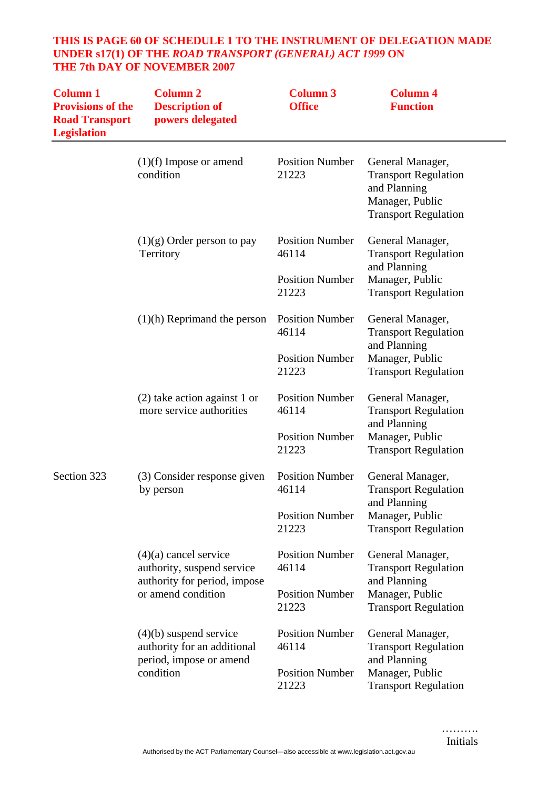## **THIS IS PAGE 60 OF SCHEDULE 1 TO THE INSTRUMENT OF DELEGATION MADE UNDER s17(1) OF THE** *ROAD TRANSPORT (GENERAL) ACT 1999* **ON THE 7th DAY OF NOVEMBER 2007**

| <b>Column 1</b><br><b>Provisions of the</b><br><b>Road Transport</b><br><b>Legislation</b> | <b>Column 2</b><br><b>Description of</b><br>powers delegated                       | <b>Column 3</b><br><b>Office</b> | <b>Column 4</b><br><b>Function</b>                                                                                |
|--------------------------------------------------------------------------------------------|------------------------------------------------------------------------------------|----------------------------------|-------------------------------------------------------------------------------------------------------------------|
|                                                                                            | $(1)(f)$ Impose or amend<br>condition                                              | <b>Position Number</b><br>21223  | General Manager,<br><b>Transport Regulation</b><br>and Planning<br>Manager, Public<br><b>Transport Regulation</b> |
|                                                                                            | $(1)(g)$ Order person to pay<br>Territory                                          | <b>Position Number</b><br>46114  | General Manager,<br><b>Transport Regulation</b><br>and Planning                                                   |
|                                                                                            |                                                                                    | <b>Position Number</b><br>21223  | Manager, Public<br><b>Transport Regulation</b>                                                                    |
|                                                                                            | $(1)(h)$ Reprimand the person                                                      | <b>Position Number</b><br>46114  | General Manager,<br><b>Transport Regulation</b><br>and Planning                                                   |
|                                                                                            |                                                                                    | <b>Position Number</b><br>21223  | Manager, Public<br><b>Transport Regulation</b>                                                                    |
|                                                                                            | $(2)$ take action against 1 or<br>more service authorities                         | <b>Position Number</b><br>46114  | General Manager,<br><b>Transport Regulation</b><br>and Planning                                                   |
|                                                                                            |                                                                                    | <b>Position Number</b><br>21223  | Manager, Public<br><b>Transport Regulation</b>                                                                    |
| Section 323                                                                                | (3) Consider response given<br>by person                                           | <b>Position Number</b><br>46114  | General Manager,<br><b>Transport Regulation</b>                                                                   |
|                                                                                            |                                                                                    | <b>Position Number</b><br>21223  | and Planning<br>Manager, Public<br><b>Transport Regulation</b>                                                    |
|                                                                                            | $(4)(a)$ cancel service<br>authority, suspend service                              | <b>Position Number</b><br>46114  | General Manager,<br><b>Transport Regulation</b>                                                                   |
|                                                                                            | authority for period, impose<br>or amend condition                                 | <b>Position Number</b><br>21223  | and Planning<br>Manager, Public<br><b>Transport Regulation</b>                                                    |
|                                                                                            | $(4)(b)$ suspend service<br>authority for an additional<br>period, impose or amend | <b>Position Number</b><br>46114  | General Manager,<br><b>Transport Regulation</b><br>and Planning                                                   |
|                                                                                            | condition                                                                          | <b>Position Number</b><br>21223  | Manager, Public<br><b>Transport Regulation</b>                                                                    |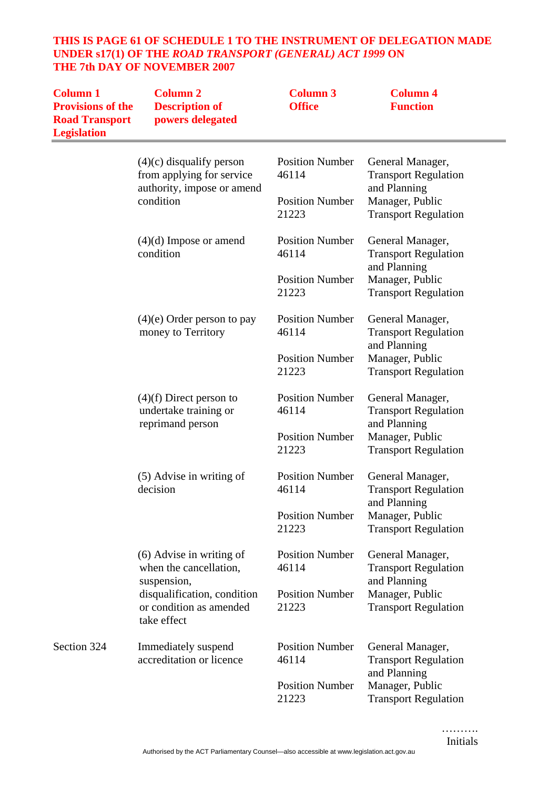#### **THIS IS PAGE 61 OF SCHEDULE 1 TO THE INSTRUMENT OF DELEGATION MADE UNDER s17(1) OF THE** *ROAD TRANSPORT (GENERAL) ACT 1999* **ON THE 7th DAY OF NOVEMBER 2007**

| <b>Column 1</b><br><b>Provisions of the</b><br><b>Road Transport</b><br><b>Legislation</b> | <b>Column 2</b><br><b>Description of</b><br>powers delegated                          | <b>Column 3</b><br><b>Office</b> | <b>Column 4</b><br><b>Function</b>                              |
|--------------------------------------------------------------------------------------------|---------------------------------------------------------------------------------------|----------------------------------|-----------------------------------------------------------------|
|                                                                                            | $(4)(c)$ disqualify person<br>from applying for service<br>authority, impose or amend | <b>Position Number</b><br>46114  | General Manager,<br><b>Transport Regulation</b><br>and Planning |
|                                                                                            | condition                                                                             | <b>Position Number</b><br>21223  | Manager, Public<br><b>Transport Regulation</b>                  |
|                                                                                            | $(4)(d)$ Impose or amend<br>condition                                                 | <b>Position Number</b><br>46114  | General Manager,<br><b>Transport Regulation</b><br>and Planning |
|                                                                                            |                                                                                       | <b>Position Number</b><br>21223  | Manager, Public<br><b>Transport Regulation</b>                  |
|                                                                                            | $(4)(e)$ Order person to pay<br>money to Territory                                    | <b>Position Number</b><br>46114  | General Manager,<br><b>Transport Regulation</b><br>and Planning |
|                                                                                            |                                                                                       | <b>Position Number</b><br>21223  | Manager, Public<br><b>Transport Regulation</b>                  |
|                                                                                            | $(4)(f)$ Direct person to<br>undertake training or<br>reprimand person                | <b>Position Number</b><br>46114  | General Manager,<br><b>Transport Regulation</b><br>and Planning |
|                                                                                            |                                                                                       | <b>Position Number</b><br>21223  | Manager, Public<br><b>Transport Regulation</b>                  |
|                                                                                            | (5) Advise in writing of<br>decision                                                  | <b>Position Number</b><br>46114  | General Manager,<br><b>Transport Regulation</b><br>and Planning |
|                                                                                            |                                                                                       | <b>Position Number</b><br>21223  | Manager, Public<br><b>Transport Regulation</b>                  |
|                                                                                            | (6) Advise in writing of<br>when the cancellation,<br>suspension,                     | <b>Position Number</b><br>46114  | General Manager,<br><b>Transport Regulation</b><br>and Planning |
|                                                                                            | disqualification, condition<br>or condition as amended<br>take effect                 | <b>Position Number</b><br>21223  | Manager, Public<br><b>Transport Regulation</b>                  |
| Section 324                                                                                | Immediately suspend<br>accreditation or licence                                       | <b>Position Number</b><br>46114  | General Manager,<br><b>Transport Regulation</b><br>and Planning |
|                                                                                            |                                                                                       | <b>Position Number</b><br>21223  | Manager, Public<br><b>Transport Regulation</b>                  |